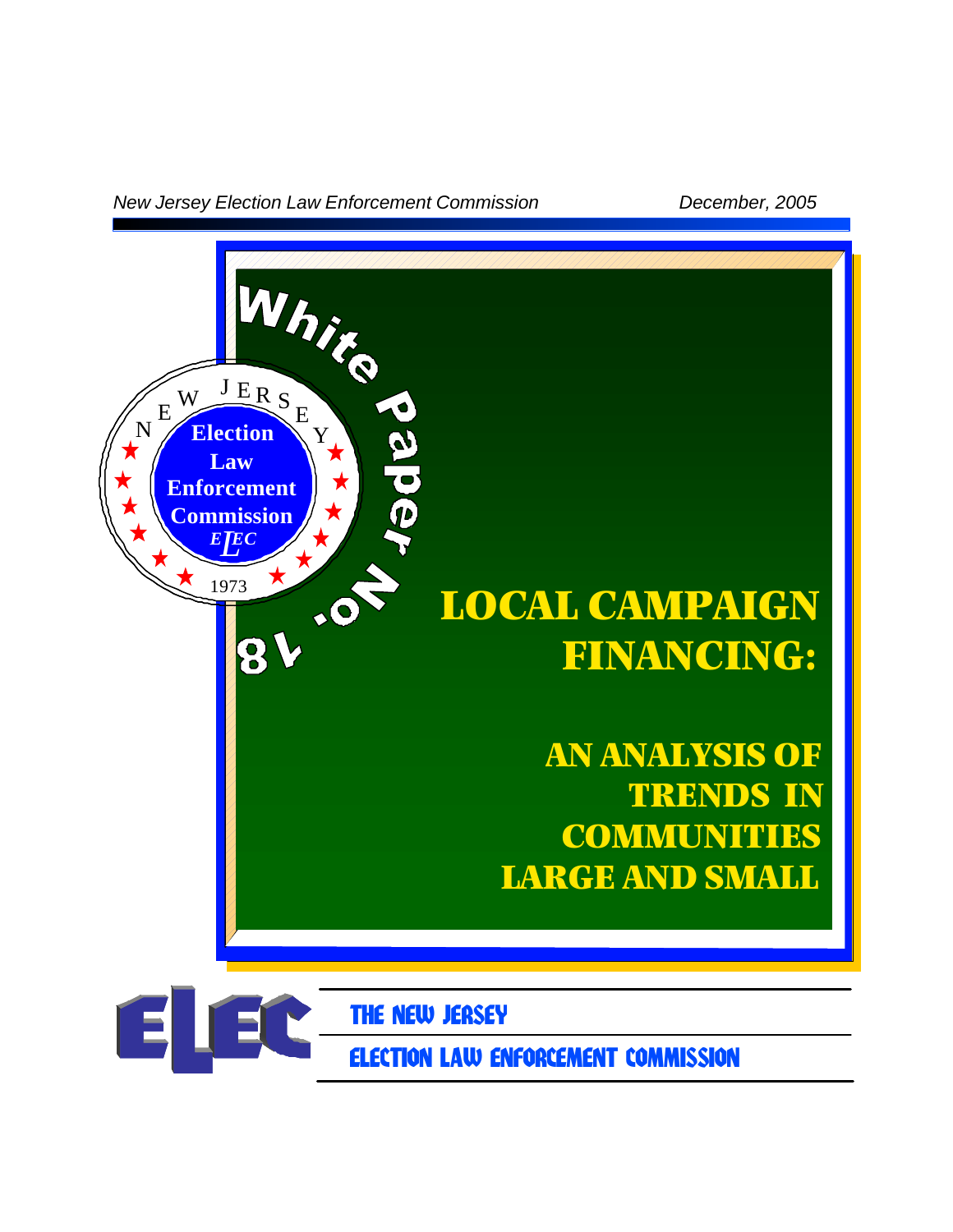*New Jersey Election Law Enforcement Commission December, 2005*

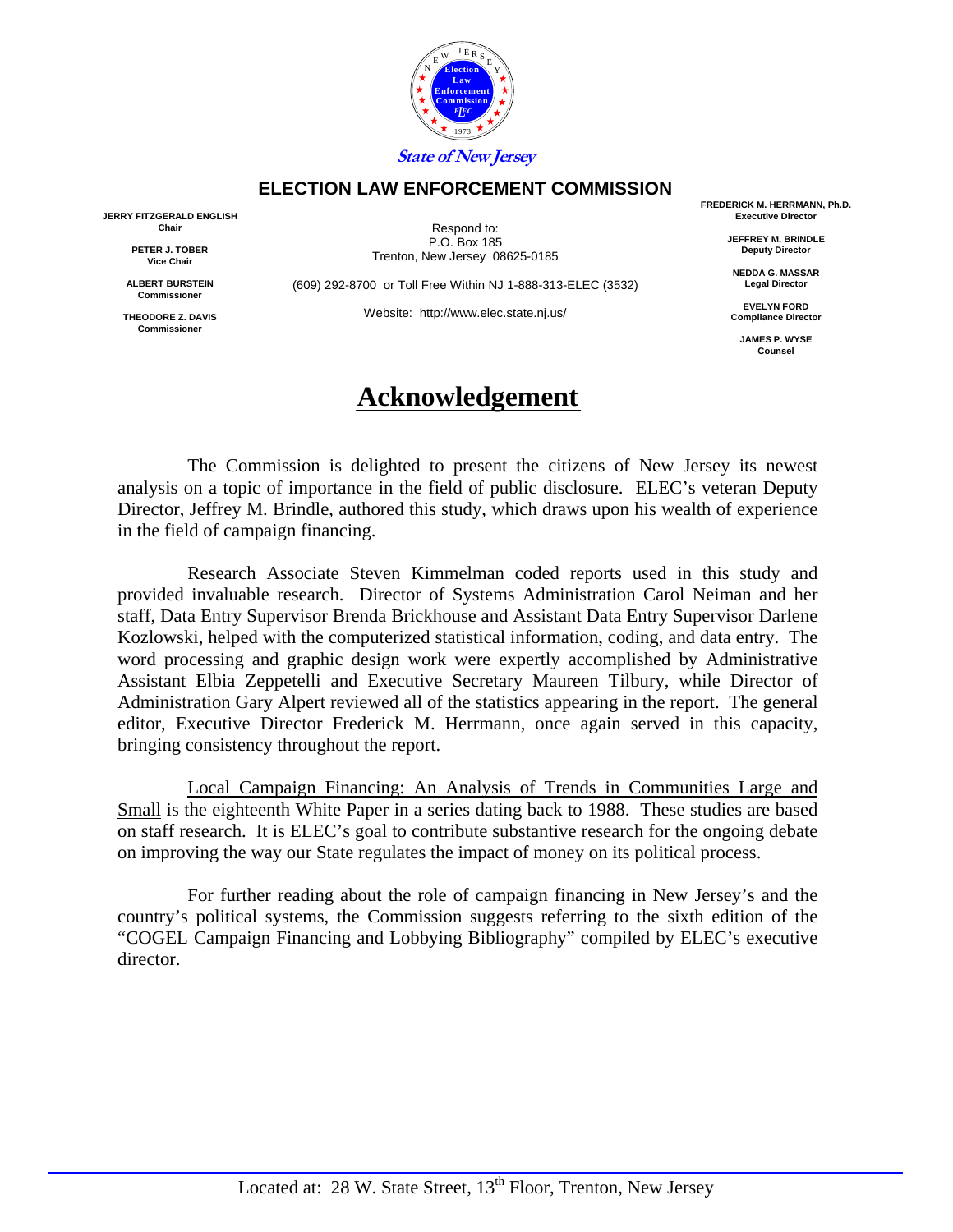

### **ELECTION LAW ENFORCEMENT COMMISSION**

**JERRY FITZGERALD ENGLISH Chair** 

> **PETER J. TOBER Vice Chair**

**ALBERT BURSTEIN Commissioner** 

**THEODORE Z. DAVIS Commissioner** 

Respond to: P.O. Box 185 Trenton, New Jersey 08625-0185

(609) 292-8700 or Toll Free Within NJ 1-888-313-ELEC (3532)

Website: http://www.elec.state.nj.us/

## **Acknowledgement**

**FREDERICK M. HERRMANN, Ph.D. Executive Director** 

> **JEFFREY M. BRINDLE Deputy Director**

**NEDDA G. MASSAR Legal Director** 

**EVELYN FORD Compliance Director** 

**JAMES P. WYSE Counsel** 

 The Commission is delighted to present the citizens of New Jersey its newest analysis on a topic of importance in the field of public disclosure. ELEC's veteran Deputy Director, Jeffrey M. Brindle, authored this study, which draws upon his wealth of experience in the field of campaign financing.

 Research Associate Steven Kimmelman coded reports used in this study and provided invaluable research. Director of Systems Administration Carol Neiman and her staff, Data Entry Supervisor Brenda Brickhouse and Assistant Data Entry Supervisor Darlene Kozlowski, helped with the computerized statistical information, coding, and data entry. The word processing and graphic design work were expertly accomplished by Administrative Assistant Elbia Zeppetelli and Executive Secretary Maureen Tilbury, while Director of Administration Gary Alpert reviewed all of the statistics appearing in the report. The general editor, Executive Director Frederick M. Herrmann, once again served in this capacity, bringing consistency throughout the report.

 Local Campaign Financing: An Analysis of Trends in Communities Large and Small is the eighteenth White Paper in a series dating back to 1988. These studies are based on staff research. It is ELEC's goal to contribute substantive research for the ongoing debate on improving the way our State regulates the impact of money on its political process.

 For further reading about the role of campaign financing in New Jersey's and the country's political systems, the Commission suggests referring to the sixth edition of the "COGEL Campaign Financing and Lobbying Bibliography" compiled by ELEC's executive director.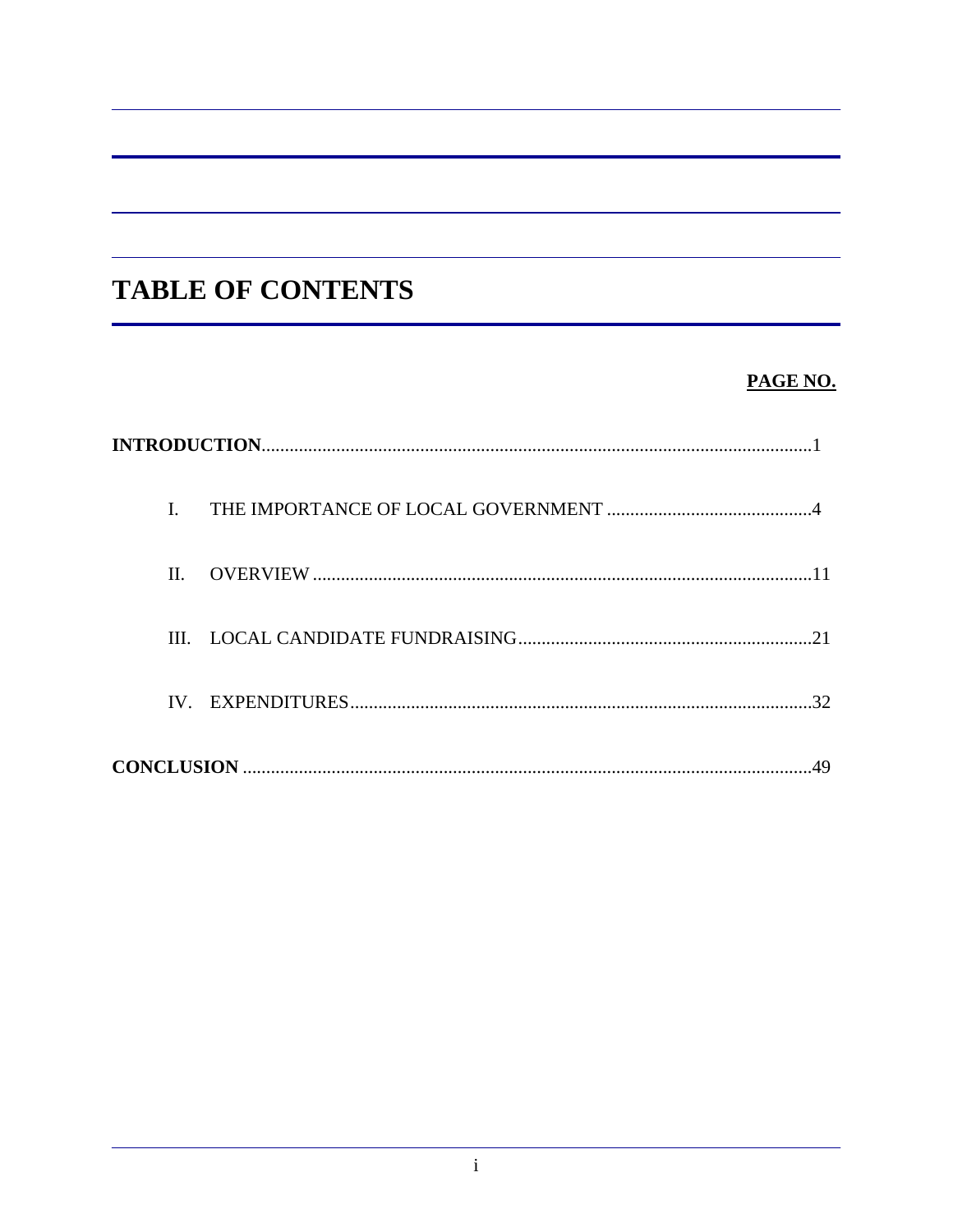# **TABLE OF CONTENTS**

## PAGE NO.

| $\Pi$ . |    |
|---------|----|
|         |    |
|         | 32 |
|         |    |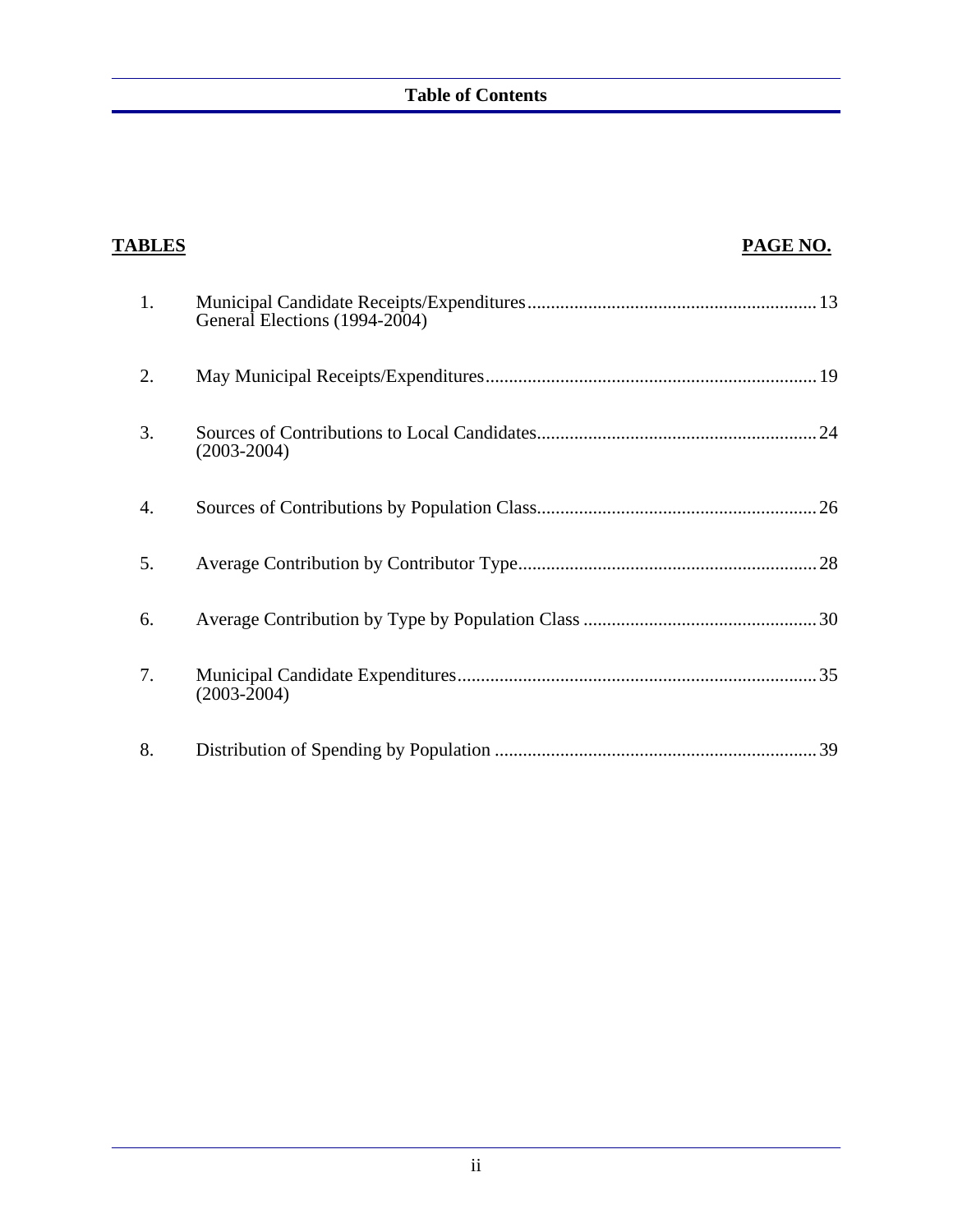| <b>TABLES</b> | PAGE NO.                      |
|---------------|-------------------------------|
| 1.            | General Elections (1994-2004) |
| 2.            |                               |
| 3.            | $(2003 - 2004)$               |
| 4.            |                               |
| 5.            |                               |
| 6.            |                               |
| 7.            | $(2003 - 2004)$               |
| 8.            |                               |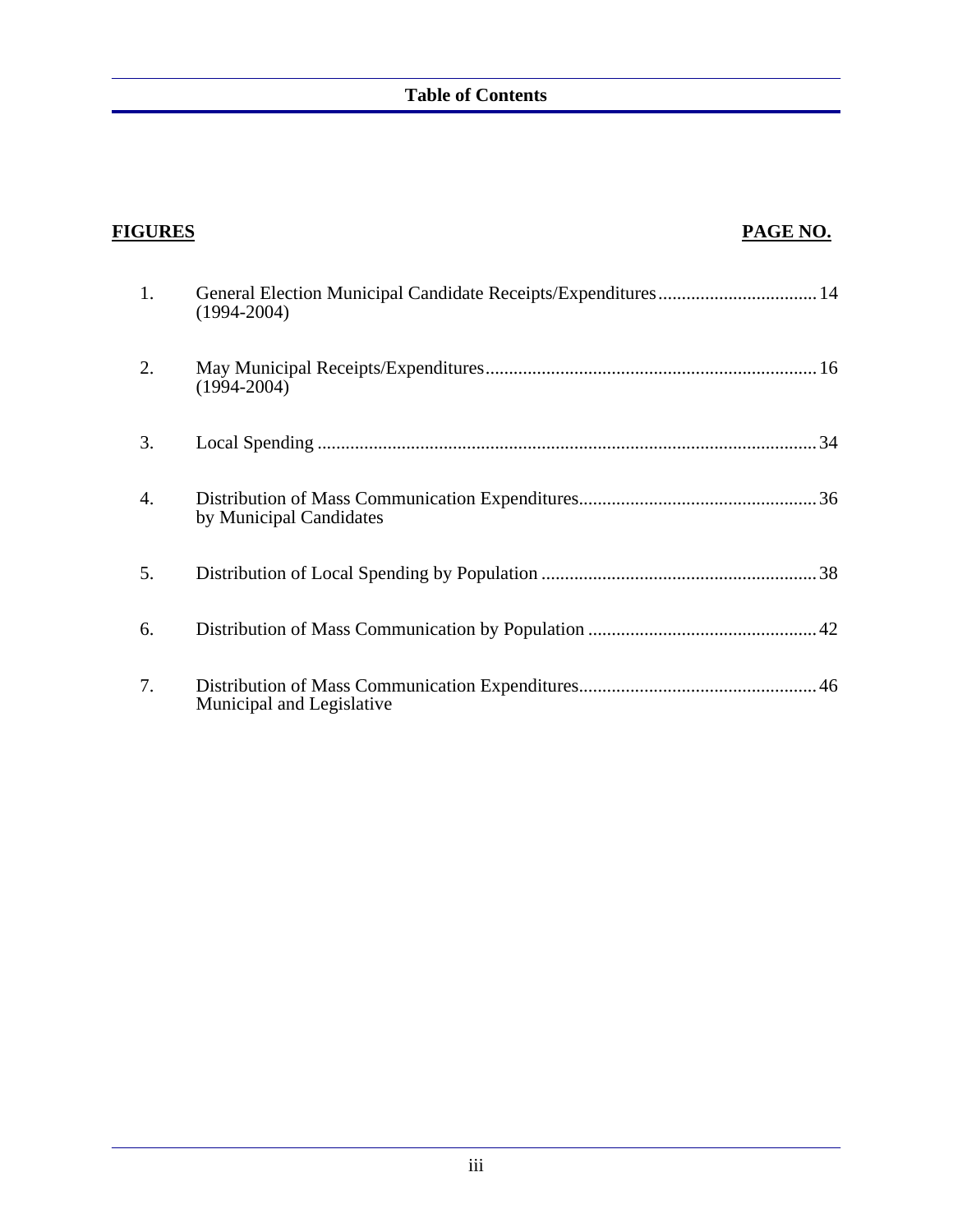| <b>FIGURES</b> |                                                                                  | PAGE NO. |
|----------------|----------------------------------------------------------------------------------|----------|
| 1.             | General Election Municipal Candidate Receipts/Expenditures 14<br>$(1994 - 2004)$ |          |
| 2.             | $(1994 - 2004)$                                                                  |          |
| 3.             |                                                                                  |          |
| 4.             | by Municipal Candidates                                                          |          |
| 5.             |                                                                                  |          |
| 6.             |                                                                                  |          |
| 7.             | Municipal and Legislative                                                        |          |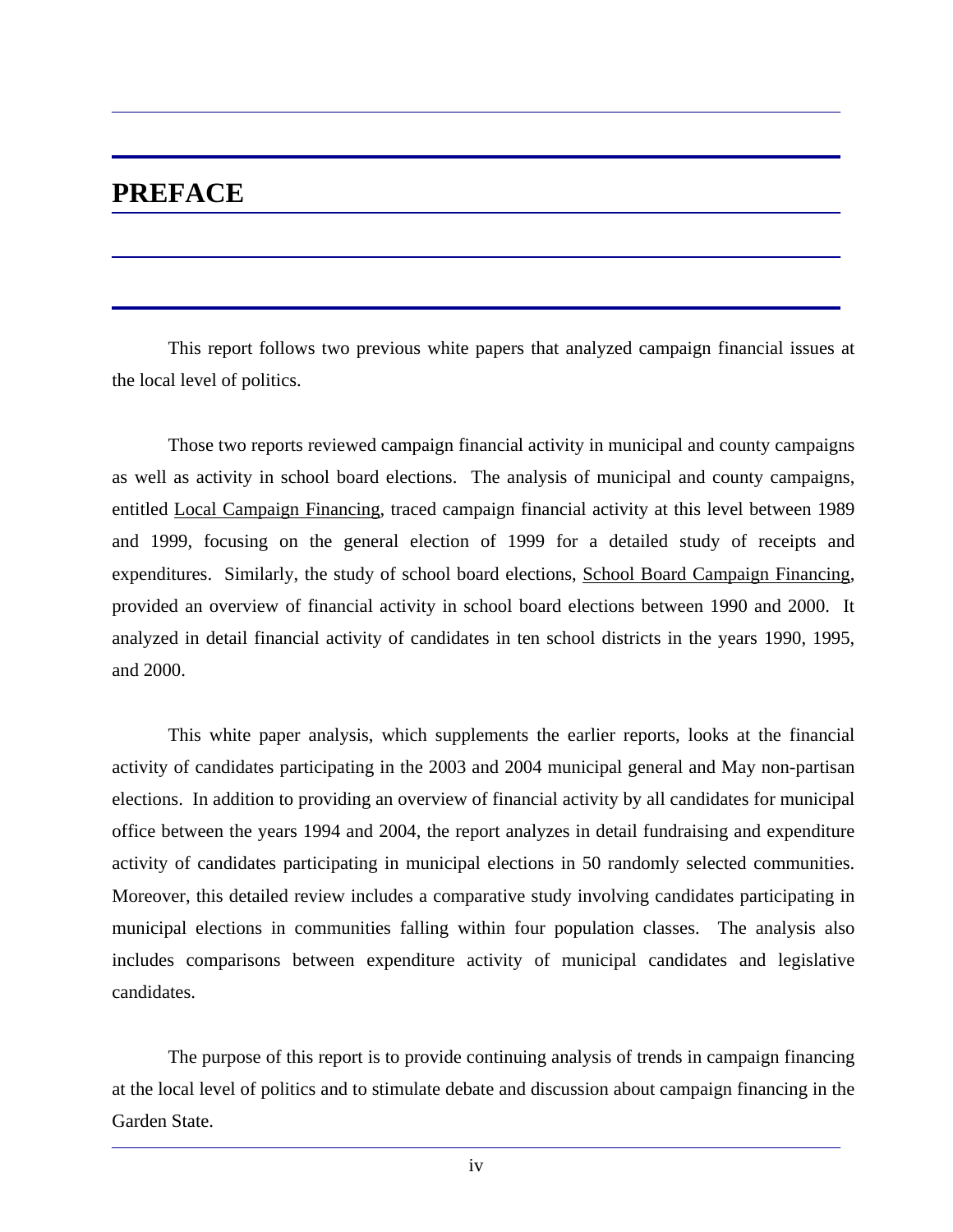## **PREFACE**

 This report follows two previous white papers that analyzed campaign financial issues at the local level of politics.

 Those two reports reviewed campaign financial activity in municipal and county campaigns as well as activity in school board elections. The analysis of municipal and county campaigns, entitled Local Campaign Financing, traced campaign financial activity at this level between 1989 and 1999, focusing on the general election of 1999 for a detailed study of receipts and expenditures. Similarly, the study of school board elections, School Board Campaign Financing, provided an overview of financial activity in school board elections between 1990 and 2000. It analyzed in detail financial activity of candidates in ten school districts in the years 1990, 1995, and 2000.

 This white paper analysis, which supplements the earlier reports, looks at the financial activity of candidates participating in the 2003 and 2004 municipal general and May non-partisan elections. In addition to providing an overview of financial activity by all candidates for municipal office between the years 1994 and 2004, the report analyzes in detail fundraising and expenditure activity of candidates participating in municipal elections in 50 randomly selected communities. Moreover, this detailed review includes a comparative study involving candidates participating in municipal elections in communities falling within four population classes. The analysis also includes comparisons between expenditure activity of municipal candidates and legislative candidates.

 The purpose of this report is to provide continuing analysis of trends in campaign financing at the local level of politics and to stimulate debate and discussion about campaign financing in the Garden State.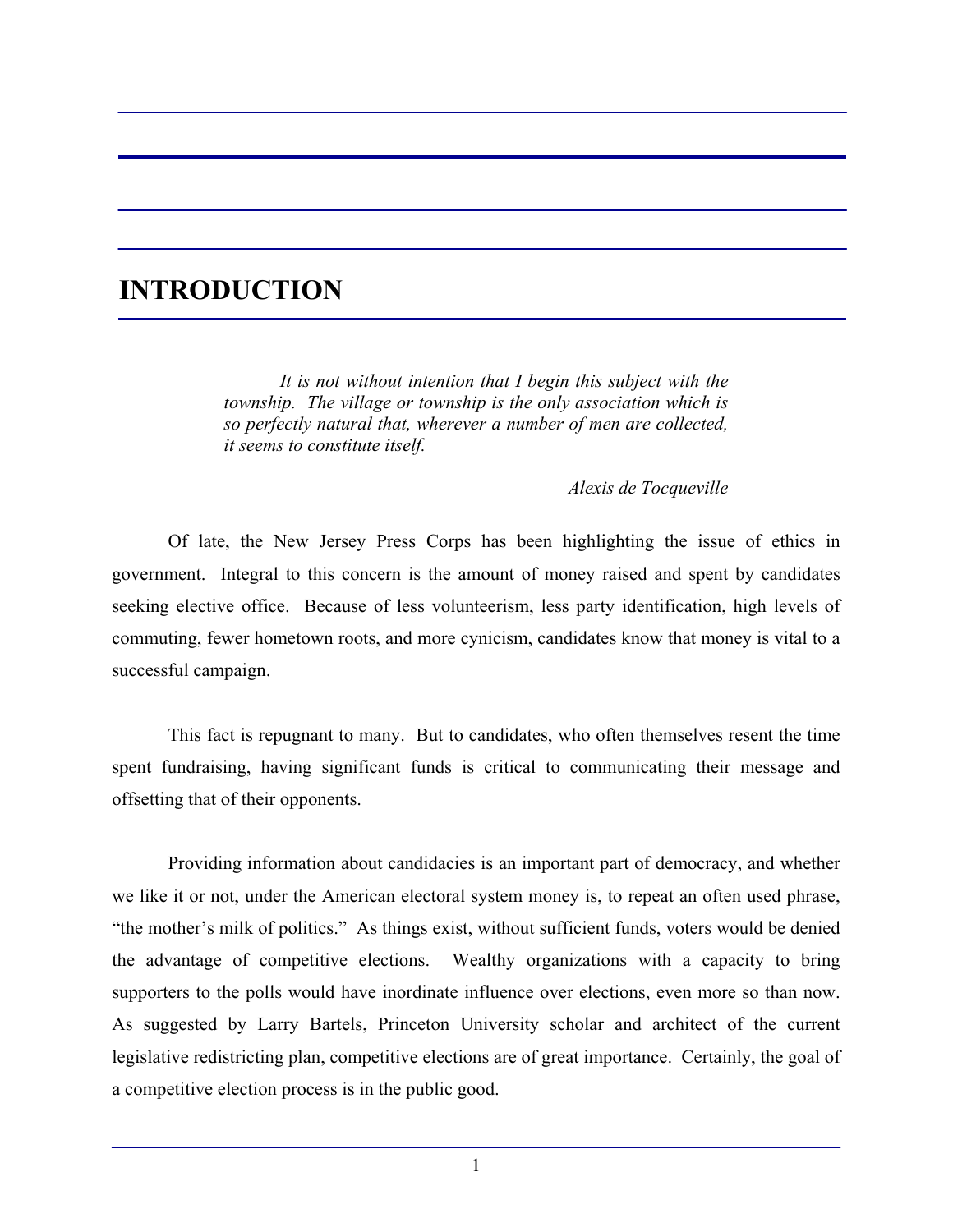## **INTRODUCTION**

 *It is not without intention that I begin this subject with the township. The village or township is the only association which is so perfectly natural that, wherever a number of men are collected, it seems to constitute itself.* 

*Alexis de Tocqueville* 

 Of late, the New Jersey Press Corps has been highlighting the issue of ethics in government. Integral to this concern is the amount of money raised and spent by candidates seeking elective office. Because of less volunteerism, less party identification, high levels of commuting, fewer hometown roots, and more cynicism, candidates know that money is vital to a successful campaign.

 This fact is repugnant to many. But to candidates, who often themselves resent the time spent fundraising, having significant funds is critical to communicating their message and offsetting that of their opponents.

 Providing information about candidacies is an important part of democracy, and whether we like it or not, under the American electoral system money is, to repeat an often used phrase, "the mother's milk of politics." As things exist, without sufficient funds, voters would be denied the advantage of competitive elections. Wealthy organizations with a capacity to bring supporters to the polls would have inordinate influence over elections, even more so than now. As suggested by Larry Bartels, Princeton University scholar and architect of the current legislative redistricting plan, competitive elections are of great importance. Certainly, the goal of a competitive election process is in the public good.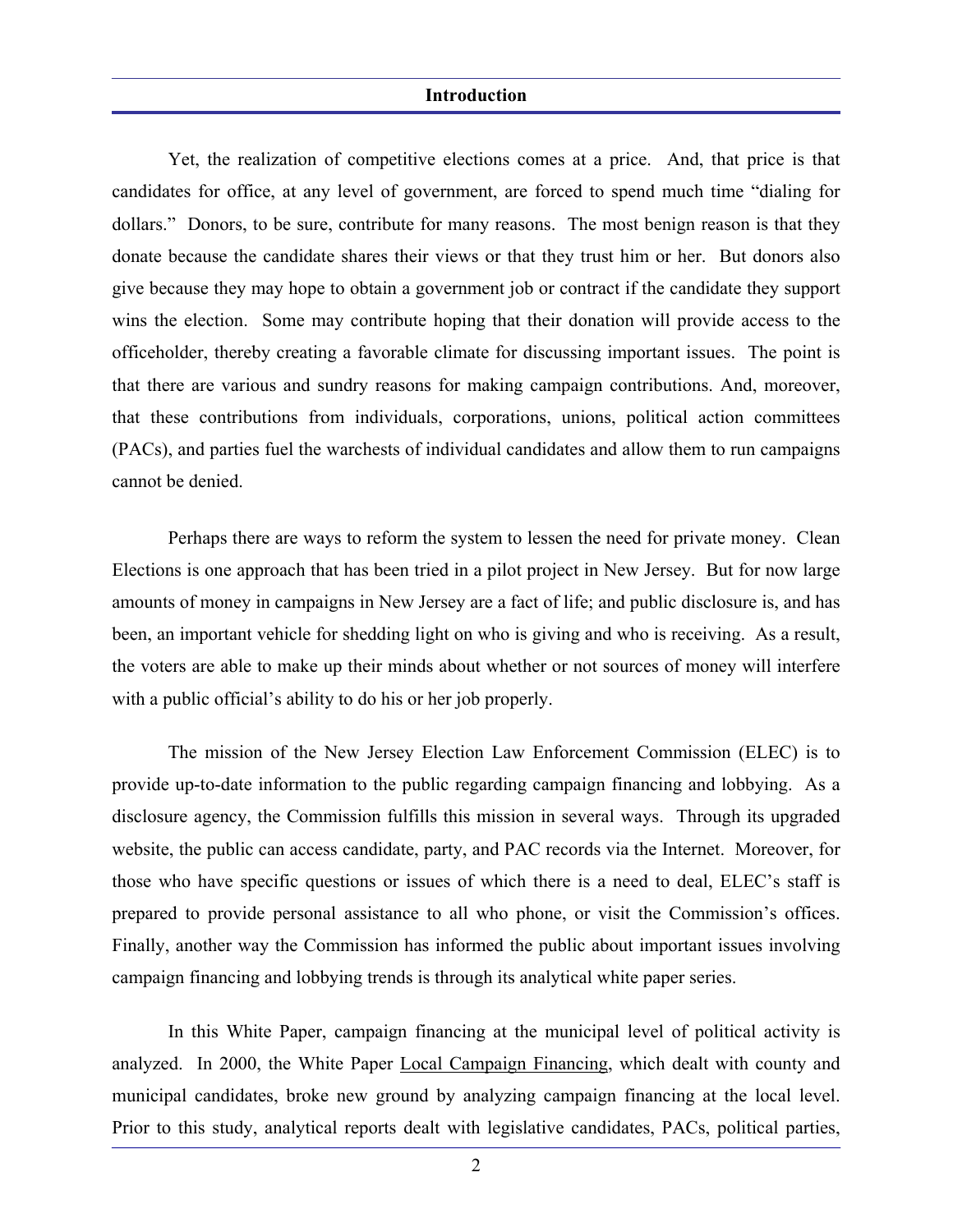#### **Introduction**

 Yet, the realization of competitive elections comes at a price. And, that price is that candidates for office, at any level of government, are forced to spend much time "dialing for dollars." Donors, to be sure, contribute for many reasons. The most benign reason is that they donate because the candidate shares their views or that they trust him or her. But donors also give because they may hope to obtain a government job or contract if the candidate they support wins the election. Some may contribute hoping that their donation will provide access to the officeholder, thereby creating a favorable climate for discussing important issues. The point is that there are various and sundry reasons for making campaign contributions. And, moreover, that these contributions from individuals, corporations, unions, political action committees (PACs), and parties fuel the warchests of individual candidates and allow them to run campaigns cannot be denied.

 Perhaps there are ways to reform the system to lessen the need for private money. Clean Elections is one approach that has been tried in a pilot project in New Jersey. But for now large amounts of money in campaigns in New Jersey are a fact of life; and public disclosure is, and has been, an important vehicle for shedding light on who is giving and who is receiving. As a result, the voters are able to make up their minds about whether or not sources of money will interfere with a public official's ability to do his or her job properly.

 The mission of the New Jersey Election Law Enforcement Commission (ELEC) is to provide up-to-date information to the public regarding campaign financing and lobbying. As a disclosure agency, the Commission fulfills this mission in several ways. Through its upgraded website, the public can access candidate, party, and PAC records via the Internet. Moreover, for those who have specific questions or issues of which there is a need to deal, ELEC's staff is prepared to provide personal assistance to all who phone, or visit the Commission's offices. Finally, another way the Commission has informed the public about important issues involving campaign financing and lobbying trends is through its analytical white paper series.

 In this White Paper, campaign financing at the municipal level of political activity is analyzed. In 2000, the White Paper Local Campaign Financing, which dealt with county and municipal candidates, broke new ground by analyzing campaign financing at the local level. Prior to this study, analytical reports dealt with legislative candidates, PACs, political parties,

2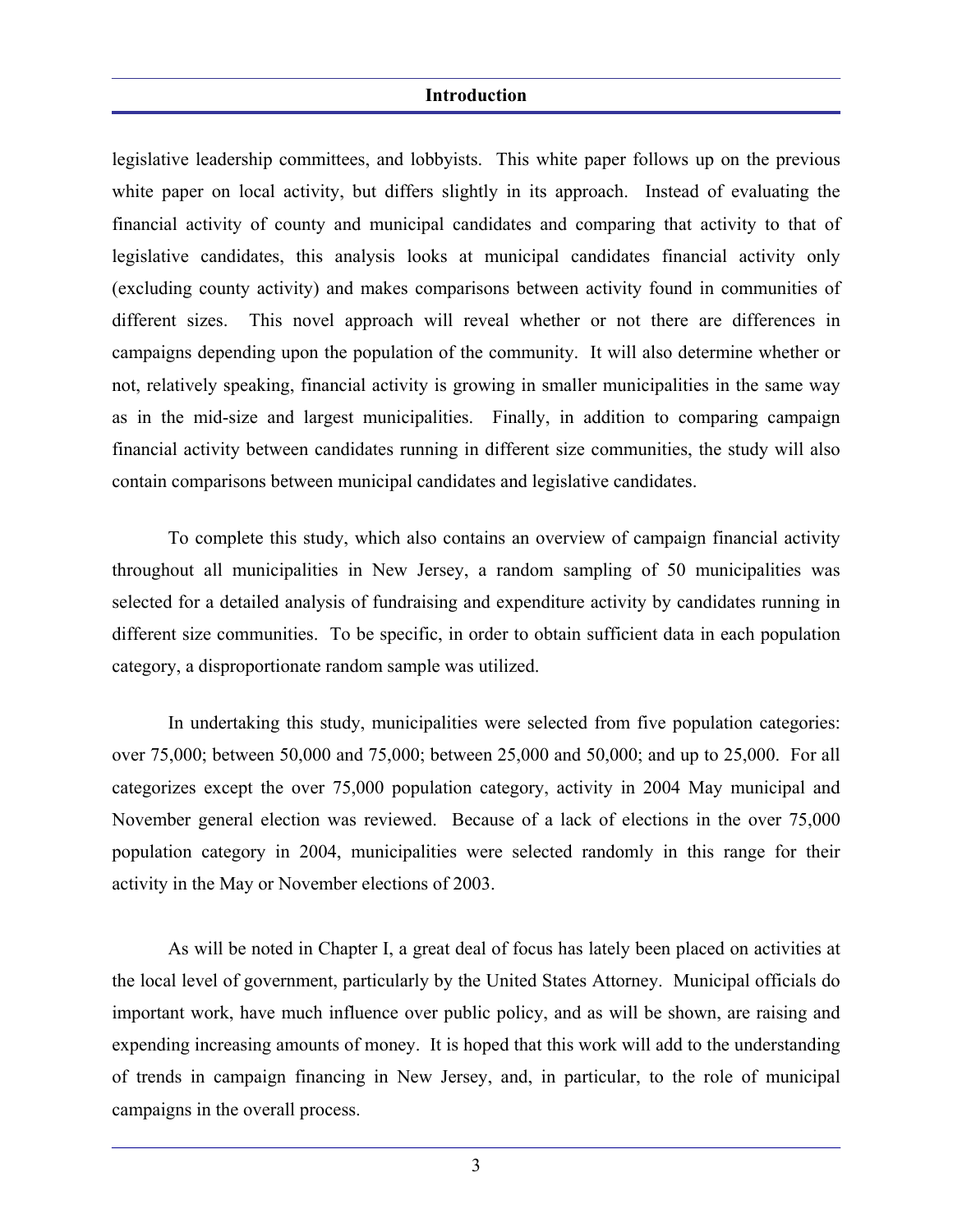#### **Introduction**

legislative leadership committees, and lobbyists. This white paper follows up on the previous white paper on local activity, but differs slightly in its approach. Instead of evaluating the financial activity of county and municipal candidates and comparing that activity to that of legislative candidates, this analysis looks at municipal candidates financial activity only (excluding county activity) and makes comparisons between activity found in communities of different sizes. This novel approach will reveal whether or not there are differences in campaigns depending upon the population of the community. It will also determine whether or not, relatively speaking, financial activity is growing in smaller municipalities in the same way as in the mid-size and largest municipalities. Finally, in addition to comparing campaign financial activity between candidates running in different size communities, the study will also contain comparisons between municipal candidates and legislative candidates.

 To complete this study, which also contains an overview of campaign financial activity throughout all municipalities in New Jersey, a random sampling of 50 municipalities was selected for a detailed analysis of fundraising and expenditure activity by candidates running in different size communities. To be specific, in order to obtain sufficient data in each population category, a disproportionate random sample was utilized.

 In undertaking this study, municipalities were selected from five population categories: over 75,000; between 50,000 and 75,000; between 25,000 and 50,000; and up to 25,000. For all categorizes except the over 75,000 population category, activity in 2004 May municipal and November general election was reviewed. Because of a lack of elections in the over 75,000 population category in 2004, municipalities were selected randomly in this range for their activity in the May or November elections of 2003.

 As will be noted in Chapter I, a great deal of focus has lately been placed on activities at the local level of government, particularly by the United States Attorney. Municipal officials do important work, have much influence over public policy, and as will be shown, are raising and expending increasing amounts of money. It is hoped that this work will add to the understanding of trends in campaign financing in New Jersey, and, in particular, to the role of municipal campaigns in the overall process.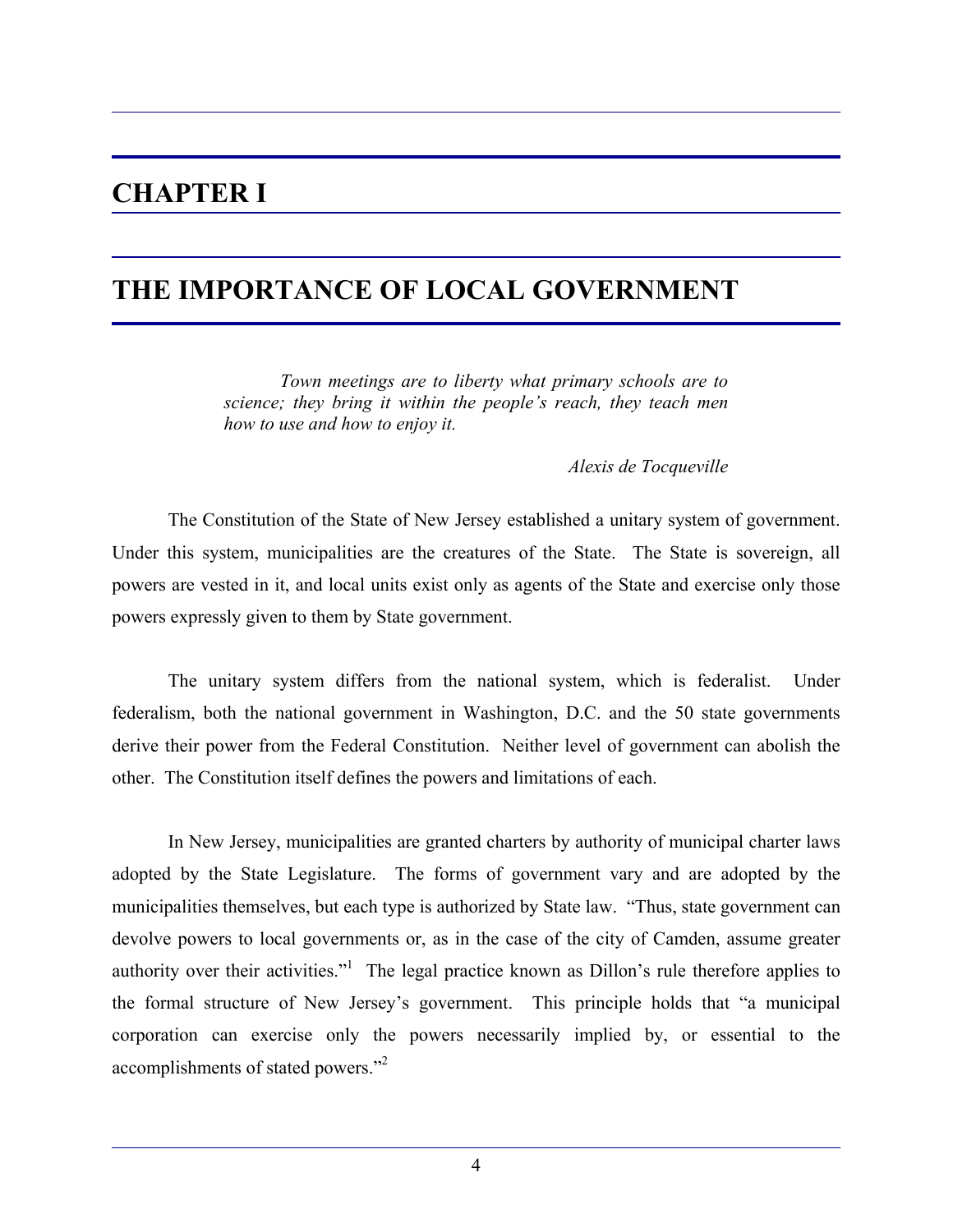## **CHAPTER I**

## **THE IMPORTANCE OF LOCAL GOVERNMENT**

*Town meetings are to liberty what primary schools are to science; they bring it within the people's reach, they teach men how to use and how to enjoy it.* 

*Alexis de Tocqueville* 

 The Constitution of the State of New Jersey established a unitary system of government. Under this system, municipalities are the creatures of the State. The State is sovereign, all powers are vested in it, and local units exist only as agents of the State and exercise only those powers expressly given to them by State government.

 The unitary system differs from the national system, which is federalist. Under federalism, both the national government in Washington, D.C. and the 50 state governments derive their power from the Federal Constitution. Neither level of government can abolish the other. The Constitution itself defines the powers and limitations of each.

 In New Jersey, municipalities are granted charters by authority of municipal charter laws adopted by the State Legislature. The forms of government vary and are adopted by the municipalities themselves, but each type is authorized by State law. "Thus, state government can devolve powers to local governments or, as in the case of the city of Camden, assume greater authority over their activities."<sup>1</sup> The legal practice known as Dillon's rule therefore applies to the formal structure of New Jersey's government. This principle holds that "a municipal corporation can exercise only the powers necessarily implied by, or essential to the accomplishments of stated powers."<sup>2</sup>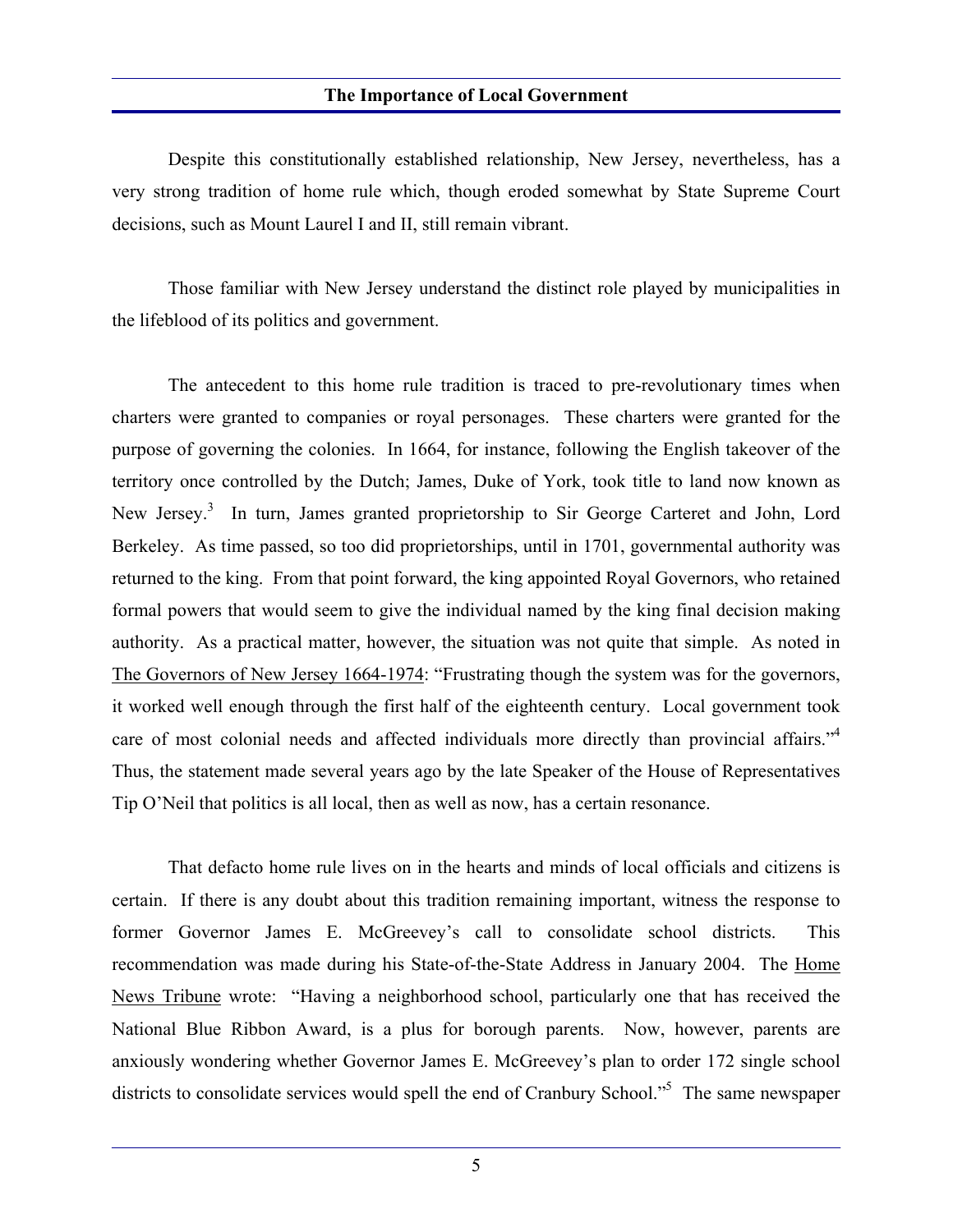Despite this constitutionally established relationship, New Jersey, nevertheless, has a very strong tradition of home rule which, though eroded somewhat by State Supreme Court decisions, such as Mount Laurel I and II, still remain vibrant.

 Those familiar with New Jersey understand the distinct role played by municipalities in the lifeblood of its politics and government.

 The antecedent to this home rule tradition is traced to pre-revolutionary times when charters were granted to companies or royal personages. These charters were granted for the purpose of governing the colonies. In 1664, for instance, following the English takeover of the territory once controlled by the Dutch; James, Duke of York, took title to land now known as New Jersey.<sup>3</sup> In turn, James granted proprietorship to Sir George Carteret and John, Lord Berkeley. As time passed, so too did proprietorships, until in 1701, governmental authority was returned to the king. From that point forward, the king appointed Royal Governors, who retained formal powers that would seem to give the individual named by the king final decision making authority. As a practical matter, however, the situation was not quite that simple. As noted in The Governors of New Jersey 1664-1974: "Frustrating though the system was for the governors, it worked well enough through the first half of the eighteenth century. Local government took care of most colonial needs and affected individuals more directly than provincial affairs."<sup>4</sup> Thus, the statement made several years ago by the late Speaker of the House of Representatives Tip O'Neil that politics is all local, then as well as now, has a certain resonance.

 That defacto home rule lives on in the hearts and minds of local officials and citizens is certain. If there is any doubt about this tradition remaining important, witness the response to former Governor James E. McGreevey's call to consolidate school districts. This recommendation was made during his State-of-the-State Address in January 2004. The Home News Tribune wrote: "Having a neighborhood school, particularly one that has received the National Blue Ribbon Award, is a plus for borough parents. Now, however, parents are anxiously wondering whether Governor James E. McGreevey's plan to order 172 single school districts to consolidate services would spell the end of Cranbury School."<sup>5</sup> The same newspaper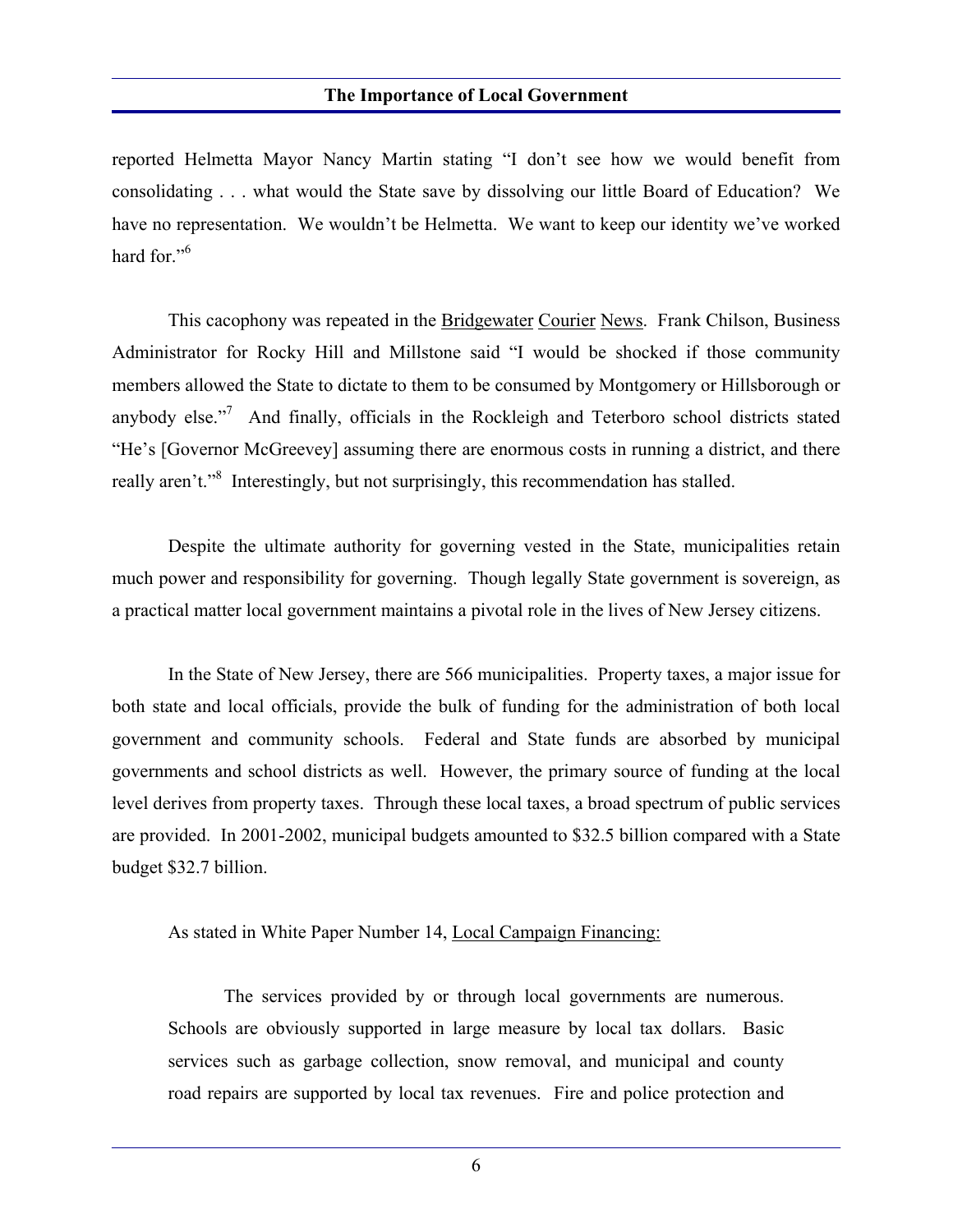reported Helmetta Mayor Nancy Martin stating "I don't see how we would benefit from consolidating . . . what would the State save by dissolving our little Board of Education? We have no representation. We wouldn't be Helmetta. We want to keep our identity we've worked hard for."<sup>6</sup>

This cacophony was repeated in the Bridgewater Courier News. Frank Chilson, Business Administrator for Rocky Hill and Millstone said "I would be shocked if those community members allowed the State to dictate to them to be consumed by Montgomery or Hillsborough or anybody else."<sup>7</sup> And finally, officials in the Rockleigh and Teterboro school districts stated "He's [Governor McGreevey] assuming there are enormous costs in running a district, and there really aren't."<sup>8</sup> Interestingly, but not surprisingly, this recommendation has stalled.

 Despite the ultimate authority for governing vested in the State, municipalities retain much power and responsibility for governing. Though legally State government is sovereign, as a practical matter local government maintains a pivotal role in the lives of New Jersey citizens.

 In the State of New Jersey, there are 566 municipalities. Property taxes, a major issue for both state and local officials, provide the bulk of funding for the administration of both local government and community schools. Federal and State funds are absorbed by municipal governments and school districts as well. However, the primary source of funding at the local level derives from property taxes. Through these local taxes, a broad spectrum of public services are provided. In 2001-2002, municipal budgets amounted to \$32.5 billion compared with a State budget \$32.7 billion.

As stated in White Paper Number 14, Local Campaign Financing:

 The services provided by or through local governments are numerous. Schools are obviously supported in large measure by local tax dollars. Basic services such as garbage collection, snow removal, and municipal and county road repairs are supported by local tax revenues. Fire and police protection and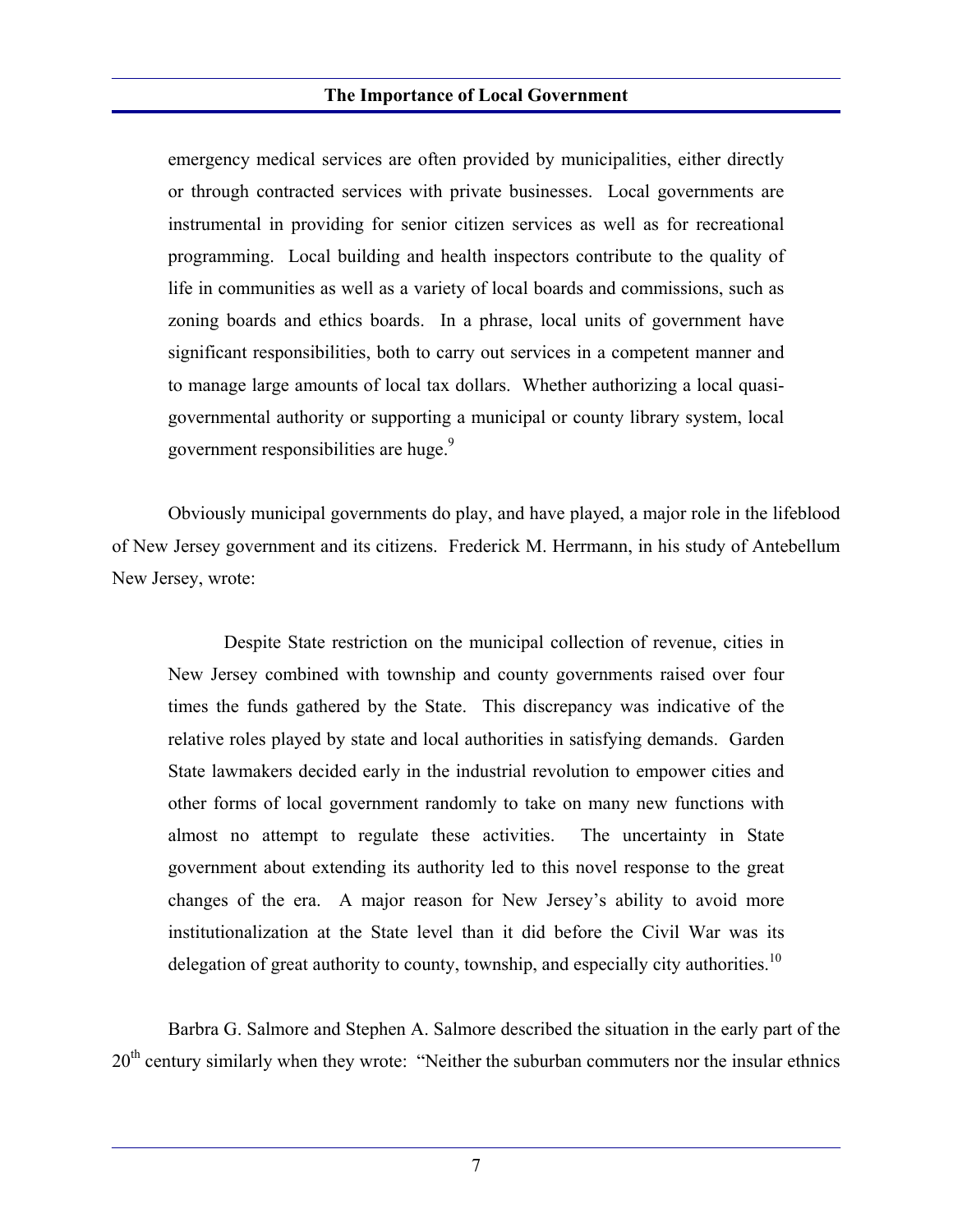emergency medical services are often provided by municipalities, either directly or through contracted services with private businesses. Local governments are instrumental in providing for senior citizen services as well as for recreational programming. Local building and health inspectors contribute to the quality of life in communities as well as a variety of local boards and commissions, such as zoning boards and ethics boards. In a phrase, local units of government have significant responsibilities, both to carry out services in a competent manner and to manage large amounts of local tax dollars. Whether authorizing a local quasigovernmental authority or supporting a municipal or county library system, local government responsibilities are huge.<sup>9</sup>

 Obviously municipal governments do play, and have played, a major role in the lifeblood of New Jersey government and its citizens. Frederick M. Herrmann, in his study of Antebellum New Jersey, wrote:

 Despite State restriction on the municipal collection of revenue, cities in New Jersey combined with township and county governments raised over four times the funds gathered by the State. This discrepancy was indicative of the relative roles played by state and local authorities in satisfying demands. Garden State lawmakers decided early in the industrial revolution to empower cities and other forms of local government randomly to take on many new functions with almost no attempt to regulate these activities. The uncertainty in State government about extending its authority led to this novel response to the great changes of the era. A major reason for New Jersey's ability to avoid more institutionalization at the State level than it did before the Civil War was its delegation of great authority to county, township, and especially city authorities.<sup>10</sup>

 Barbra G. Salmore and Stephen A. Salmore described the situation in the early part of the 20<sup>th</sup> century similarly when they wrote: "Neither the suburban commuters nor the insular ethnics

7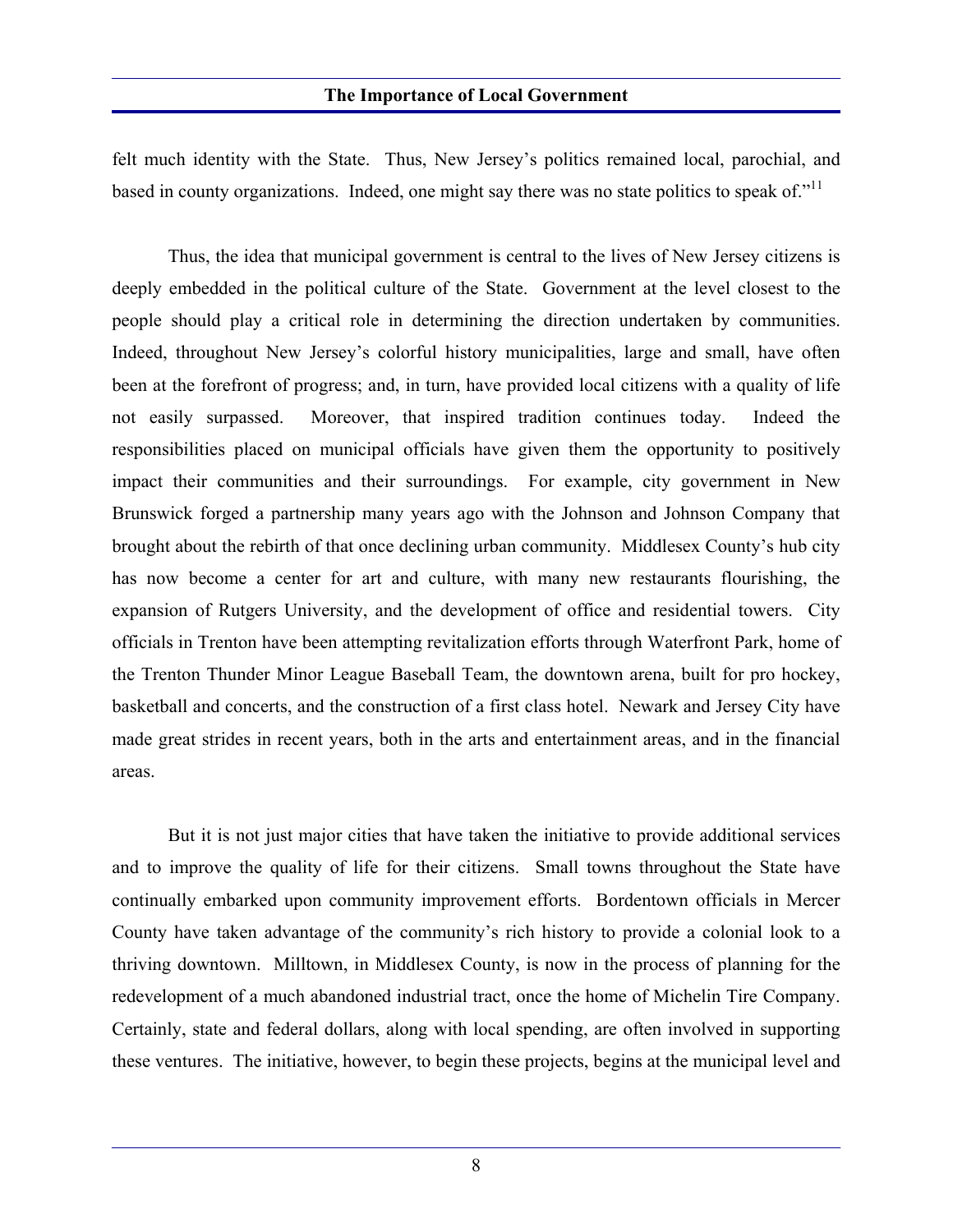felt much identity with the State. Thus, New Jersey's politics remained local, parochial, and based in county organizations. Indeed, one might say there was no state politics to speak of."<sup>11</sup>

 Thus, the idea that municipal government is central to the lives of New Jersey citizens is deeply embedded in the political culture of the State. Government at the level closest to the people should play a critical role in determining the direction undertaken by communities. Indeed, throughout New Jersey's colorful history municipalities, large and small, have often been at the forefront of progress; and, in turn, have provided local citizens with a quality of life not easily surpassed. Moreover, that inspired tradition continues today. Indeed the responsibilities placed on municipal officials have given them the opportunity to positively impact their communities and their surroundings. For example, city government in New Brunswick forged a partnership many years ago with the Johnson and Johnson Company that brought about the rebirth of that once declining urban community. Middlesex County's hub city has now become a center for art and culture, with many new restaurants flourishing, the expansion of Rutgers University, and the development of office and residential towers. City officials in Trenton have been attempting revitalization efforts through Waterfront Park, home of the Trenton Thunder Minor League Baseball Team, the downtown arena, built for pro hockey, basketball and concerts, and the construction of a first class hotel. Newark and Jersey City have made great strides in recent years, both in the arts and entertainment areas, and in the financial areas.

 But it is not just major cities that have taken the initiative to provide additional services and to improve the quality of life for their citizens. Small towns throughout the State have continually embarked upon community improvement efforts. Bordentown officials in Mercer County have taken advantage of the community's rich history to provide a colonial look to a thriving downtown. Milltown, in Middlesex County, is now in the process of planning for the redevelopment of a much abandoned industrial tract, once the home of Michelin Tire Company. Certainly, state and federal dollars, along with local spending, are often involved in supporting these ventures. The initiative, however, to begin these projects, begins at the municipal level and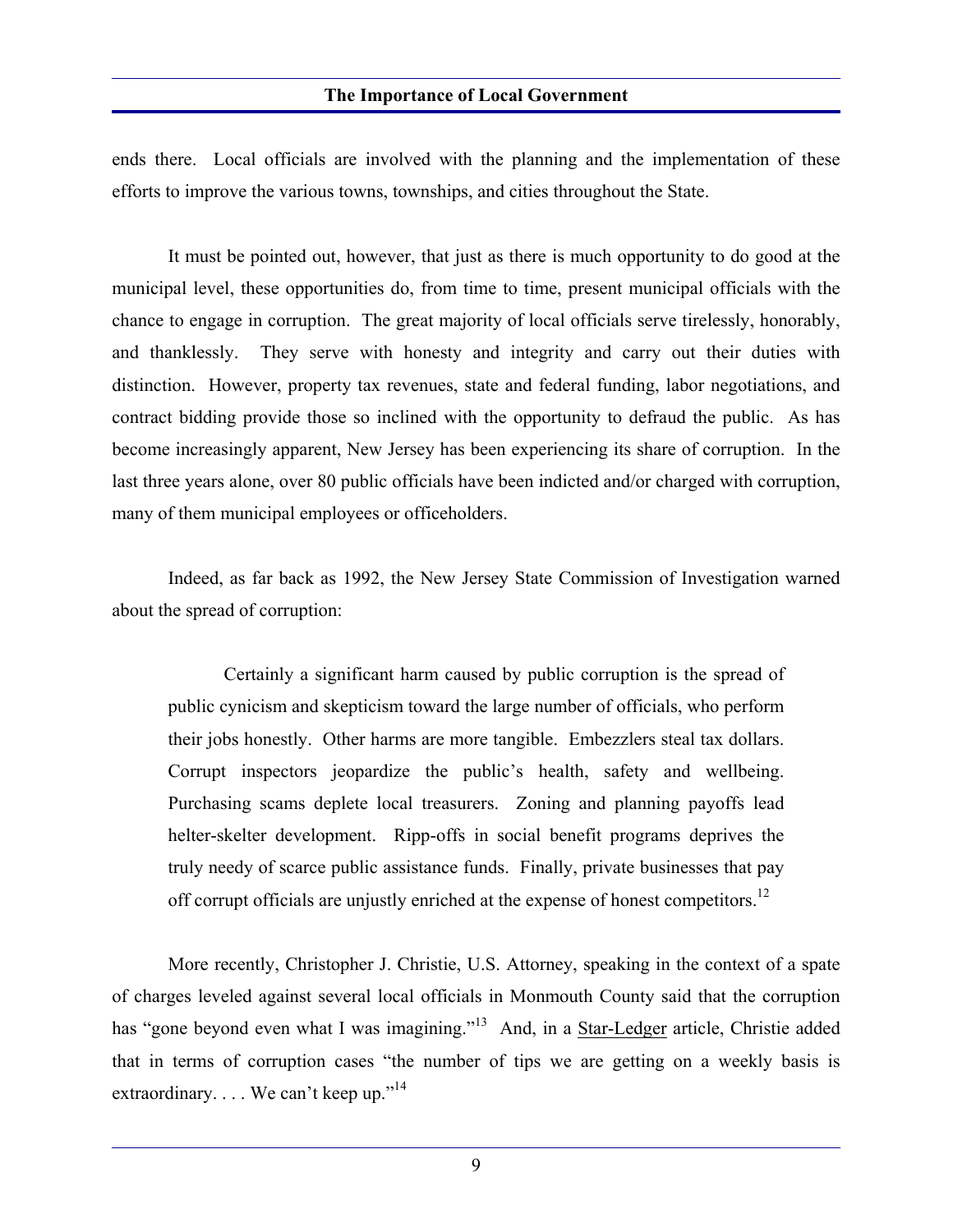ends there. Local officials are involved with the planning and the implementation of these efforts to improve the various towns, townships, and cities throughout the State.

 It must be pointed out, however, that just as there is much opportunity to do good at the municipal level, these opportunities do, from time to time, present municipal officials with the chance to engage in corruption. The great majority of local officials serve tirelessly, honorably, and thanklessly. They serve with honesty and integrity and carry out their duties with distinction. However, property tax revenues, state and federal funding, labor negotiations, and contract bidding provide those so inclined with the opportunity to defraud the public. As has become increasingly apparent, New Jersey has been experiencing its share of corruption. In the last three years alone, over 80 public officials have been indicted and/or charged with corruption, many of them municipal employees or officeholders.

 Indeed, as far back as 1992, the New Jersey State Commission of Investigation warned about the spread of corruption:

 Certainly a significant harm caused by public corruption is the spread of public cynicism and skepticism toward the large number of officials, who perform their jobs honestly. Other harms are more tangible. Embezzlers steal tax dollars. Corrupt inspectors jeopardize the public's health, safety and wellbeing. Purchasing scams deplete local treasurers. Zoning and planning payoffs lead helter-skelter development. Ripp-offs in social benefit programs deprives the truly needy of scarce public assistance funds. Finally, private businesses that pay off corrupt officials are unjustly enriched at the expense of honest competitors.<sup>12</sup>

 More recently, Christopher J. Christie, U.S. Attorney, speaking in the context of a spate of charges leveled against several local officials in Monmouth County said that the corruption has "gone beyond even what I was imagining."<sup>13</sup> And, in a Star-Ledger article, Christie added that in terms of corruption cases "the number of tips we are getting on a weekly basis is extraordinary. . . . We can't keep up."<sup>14</sup>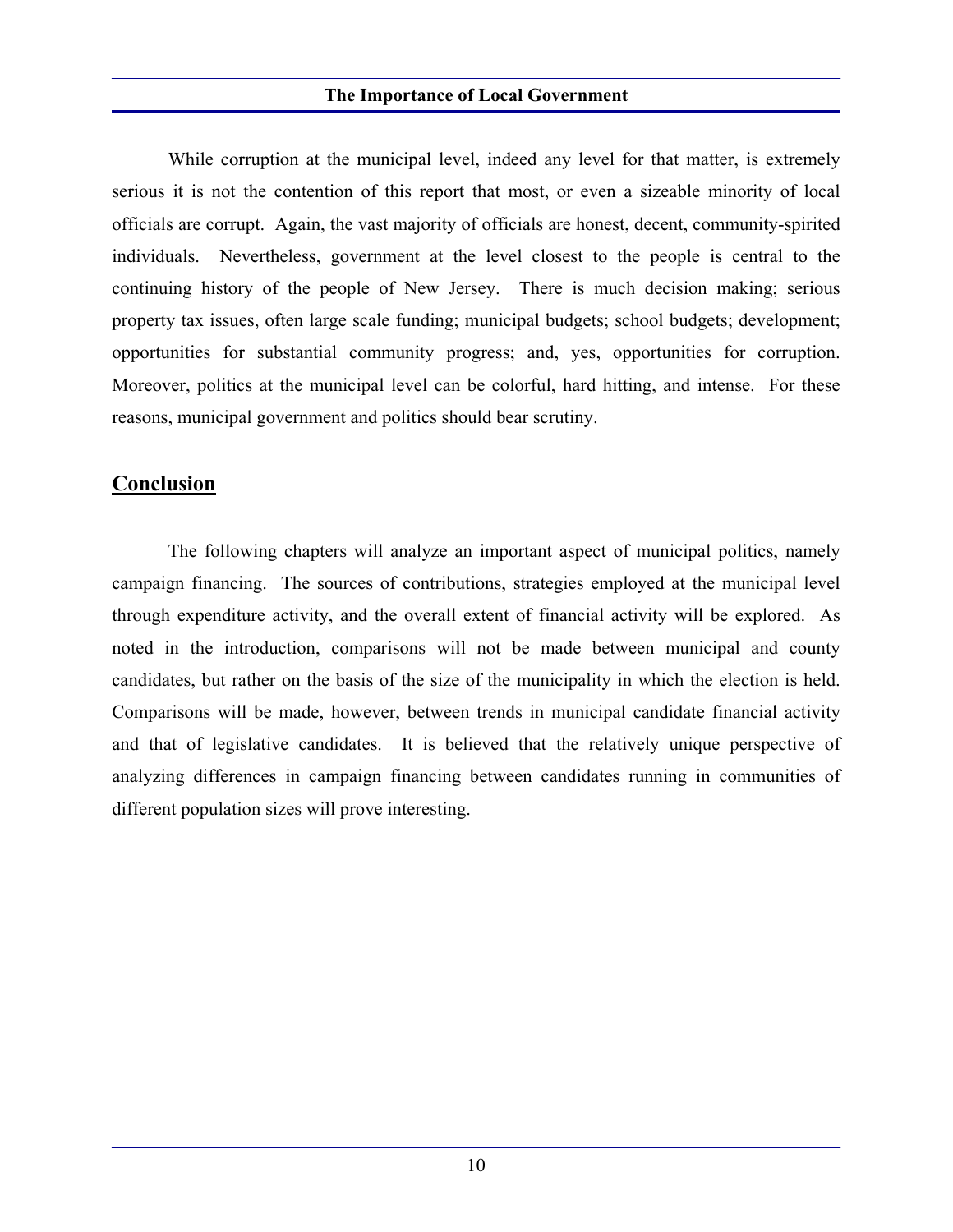While corruption at the municipal level, indeed any level for that matter, is extremely serious it is not the contention of this report that most, or even a sizeable minority of local officials are corrupt. Again, the vast majority of officials are honest, decent, community-spirited individuals. Nevertheless, government at the level closest to the people is central to the continuing history of the people of New Jersey. There is much decision making; serious property tax issues, often large scale funding; municipal budgets; school budgets; development; opportunities for substantial community progress; and, yes, opportunities for corruption. Moreover, politics at the municipal level can be colorful, hard hitting, and intense. For these reasons, municipal government and politics should bear scrutiny.

### **Conclusion**

 The following chapters will analyze an important aspect of municipal politics, namely campaign financing. The sources of contributions, strategies employed at the municipal level through expenditure activity, and the overall extent of financial activity will be explored. As noted in the introduction, comparisons will not be made between municipal and county candidates, but rather on the basis of the size of the municipality in which the election is held. Comparisons will be made, however, between trends in municipal candidate financial activity and that of legislative candidates. It is believed that the relatively unique perspective of analyzing differences in campaign financing between candidates running in communities of different population sizes will prove interesting.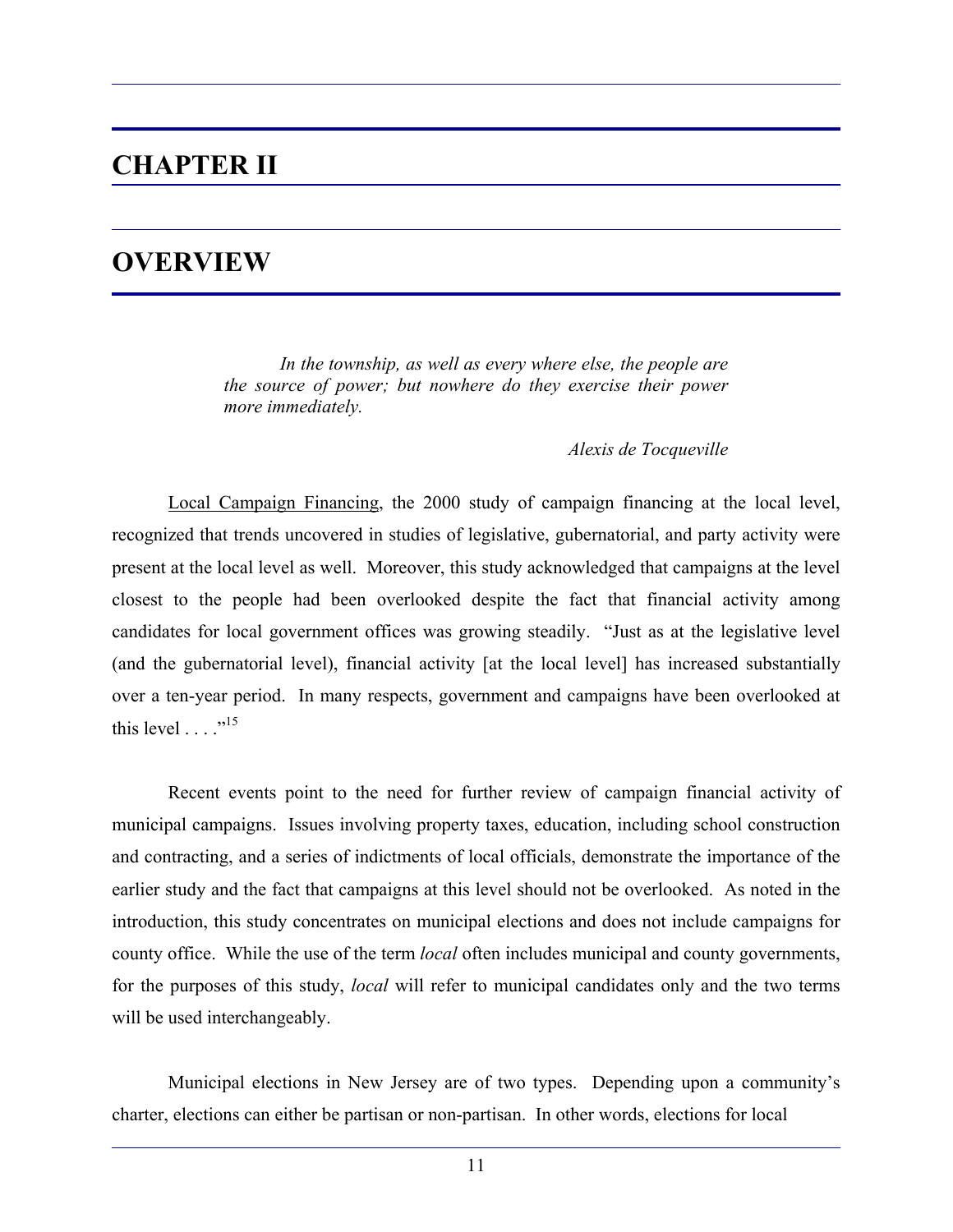## **CHAPTER II**

## **OVERVIEW**

 *In the township, as well as every where else, the people are the source of power; but nowhere do they exercise their power more immediately.* 

*Alexis de Tocqueville* 

 Local Campaign Financing, the 2000 study of campaign financing at the local level, recognized that trends uncovered in studies of legislative, gubernatorial, and party activity were present at the local level as well. Moreover, this study acknowledged that campaigns at the level closest to the people had been overlooked despite the fact that financial activity among candidates for local government offices was growing steadily. "Just as at the legislative level (and the gubernatorial level), financial activity [at the local level] has increased substantially over a ten-year period. In many respects, government and campaigns have been overlooked at this level  $\ldots$ <sup>15</sup>

 Recent events point to the need for further review of campaign financial activity of municipal campaigns. Issues involving property taxes, education, including school construction and contracting, and a series of indictments of local officials, demonstrate the importance of the earlier study and the fact that campaigns at this level should not be overlooked. As noted in the introduction, this study concentrates on municipal elections and does not include campaigns for county office. While the use of the term *local* often includes municipal and county governments, for the purposes of this study, *local* will refer to municipal candidates only and the two terms will be used interchangeably.

 Municipal elections in New Jersey are of two types. Depending upon a community's charter, elections can either be partisan or non-partisan. In other words, elections for local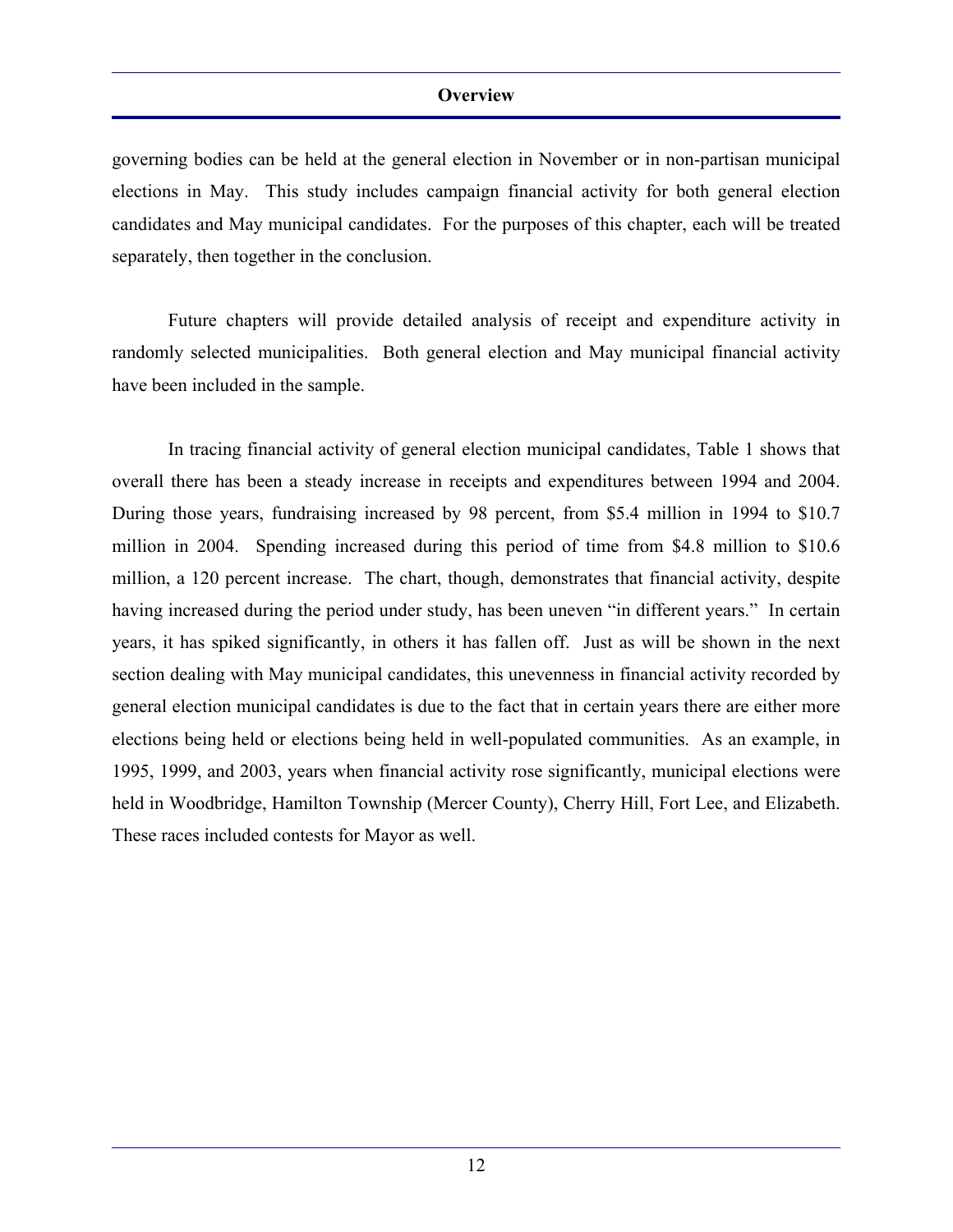governing bodies can be held at the general election in November or in non-partisan municipal elections in May. This study includes campaign financial activity for both general election candidates and May municipal candidates. For the purposes of this chapter, each will be treated separately, then together in the conclusion.

 Future chapters will provide detailed analysis of receipt and expenditure activity in randomly selected municipalities. Both general election and May municipal financial activity have been included in the sample.

 In tracing financial activity of general election municipal candidates, Table 1 shows that overall there has been a steady increase in receipts and expenditures between 1994 and 2004. During those years, fundraising increased by 98 percent, from \$5.4 million in 1994 to \$10.7 million in 2004. Spending increased during this period of time from \$4.8 million to \$10.6 million, a 120 percent increase. The chart, though, demonstrates that financial activity, despite having increased during the period under study, has been uneven "in different years." In certain years, it has spiked significantly, in others it has fallen off. Just as will be shown in the next section dealing with May municipal candidates, this unevenness in financial activity recorded by general election municipal candidates is due to the fact that in certain years there are either more elections being held or elections being held in well-populated communities. As an example, in 1995, 1999, and 2003, years when financial activity rose significantly, municipal elections were held in Woodbridge, Hamilton Township (Mercer County), Cherry Hill, Fort Lee, and Elizabeth. These races included contests for Mayor as well.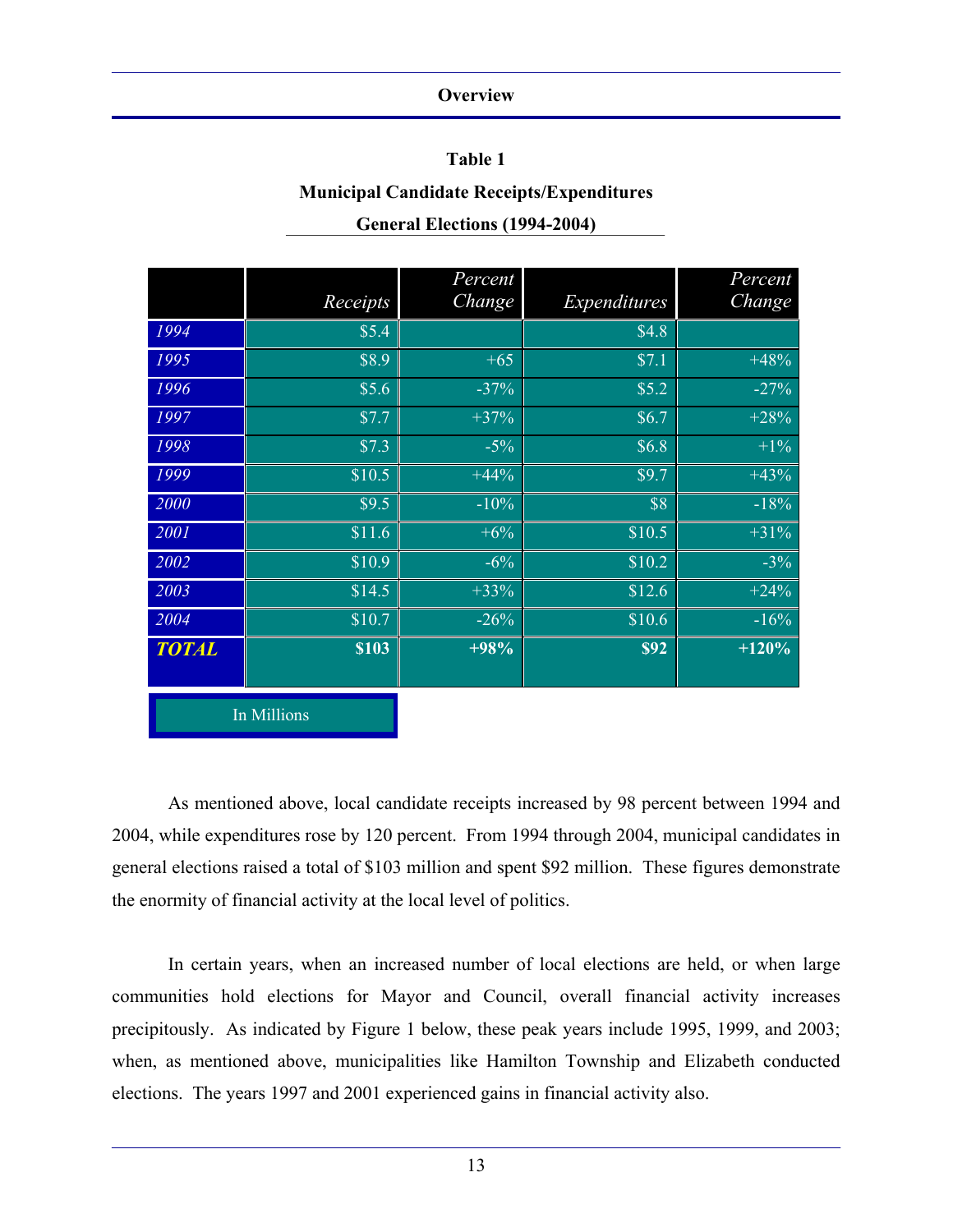### **Table 1**

### **Municipal Candidate Receipts/Expenditures**

| <b>General Elections (1994-2004)</b> |  |
|--------------------------------------|--|
|--------------------------------------|--|

|              |             | Percent |              | Percent |
|--------------|-------------|---------|--------------|---------|
|              | Receipts    | Change  | Expenditures | Change  |
| 1994         | \$5.4       |         | \$4.8        |         |
| 1995         | \$8.9       | $+65$   | \$7.1        | $+48%$  |
| 1996         | \$5.6       | $-37%$  | \$5.2        | $-27%$  |
| 1997         | \$7.7       | $+37%$  | \$6.7        | $+28%$  |
| 1998         | \$7.3       | $-5%$   | \$6.8        | $+1\%$  |
| 1999         | \$10.5      | $+44%$  | \$9.7        | $+43%$  |
| 2000         | \$9.5       | $-10%$  | \$8          | $-18%$  |
| 2001         | \$11.6      | $+6%$   | \$10.5       | $+31%$  |
| 2002         | \$10.9      | $-6\%$  | \$10.2       | $-3\%$  |
| 2003         | \$14.5      | $+33%$  | \$12.6       | $+24%$  |
| 2004         | \$10.7      | $-26%$  | \$10.6       | $-16\%$ |
| <b>TOTAL</b> | \$103       | $+98%$  | <b>\$92</b>  | $+120%$ |
|              |             |         |              |         |
|              | In Millions |         |              |         |

 As mentioned above, local candidate receipts increased by 98 percent between 1994 and 2004, while expenditures rose by 120 percent. From 1994 through 2004, municipal candidates in general elections raised a total of \$103 million and spent \$92 million. These figures demonstrate the enormity of financial activity at the local level of politics.

 In certain years, when an increased number of local elections are held, or when large communities hold elections for Mayor and Council, overall financial activity increases precipitously. As indicated by Figure 1 below, these peak years include 1995, 1999, and 2003; when, as mentioned above, municipalities like Hamilton Township and Elizabeth conducted elections. The years 1997 and 2001 experienced gains in financial activity also.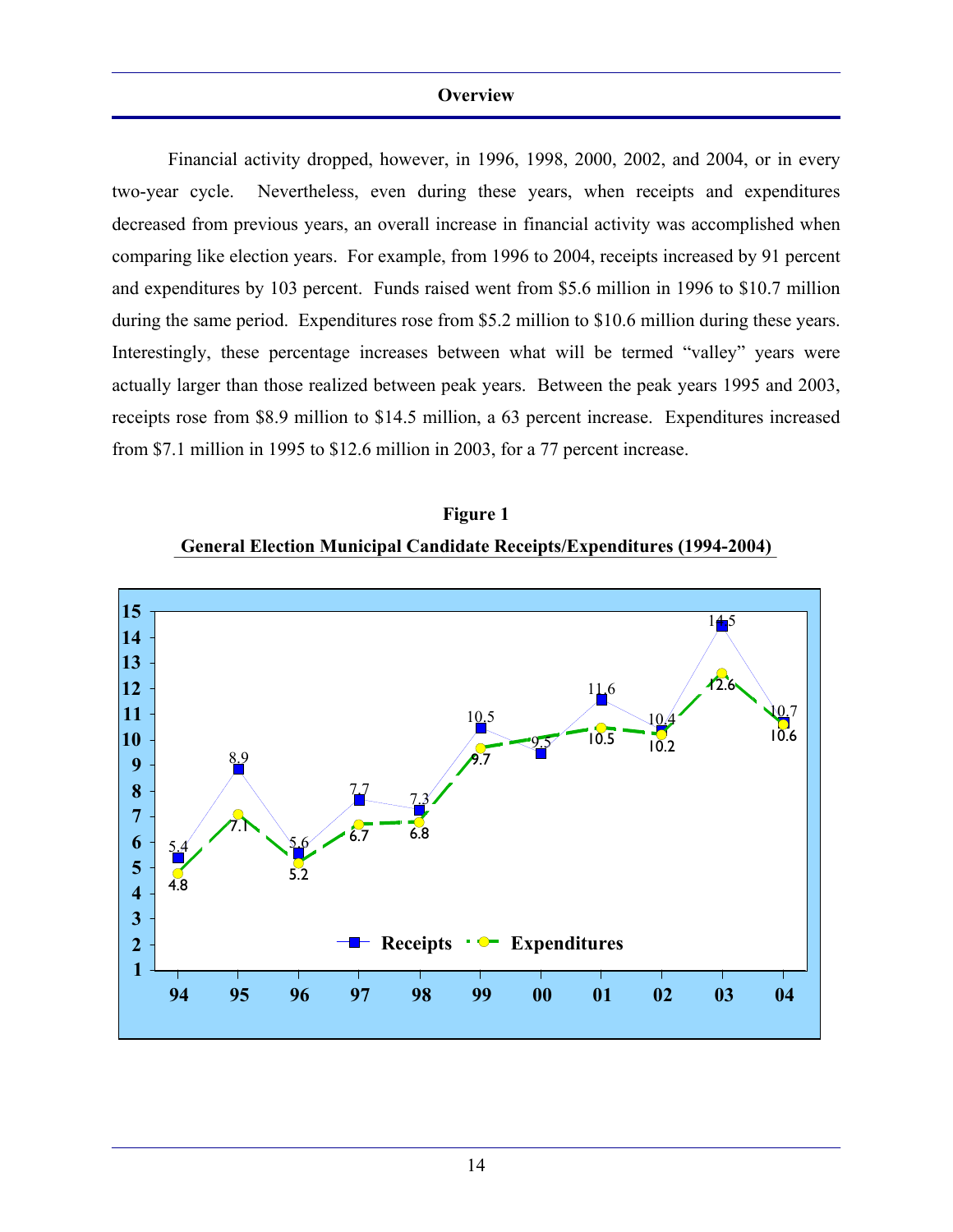Financial activity dropped, however, in 1996, 1998, 2000, 2002, and 2004, or in every two-year cycle. Nevertheless, even during these years, when receipts and expenditures decreased from previous years, an overall increase in financial activity was accomplished when comparing like election years. For example, from 1996 to 2004, receipts increased by 91 percent and expenditures by 103 percent. Funds raised went from \$5.6 million in 1996 to \$10.7 million during the same period. Expenditures rose from \$5.2 million to \$10.6 million during these years. Interestingly, these percentage increases between what will be termed "valley" years were actually larger than those realized between peak years. Between the peak years 1995 and 2003, receipts rose from \$8.9 million to \$14.5 million, a 63 percent increase. Expenditures increased from \$7.1 million in 1995 to \$12.6 million in 2003, for a 77 percent increase.



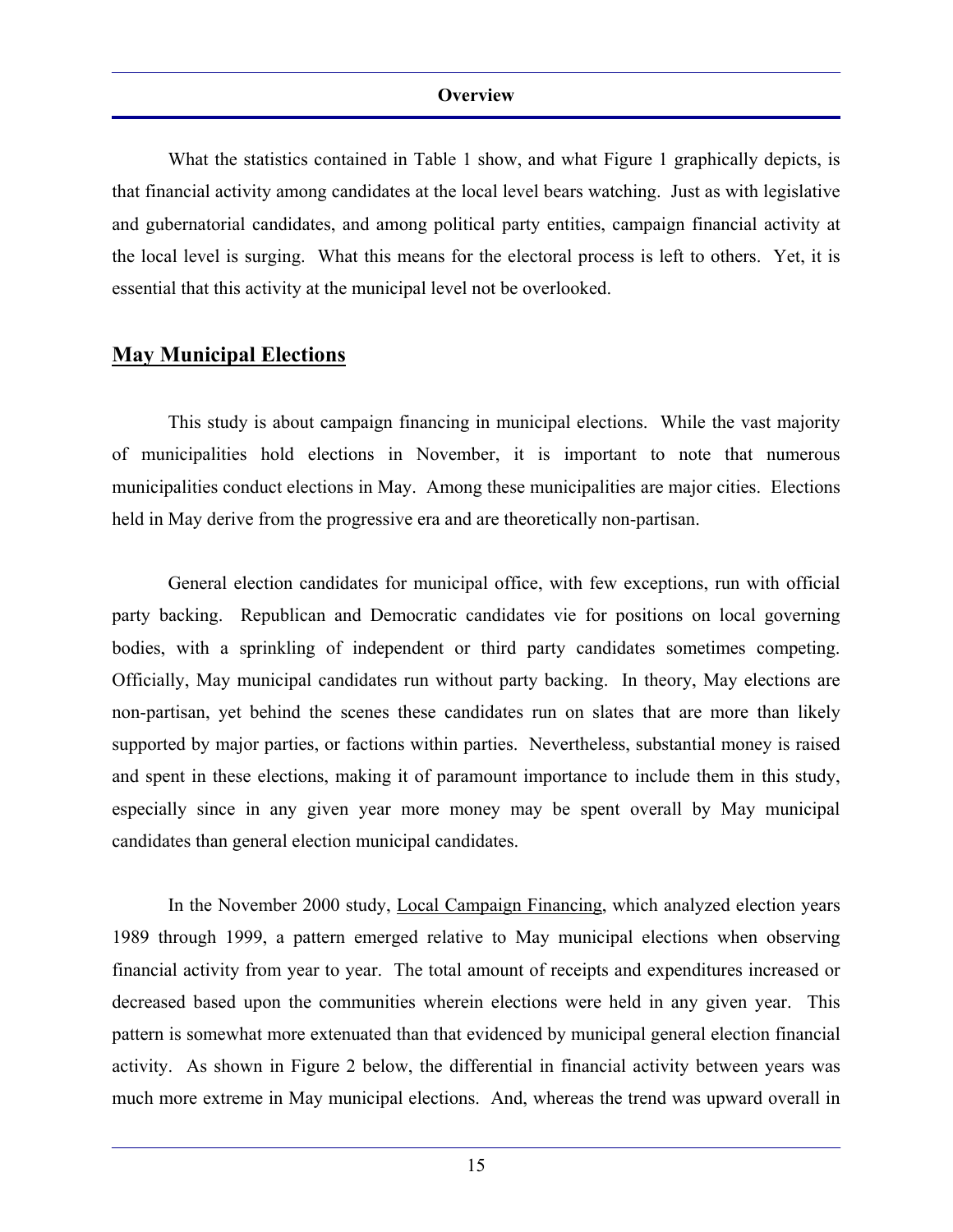What the statistics contained in Table 1 show, and what Figure 1 graphically depicts, is that financial activity among candidates at the local level bears watching. Just as with legislative and gubernatorial candidates, and among political party entities, campaign financial activity at the local level is surging. What this means for the electoral process is left to others. Yet, it is essential that this activity at the municipal level not be overlooked.

### **May Municipal Elections**

 This study is about campaign financing in municipal elections. While the vast majority of municipalities hold elections in November, it is important to note that numerous municipalities conduct elections in May. Among these municipalities are major cities. Elections held in May derive from the progressive era and are theoretically non-partisan.

 General election candidates for municipal office, with few exceptions, run with official party backing. Republican and Democratic candidates vie for positions on local governing bodies, with a sprinkling of independent or third party candidates sometimes competing. Officially, May municipal candidates run without party backing. In theory, May elections are non-partisan, yet behind the scenes these candidates run on slates that are more than likely supported by major parties, or factions within parties. Nevertheless, substantial money is raised and spent in these elections, making it of paramount importance to include them in this study, especially since in any given year more money may be spent overall by May municipal candidates than general election municipal candidates.

 In the November 2000 study, Local Campaign Financing, which analyzed election years 1989 through 1999, a pattern emerged relative to May municipal elections when observing financial activity from year to year. The total amount of receipts and expenditures increased or decreased based upon the communities wherein elections were held in any given year. This pattern is somewhat more extenuated than that evidenced by municipal general election financial activity. As shown in Figure 2 below, the differential in financial activity between years was much more extreme in May municipal elections. And, whereas the trend was upward overall in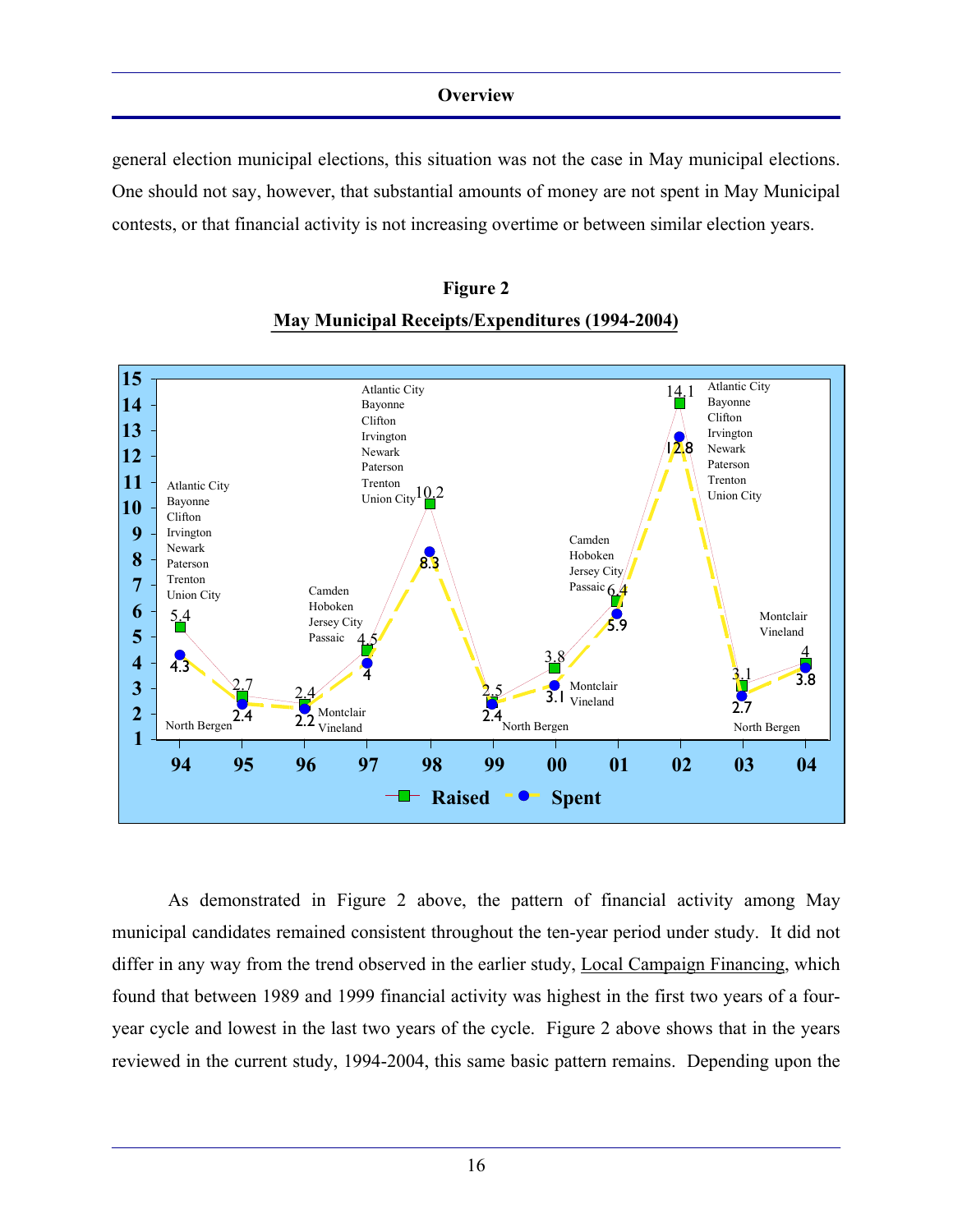general election municipal elections, this situation was not the case in May municipal elections. One should not say, however, that substantial amounts of money are not spent in May Municipal contests, or that financial activity is not increasing overtime or between similar election years.



## **May Municipal Receipts/Expenditures (1994-2004)**

**Figure 2** 

 As demonstrated in Figure 2 above, the pattern of financial activity among May municipal candidates remained consistent throughout the ten-year period under study. It did not differ in any way from the trend observed in the earlier study, Local Campaign Financing, which found that between 1989 and 1999 financial activity was highest in the first two years of a fouryear cycle and lowest in the last two years of the cycle. Figure 2 above shows that in the years reviewed in the current study, 1994-2004, this same basic pattern remains. Depending upon the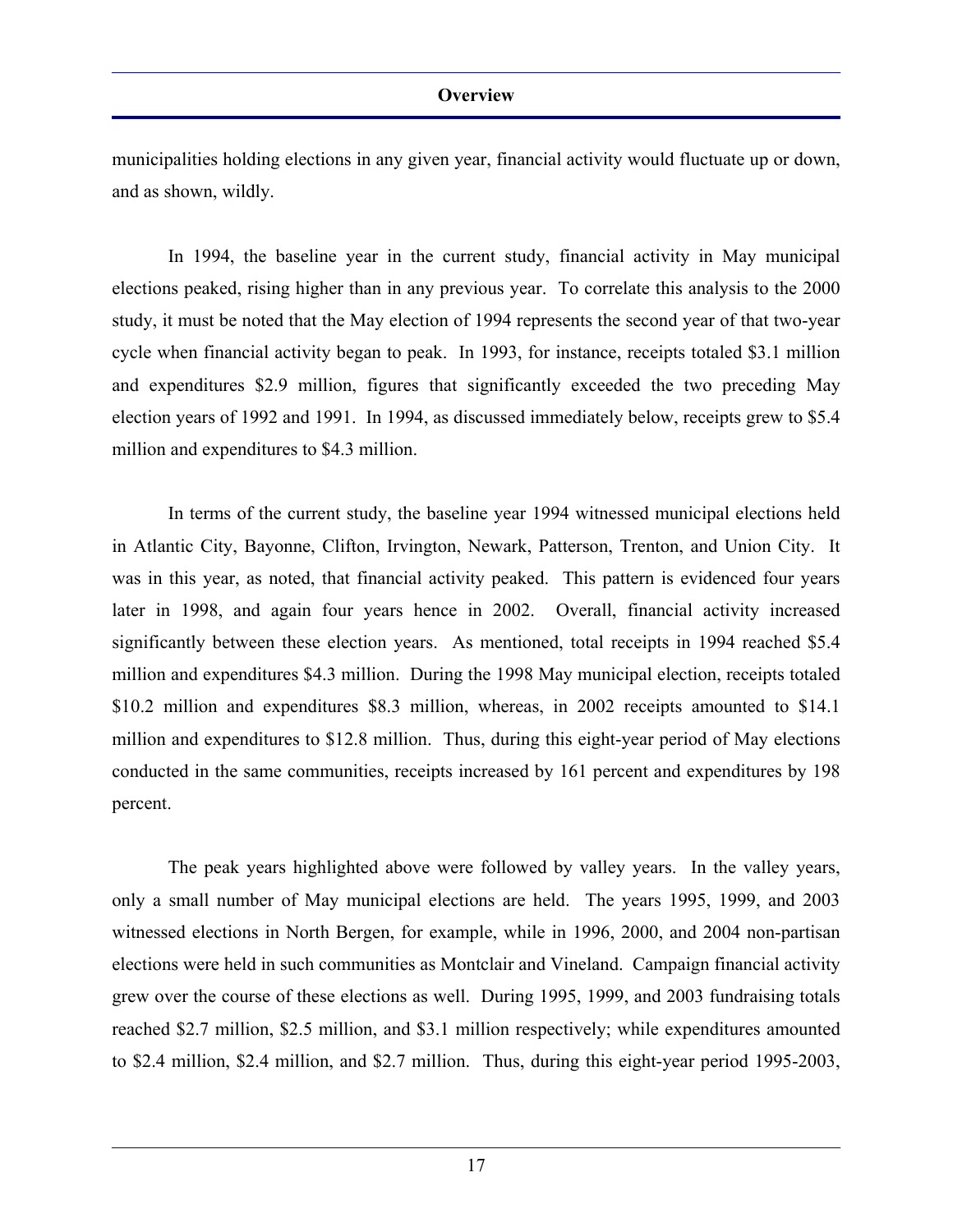municipalities holding elections in any given year, financial activity would fluctuate up or down, and as shown, wildly.

 In 1994, the baseline year in the current study, financial activity in May municipal elections peaked, rising higher than in any previous year. To correlate this analysis to the 2000 study, it must be noted that the May election of 1994 represents the second year of that two-year cycle when financial activity began to peak. In 1993, for instance, receipts totaled \$3.1 million and expenditures \$2.9 million, figures that significantly exceeded the two preceding May election years of 1992 and 1991. In 1994, as discussed immediately below, receipts grew to \$5.4 million and expenditures to \$4.3 million.

 In terms of the current study, the baseline year 1994 witnessed municipal elections held in Atlantic City, Bayonne, Clifton, Irvington, Newark, Patterson, Trenton, and Union City. It was in this year, as noted, that financial activity peaked. This pattern is evidenced four years later in 1998, and again four years hence in 2002. Overall, financial activity increased significantly between these election years. As mentioned, total receipts in 1994 reached \$5.4 million and expenditures \$4.3 million. During the 1998 May municipal election, receipts totaled \$10.2 million and expenditures \$8.3 million, whereas, in 2002 receipts amounted to \$14.1 million and expenditures to \$12.8 million. Thus, during this eight-year period of May elections conducted in the same communities, receipts increased by 161 percent and expenditures by 198 percent.

 The peak years highlighted above were followed by valley years. In the valley years, only a small number of May municipal elections are held. The years 1995, 1999, and 2003 witnessed elections in North Bergen, for example, while in 1996, 2000, and 2004 non-partisan elections were held in such communities as Montclair and Vineland. Campaign financial activity grew over the course of these elections as well. During 1995, 1999, and 2003 fundraising totals reached \$2.7 million, \$2.5 million, and \$3.1 million respectively; while expenditures amounted to \$2.4 million, \$2.4 million, and \$2.7 million. Thus, during this eight-year period 1995-2003,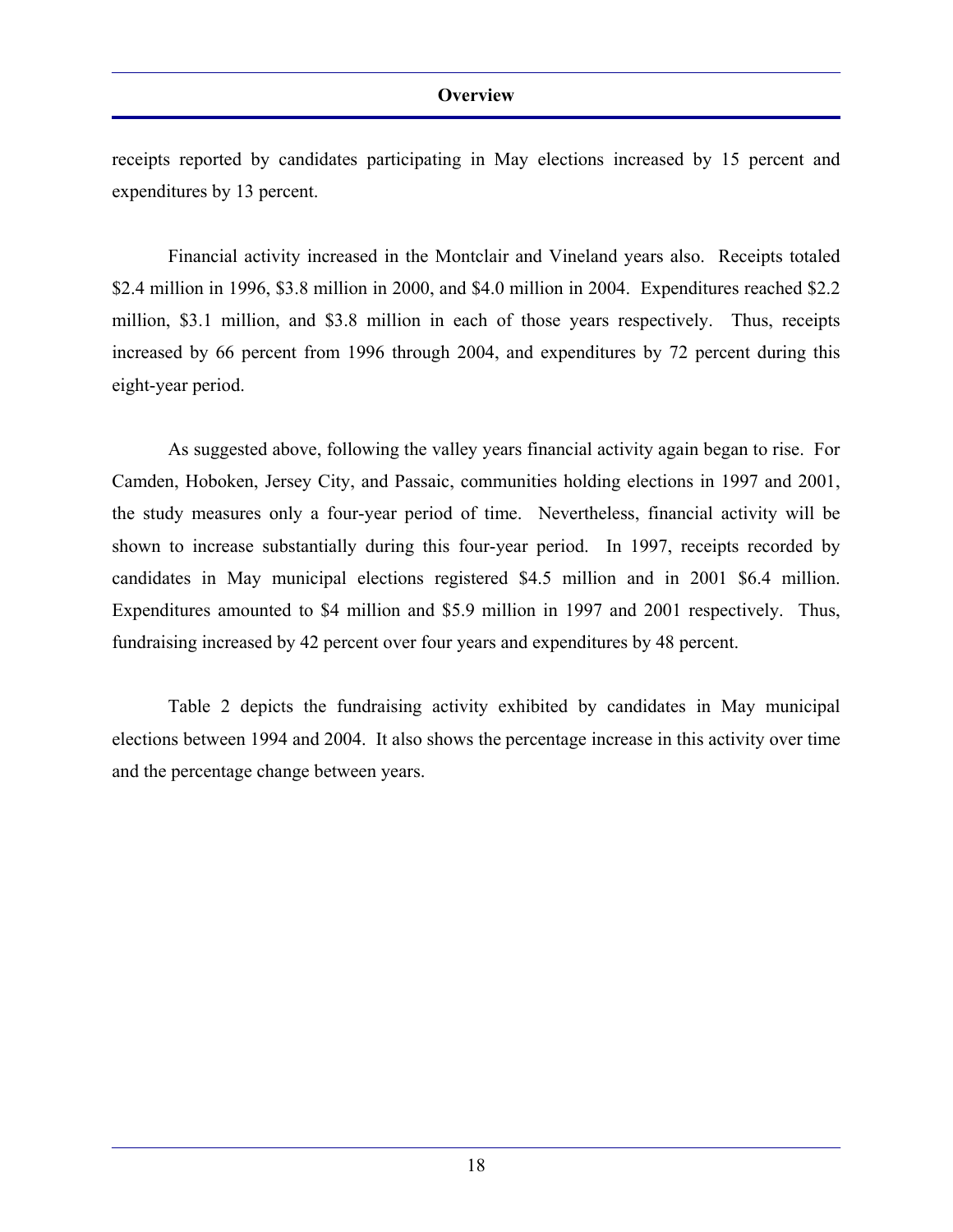receipts reported by candidates participating in May elections increased by 15 percent and expenditures by 13 percent.

 Financial activity increased in the Montclair and Vineland years also. Receipts totaled \$2.4 million in 1996, \$3.8 million in 2000, and \$4.0 million in 2004. Expenditures reached \$2.2 million, \$3.1 million, and \$3.8 million in each of those years respectively. Thus, receipts increased by 66 percent from 1996 through 2004, and expenditures by 72 percent during this eight-year period.

 As suggested above, following the valley years financial activity again began to rise. For Camden, Hoboken, Jersey City, and Passaic, communities holding elections in 1997 and 2001, the study measures only a four-year period of time. Nevertheless, financial activity will be shown to increase substantially during this four-year period. In 1997, receipts recorded by candidates in May municipal elections registered \$4.5 million and in 2001 \$6.4 million. Expenditures amounted to \$4 million and \$5.9 million in 1997 and 2001 respectively. Thus, fundraising increased by 42 percent over four years and expenditures by 48 percent.

 Table 2 depicts the fundraising activity exhibited by candidates in May municipal elections between 1994 and 2004. It also shows the percentage increase in this activity over time and the percentage change between years.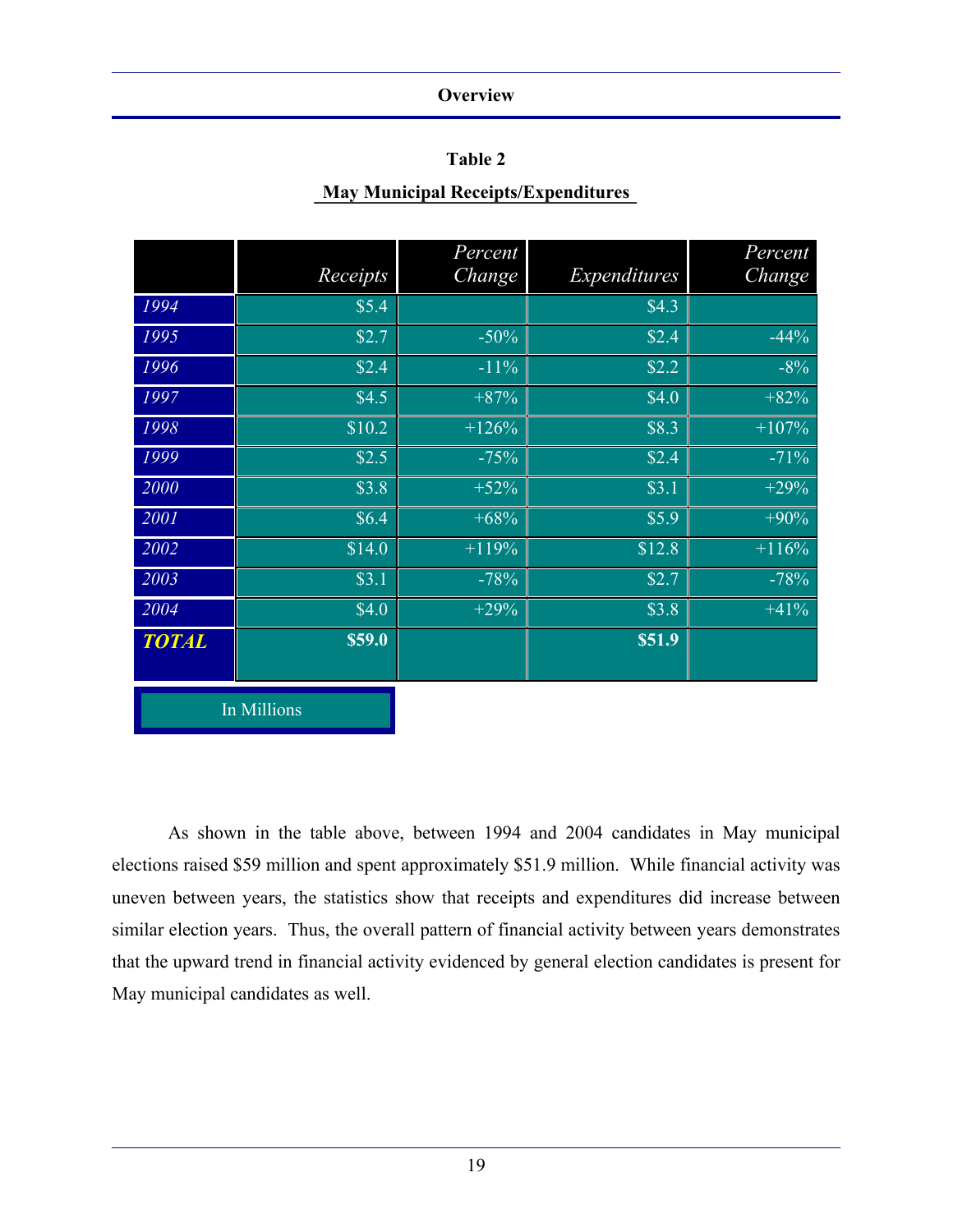### **Table 2**

### **May Municipal Receipts/Expenditures**

|              | Receipts    | Percent<br>Change | Expenditures | Percent<br>Change |
|--------------|-------------|-------------------|--------------|-------------------|
| 1994         | \$5.4       |                   | \$4.3        |                   |
| 1995         | \$2.7       | $-50%$            | \$2.4        | $-44%$            |
| 1996         | \$2.4       | $-11%$            | \$2.2        | $-8%$             |
| 1997         | \$4.5       | $+87%$            | \$4.0        | $+82%$            |
| 1998         | \$10.2      | $+126%$           | \$8.3        | $+107%$           |
| 1999         | \$2.5       | $-75%$            | \$2.4        | $-71%$            |
| 2000         | \$3.8       | $+52%$            | \$3.1        | $+29%$            |
| 2001         | \$6.4\$     | $+68%$            | \$5.9        | $+90%$            |
| 2002         | \$14.0      | $+119%$           | \$12.8       | $+116%$           |
| 2003         | \$3.1       | $-78%$            | \$2.7        | $-78%$            |
| 2004         | \$4.0       | $+29%$            | \$3.8        | $+41%$            |
| <b>TOTAL</b> | \$59.0      |                   | \$51.9       |                   |
|              | In Millions |                   |              |                   |

 As shown in the table above, between 1994 and 2004 candidates in May municipal elections raised \$59 million and spent approximately \$51.9 million. While financial activity was uneven between years, the statistics show that receipts and expenditures did increase between similar election years. Thus, the overall pattern of financial activity between years demonstrates that the upward trend in financial activity evidenced by general election candidates is present for May municipal candidates as well.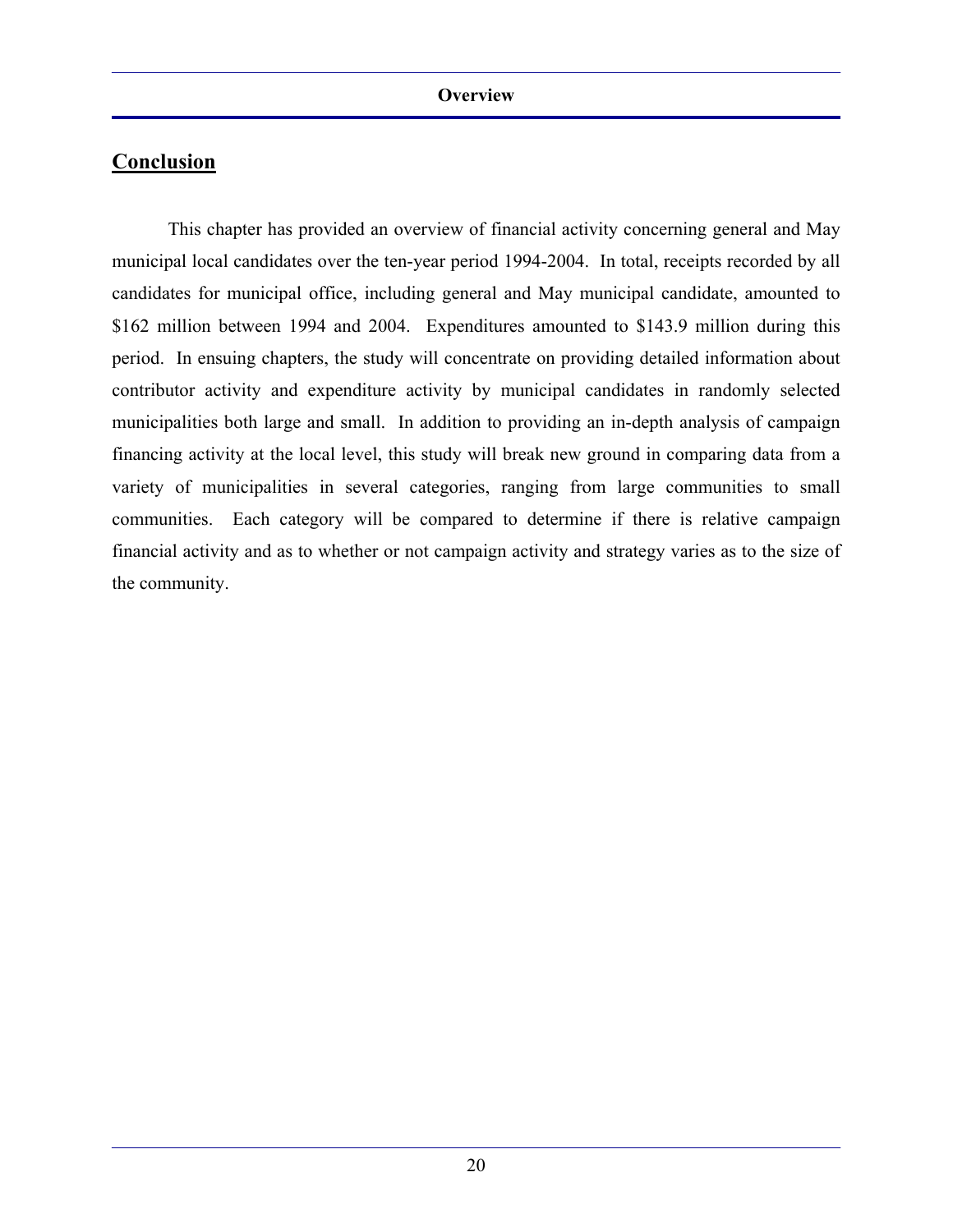This chapter has provided an overview of financial activity concerning general and May municipal local candidates over the ten-year period 1994-2004. In total, receipts recorded by all candidates for municipal office, including general and May municipal candidate, amounted to \$162 million between 1994 and 2004. Expenditures amounted to \$143.9 million during this period. In ensuing chapters, the study will concentrate on providing detailed information about contributor activity and expenditure activity by municipal candidates in randomly selected municipalities both large and small. In addition to providing an in-depth analysis of campaign financing activity at the local level, this study will break new ground in comparing data from a variety of municipalities in several categories, ranging from large communities to small communities. Each category will be compared to determine if there is relative campaign financial activity and as to whether or not campaign activity and strategy varies as to the size of the community.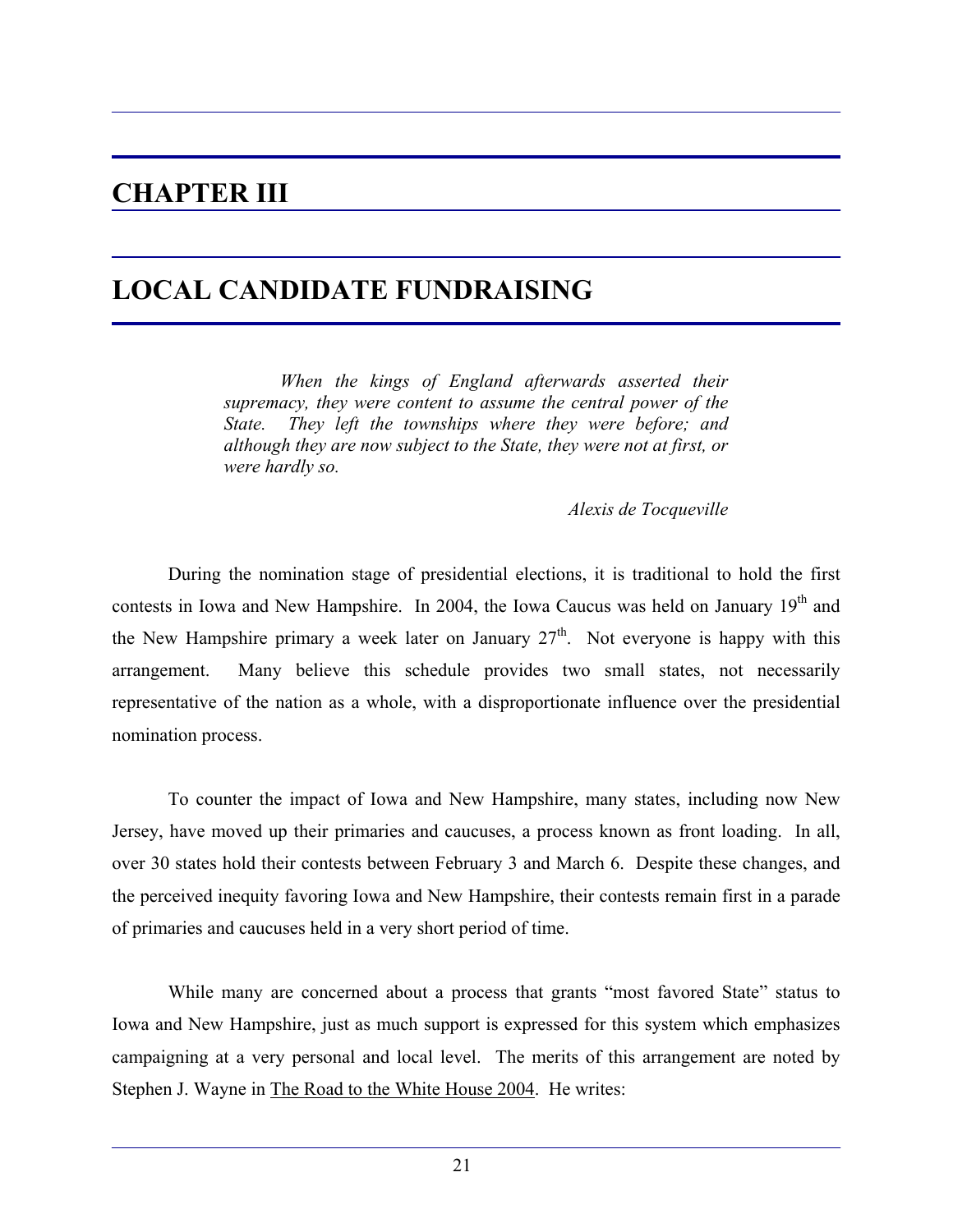## **CHAPTER III**

## **LOCAL CANDIDATE FUNDRAISING**

 *When the kings of England afterwards asserted their supremacy, they were content to assume the central power of the State. They left the townships where they were before; and although they are now subject to the State, they were not at first, or were hardly so.* 

*Alexis de Tocqueville* 

 During the nomination stage of presidential elections, it is traditional to hold the first contests in Iowa and New Hampshire. In 2004, the Iowa Caucus was held on January 19<sup>th</sup> and the New Hampshire primary a week later on January  $27<sup>th</sup>$ . Not everyone is happy with this arrangement. Many believe this schedule provides two small states, not necessarily representative of the nation as a whole, with a disproportionate influence over the presidential nomination process.

 To counter the impact of Iowa and New Hampshire, many states, including now New Jersey, have moved up their primaries and caucuses, a process known as front loading. In all, over 30 states hold their contests between February 3 and March 6. Despite these changes, and the perceived inequity favoring Iowa and New Hampshire, their contests remain first in a parade of primaries and caucuses held in a very short period of time.

 While many are concerned about a process that grants "most favored State" status to Iowa and New Hampshire, just as much support is expressed for this system which emphasizes campaigning at a very personal and local level. The merits of this arrangement are noted by Stephen J. Wayne in The Road to the White House 2004. He writes: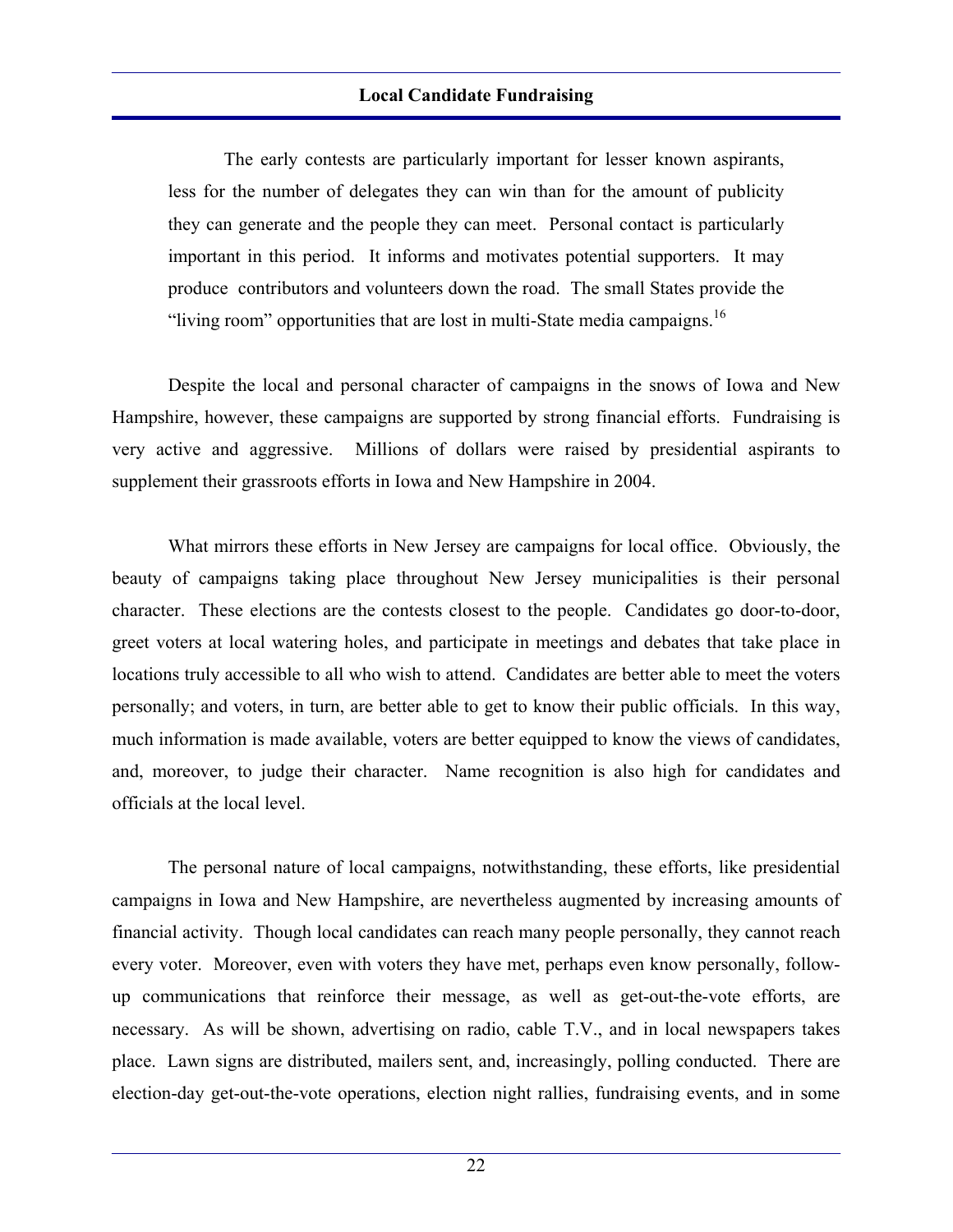The early contests are particularly important for lesser known aspirants, less for the number of delegates they can win than for the amount of publicity they can generate and the people they can meet. Personal contact is particularly important in this period. It informs and motivates potential supporters. It may produce contributors and volunteers down the road. The small States provide the "living room" opportunities that are lost in multi-State media campaigns.<sup>16</sup>

 Despite the local and personal character of campaigns in the snows of Iowa and New Hampshire, however, these campaigns are supported by strong financial efforts. Fundraising is very active and aggressive. Millions of dollars were raised by presidential aspirants to supplement their grassroots efforts in Iowa and New Hampshire in 2004.

 What mirrors these efforts in New Jersey are campaigns for local office. Obviously, the beauty of campaigns taking place throughout New Jersey municipalities is their personal character. These elections are the contests closest to the people. Candidates go door-to-door, greet voters at local watering holes, and participate in meetings and debates that take place in locations truly accessible to all who wish to attend. Candidates are better able to meet the voters personally; and voters, in turn, are better able to get to know their public officials. In this way, much information is made available, voters are better equipped to know the views of candidates, and, moreover, to judge their character. Name recognition is also high for candidates and officials at the local level.

 The personal nature of local campaigns, notwithstanding, these efforts, like presidential campaigns in Iowa and New Hampshire, are nevertheless augmented by increasing amounts of financial activity. Though local candidates can reach many people personally, they cannot reach every voter. Moreover, even with voters they have met, perhaps even know personally, followup communications that reinforce their message, as well as get-out-the-vote efforts, are necessary. As will be shown, advertising on radio, cable T.V., and in local newspapers takes place. Lawn signs are distributed, mailers sent, and, increasingly, polling conducted. There are election-day get-out-the-vote operations, election night rallies, fundraising events, and in some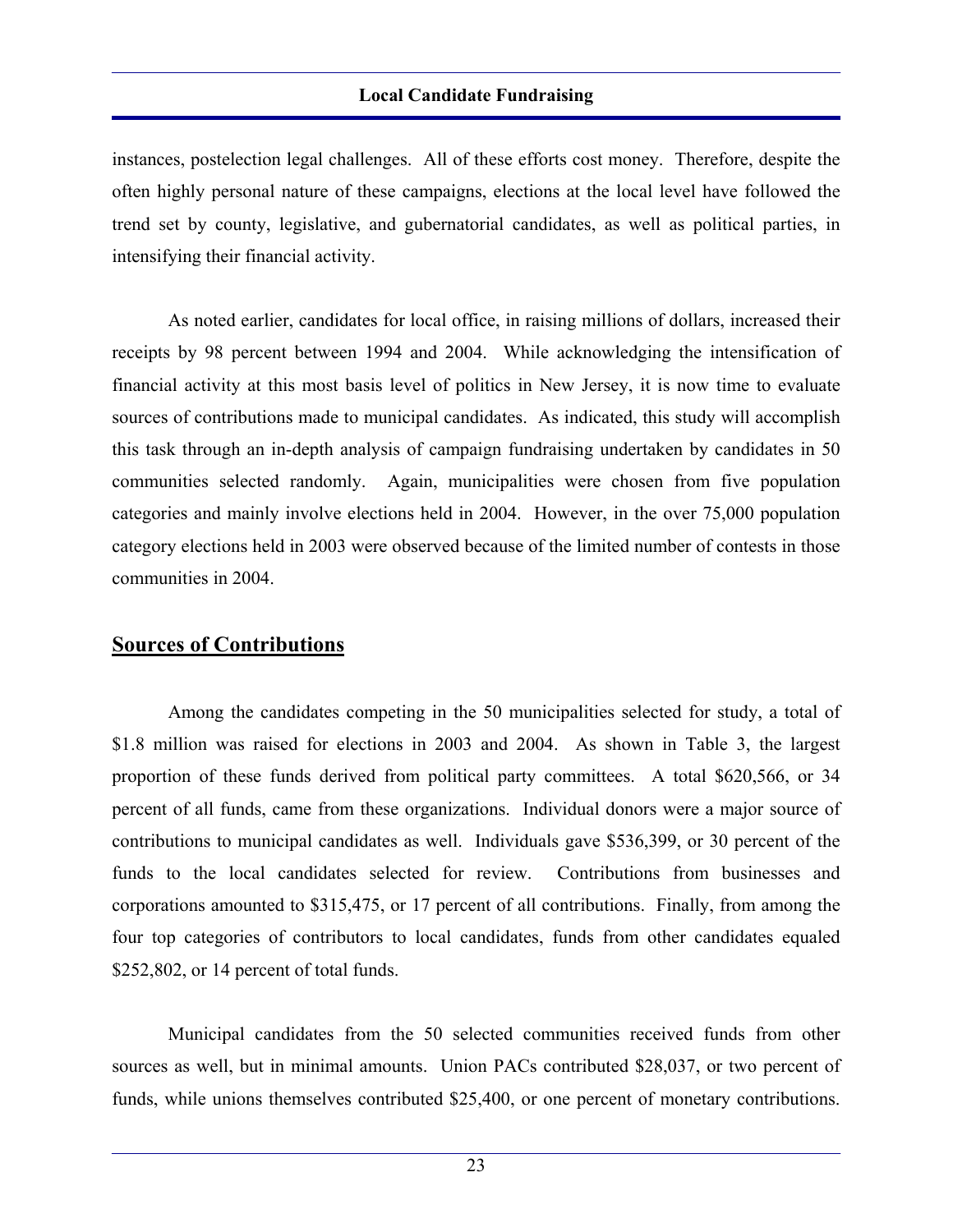instances, postelection legal challenges. All of these efforts cost money. Therefore, despite the often highly personal nature of these campaigns, elections at the local level have followed the trend set by county, legislative, and gubernatorial candidates, as well as political parties, in intensifying their financial activity.

 As noted earlier, candidates for local office, in raising millions of dollars, increased their receipts by 98 percent between 1994 and 2004. While acknowledging the intensification of financial activity at this most basis level of politics in New Jersey, it is now time to evaluate sources of contributions made to municipal candidates. As indicated, this study will accomplish this task through an in-depth analysis of campaign fundraising undertaken by candidates in 50 communities selected randomly. Again, municipalities were chosen from five population categories and mainly involve elections held in 2004. However, in the over 75,000 population category elections held in 2003 were observed because of the limited number of contests in those communities in 2004.

### **Sources of Contributions**

 Among the candidates competing in the 50 municipalities selected for study, a total of \$1.8 million was raised for elections in 2003 and 2004. As shown in Table 3, the largest proportion of these funds derived from political party committees. A total \$620,566, or 34 percent of all funds, came from these organizations. Individual donors were a major source of contributions to municipal candidates as well. Individuals gave \$536,399, or 30 percent of the funds to the local candidates selected for review. Contributions from businesses and corporations amounted to \$315,475, or 17 percent of all contributions. Finally, from among the four top categories of contributors to local candidates, funds from other candidates equaled \$252,802, or 14 percent of total funds.

 Municipal candidates from the 50 selected communities received funds from other sources as well, but in minimal amounts. Union PACs contributed \$28,037, or two percent of funds, while unions themselves contributed \$25,400, or one percent of monetary contributions.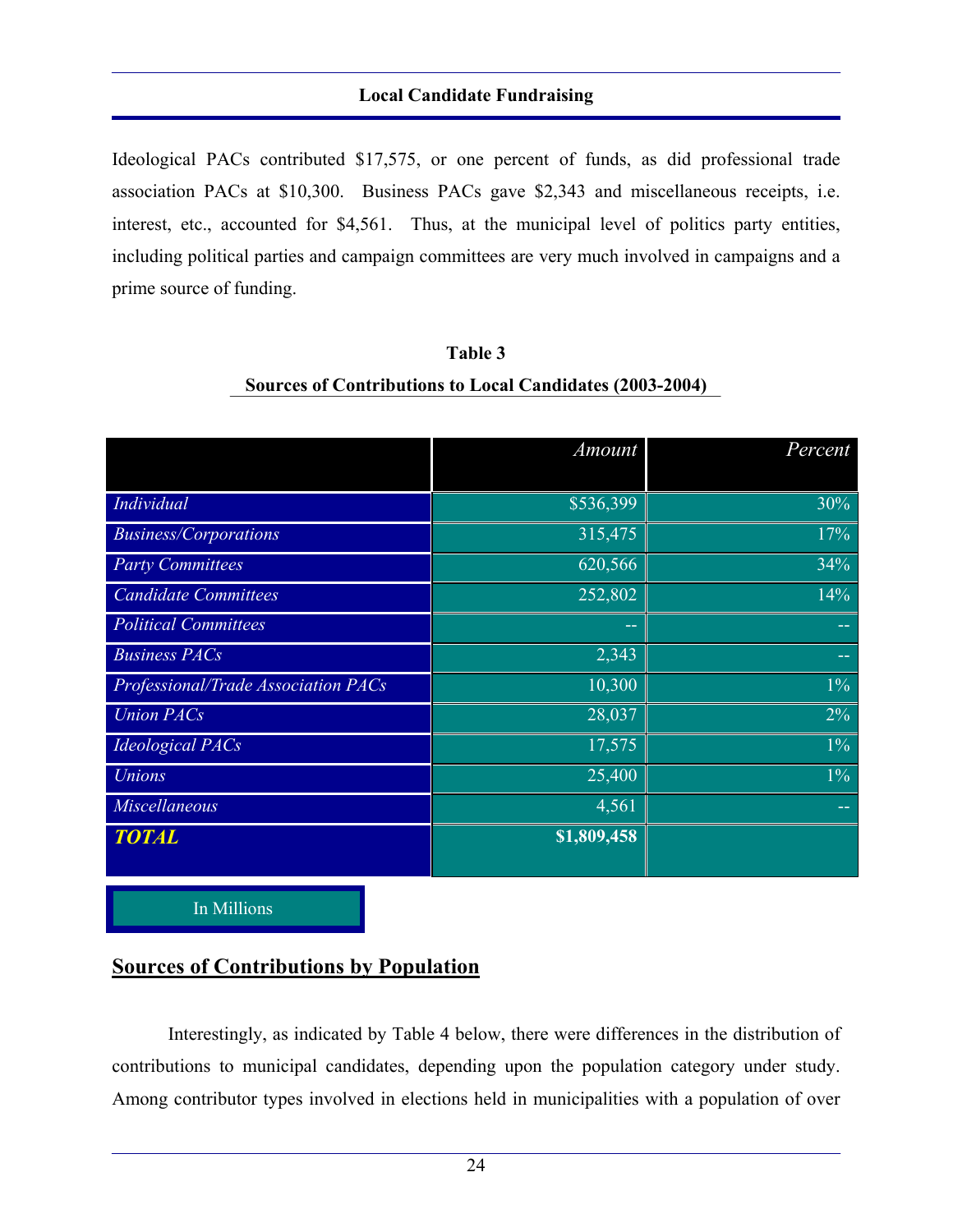Ideological PACs contributed \$17,575, or one percent of funds, as did professional trade association PACs at \$10,300. Business PACs gave \$2,343 and miscellaneous receipts, i.e. interest, etc., accounted for \$4,561. Thus, at the municipal level of politics party entities, including political parties and campaign committees are very much involved in campaigns and a prime source of funding.

|                                     | Amount      | Percent |
|-------------------------------------|-------------|---------|
| Individual                          | \$536,399   | 30%     |
|                                     |             |         |
| <b>Business/Corporations</b>        | 315,475     | 17%     |
| <b>Party Committees</b>             | 620,566     | 34%     |
| <b>Candidate Committees</b>         | 252,802     | 14%     |
| <b>Political Committees</b>         | --          |         |
| <b>Business PACs</b>                | 2,343       | --      |
| Professional/Trade Association PACs | 10,300      | $1\%$   |
| <b>Union PACs</b>                   | 28,037      | $2\%$   |
| <b>Ideological PACs</b>             | 17,575      | $1\%$   |
| <b>Unions</b>                       | 25,400      | $1\%$   |
| Miscellaneous                       | 4,561       | --      |
| <b>TOTAL</b>                        | \$1,809,458 |         |
|                                     |             |         |

## **Table 3 Sources of Contributions to Local Candidates (2003-2004)**

In Millions

## **Sources of Contributions by Population**

 Interestingly, as indicated by Table 4 below, there were differences in the distribution of contributions to municipal candidates, depending upon the population category under study. Among contributor types involved in elections held in municipalities with a population of over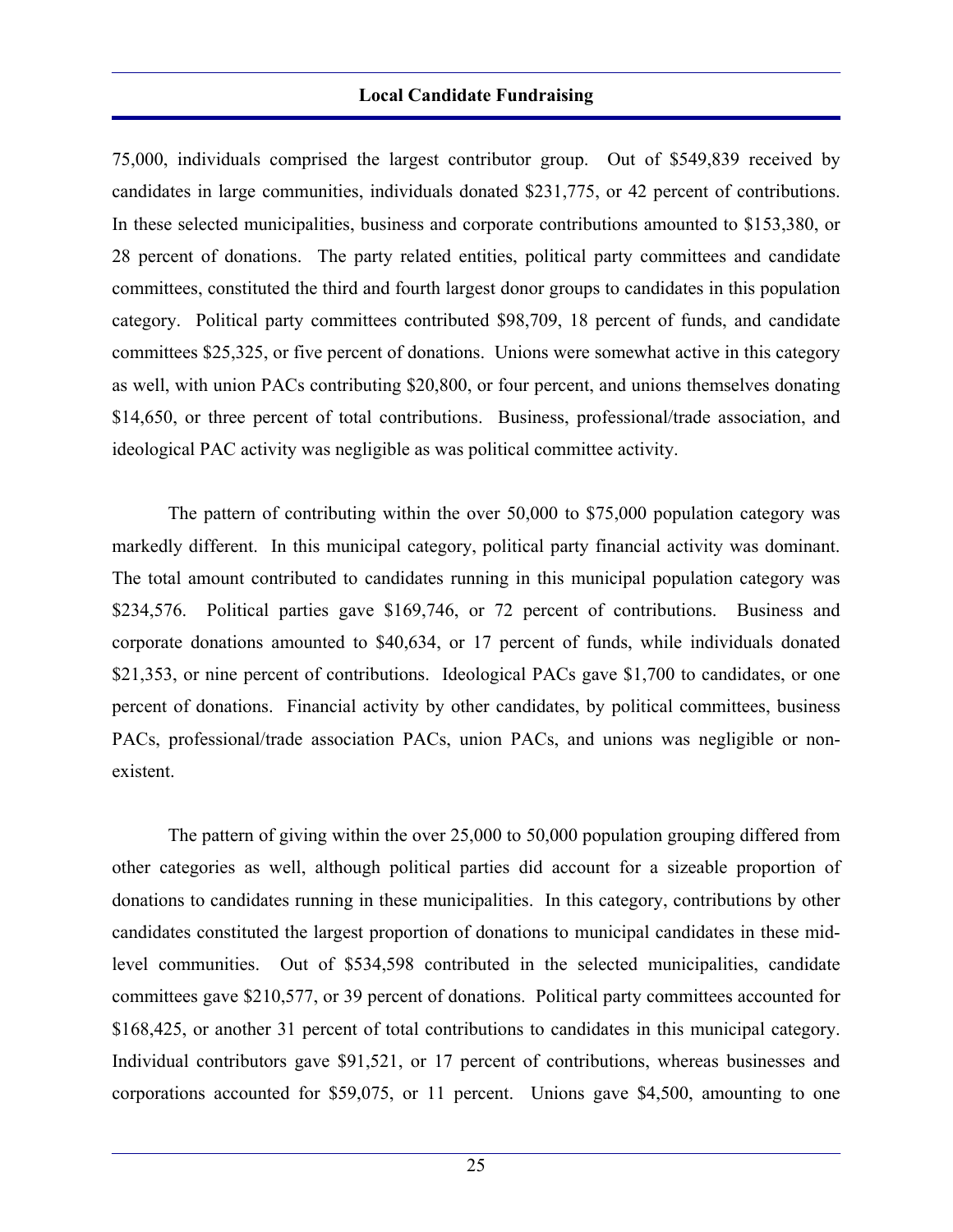75,000, individuals comprised the largest contributor group. Out of \$549,839 received by candidates in large communities, individuals donated \$231,775, or 42 percent of contributions. In these selected municipalities, business and corporate contributions amounted to \$153,380, or 28 percent of donations. The party related entities, political party committees and candidate committees, constituted the third and fourth largest donor groups to candidates in this population category. Political party committees contributed \$98,709, 18 percent of funds, and candidate committees \$25,325, or five percent of donations. Unions were somewhat active in this category as well, with union PACs contributing \$20,800, or four percent, and unions themselves donating \$14,650, or three percent of total contributions. Business, professional/trade association, and ideological PAC activity was negligible as was political committee activity.

 The pattern of contributing within the over 50,000 to \$75,000 population category was markedly different. In this municipal category, political party financial activity was dominant. The total amount contributed to candidates running in this municipal population category was \$234,576. Political parties gave \$169,746, or 72 percent of contributions. Business and corporate donations amounted to \$40,634, or 17 percent of funds, while individuals donated \$21,353, or nine percent of contributions. Ideological PACs gave \$1,700 to candidates, or one percent of donations. Financial activity by other candidates, by political committees, business PACs, professional/trade association PACs, union PACs, and unions was negligible or nonexistent.

 The pattern of giving within the over 25,000 to 50,000 population grouping differed from other categories as well, although political parties did account for a sizeable proportion of donations to candidates running in these municipalities. In this category, contributions by other candidates constituted the largest proportion of donations to municipal candidates in these midlevel communities. Out of \$534,598 contributed in the selected municipalities, candidate committees gave \$210,577, or 39 percent of donations. Political party committees accounted for \$168,425, or another 31 percent of total contributions to candidates in this municipal category. Individual contributors gave \$91,521, or 17 percent of contributions, whereas businesses and corporations accounted for \$59,075, or 11 percent. Unions gave \$4,500, amounting to one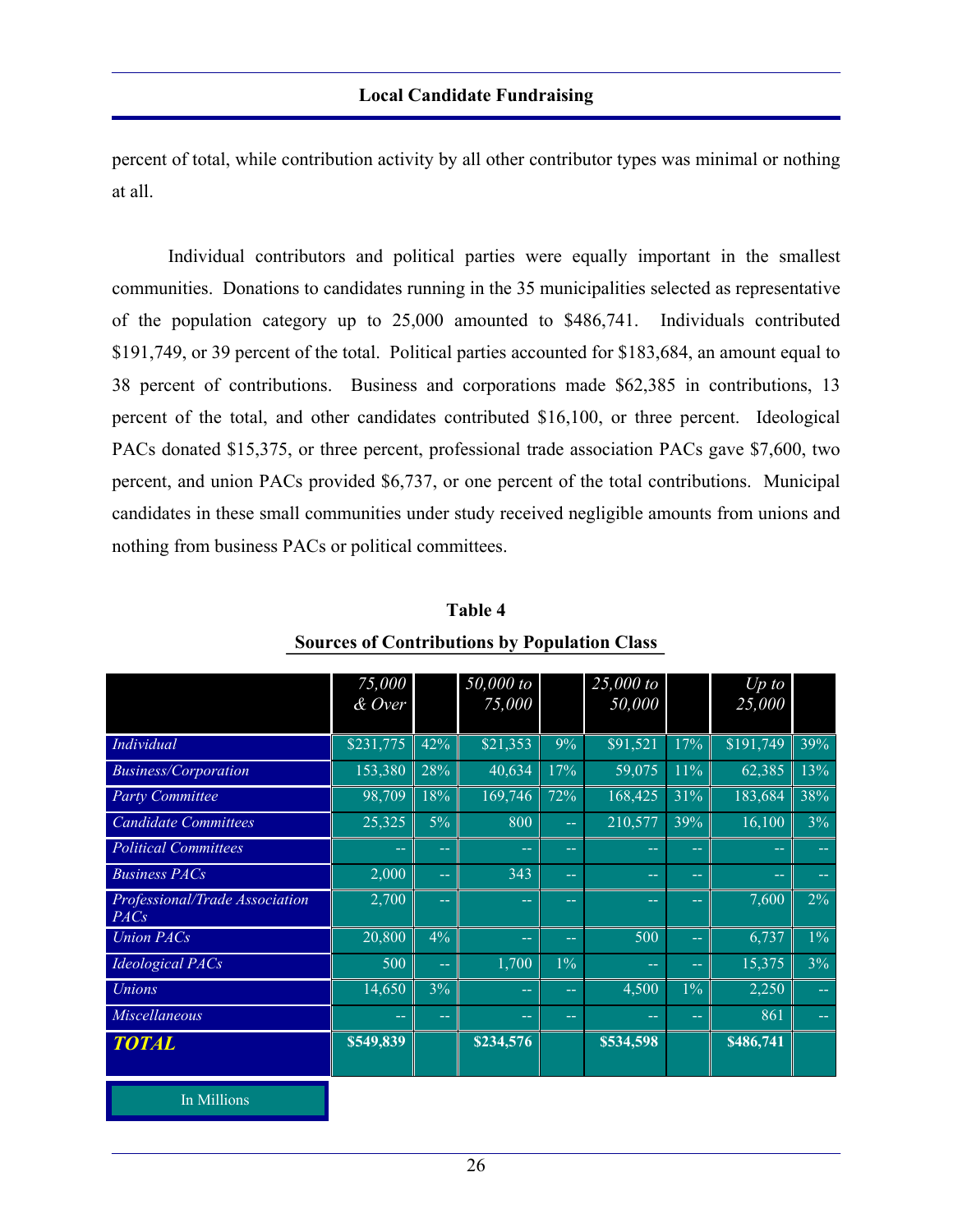percent of total, while contribution activity by all other contributor types was minimal or nothing at all.

 Individual contributors and political parties were equally important in the smallest communities. Donations to candidates running in the 35 municipalities selected as representative of the population category up to 25,000 amounted to \$486,741. Individuals contributed \$191,749, or 39 percent of the total. Political parties accounted for \$183,684, an amount equal to 38 percent of contributions. Business and corporations made \$62,385 in contributions, 13 percent of the total, and other candidates contributed \$16,100, or three percent. Ideological PACs donated \$15,375, or three percent, professional trade association PACs gave \$7,600, two percent, and union PACs provided \$6,737, or one percent of the total contributions. Municipal candidates in these small communities under study received negligible amounts from unions and nothing from business PACs or political committees.

|                                        | 75,000        |            | 50,000 to         |               | 25,000 to  |               | $Up$ to   |               |
|----------------------------------------|---------------|------------|-------------------|---------------|------------|---------------|-----------|---------------|
|                                        | & Over        |            | 75,000            |               | 50,000     |               | 25,000    |               |
|                                        |               |            |                   |               |            |               |           |               |
| Individual                             | \$231,775     | 42%        | \$21,353          | 9%            | \$91,521   | 17%           | \$191,749 | 39%           |
| <b>Business/Corporation</b>            | 153,380       | 28%        | 40,634            | 17%           | 59,075     | 11%           | 62,385    | 13%           |
| <b>Party Committee</b>                 | 98,709        | 18%        | 169,746           | 72%           | 168,425    | 31%           | 183,684   | 38%           |
| <b>Candidate Committees</b>            | 25,325        | $5\%$      | 800               | $\rightarrow$ | 210,577    | 39%           | 16,100    | 3%            |
| <b>Political Committees</b>            | $- -$         | $\sim$ $-$ | $- -$             | $\sim$ $\sim$ | $\sim$ $-$ | $- -$         | $- -$     | $\sim$ $-$    |
| <b>Business PACs</b>                   | 2,000         | $\sim$     | 343               | ш.            | шm,        | --            |           | $-1$          |
| Professional/Trade Association<br>PACs | 2,700         | $\sim$ $-$ | <b>COLLECTION</b> | $- -$         | --         | --            | 7,600     | $2\%$         |
| <b>Union PACs</b>                      | 20,800        | 4%         | $\rightarrow$     | $\sim$ $\sim$ | 500        | $\sim$ $-$    | 6,737     | $1\%$         |
| <b>Ideological PACs</b>                | 500           | $\sim$     | 1,700             | $1\%$         | шm,        | 44            | 15,375    | 3%            |
| <b>Unions</b>                          | 14,650        | 3%         | --                | $\sim$ $\sim$ | 4,500      | $1\%$         | 2,250     | $\sim$ $\sim$ |
| <b>Miscellaneous</b>                   | $\sim$ $\sim$ | $\sim$ $-$ | --                | $\sim$ $\sim$ | --         | $\sim$ $\sim$ | 861       | $\sim$ $\sim$ |
| <b>TOTAL</b>                           | \$549,839     |            | \$234,576         |               | \$534,598  |               | \$486,741 |               |
|                                        |               |            |                   |               |            |               |           |               |
| In Millions                            |               |            |                   |               |            |               |           |               |

**Table 4 Sources of Contributions by Population Class**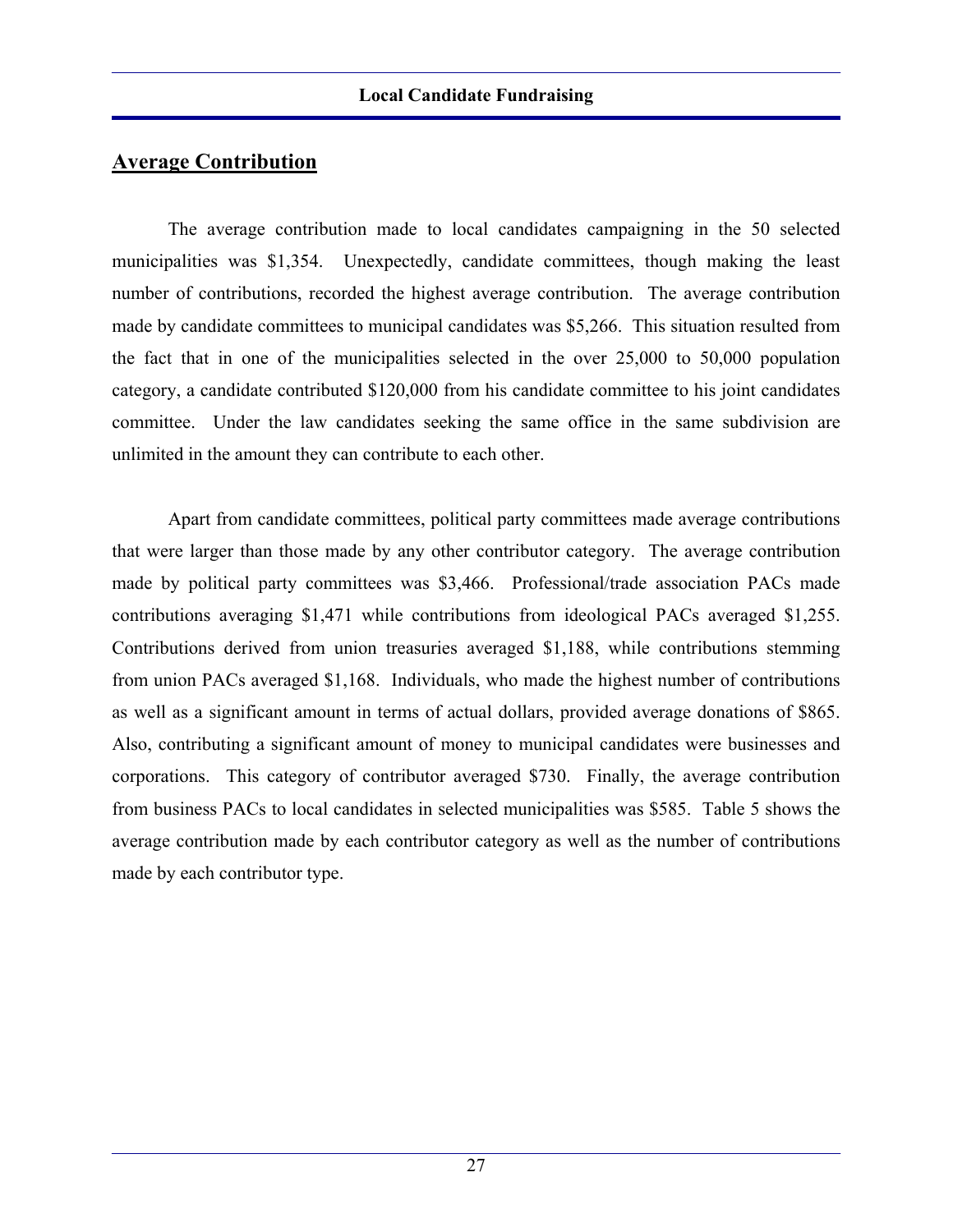## **Average Contribution**

 The average contribution made to local candidates campaigning in the 50 selected municipalities was \$1,354. Unexpectedly, candidate committees, though making the least number of contributions, recorded the highest average contribution. The average contribution made by candidate committees to municipal candidates was \$5,266. This situation resulted from the fact that in one of the municipalities selected in the over 25,000 to 50,000 population category, a candidate contributed \$120,000 from his candidate committee to his joint candidates committee. Under the law candidates seeking the same office in the same subdivision are unlimited in the amount they can contribute to each other.

 Apart from candidate committees, political party committees made average contributions that were larger than those made by any other contributor category. The average contribution made by political party committees was \$3,466. Professional/trade association PACs made contributions averaging \$1,471 while contributions from ideological PACs averaged \$1,255. Contributions derived from union treasuries averaged \$1,188, while contributions stemming from union PACs averaged \$1,168. Individuals, who made the highest number of contributions as well as a significant amount in terms of actual dollars, provided average donations of \$865. Also, contributing a significant amount of money to municipal candidates were businesses and corporations. This category of contributor averaged \$730. Finally, the average contribution from business PACs to local candidates in selected municipalities was \$585. Table 5 shows the average contribution made by each contributor category as well as the number of contributions made by each contributor type.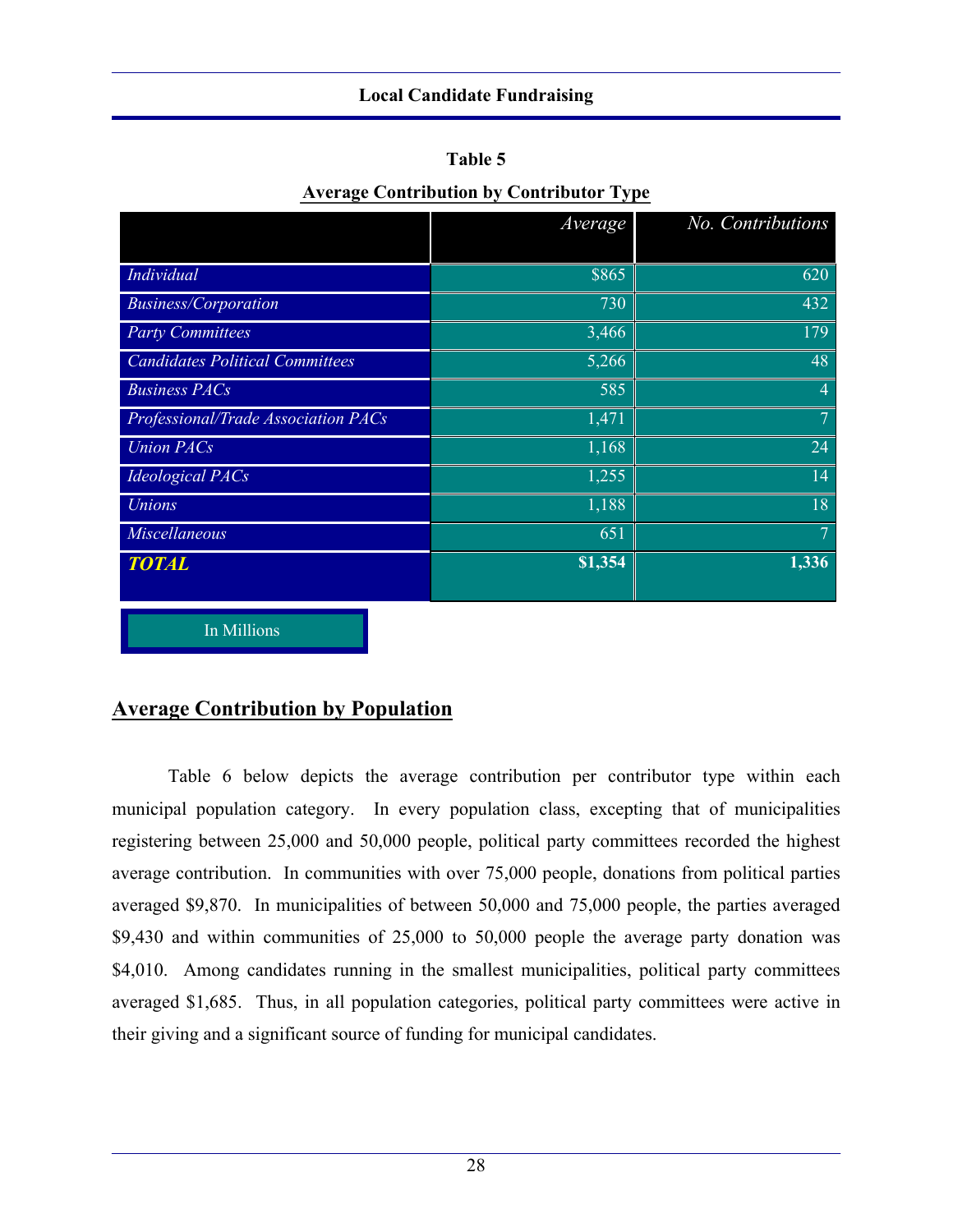| π |  | ını<br>н |  |
|---|--|----------|--|
|---|--|----------|--|

|  |  |  | <b>Average Contribution by Contributor Type</b> |  |
|--|--|--|-------------------------------------------------|--|
|--|--|--|-------------------------------------------------|--|

|                                        | Average | No. Contributions  |
|----------------------------------------|---------|--------------------|
|                                        |         |                    |
| Individual                             | \$865   | 620                |
| <b>Business/Corporation</b>            | 730     | 432                |
| <b>Party Committees</b>                | 3,466   | 179                |
| <b>Candidates Political Committees</b> | 5,266   | 48                 |
| <b>Business PACs</b>                   | 585     | $\overline{4}$     |
| Professional/Trade Association PACs    | 1,471   | $\overline{7}$     |
| <b>Union PACs</b>                      | 1,168   | 24                 |
| <b>Ideological PACs</b>                | 1,255   | 14                 |
| <b>Unions</b>                          | 1,188   | 18                 |
| Miscellaneous                          | 651     | $\overline{7}$     |
| <b>TOTAL</b>                           | \$1,354 | $\overline{1,336}$ |
|                                        |         |                    |

In Millions

## **Average Contribution by Population**

 Table 6 below depicts the average contribution per contributor type within each municipal population category. In every population class, excepting that of municipalities registering between 25,000 and 50,000 people, political party committees recorded the highest average contribution. In communities with over 75,000 people, donations from political parties averaged \$9,870. In municipalities of between 50,000 and 75,000 people, the parties averaged \$9,430 and within communities of 25,000 to 50,000 people the average party donation was \$4,010. Among candidates running in the smallest municipalities, political party committees averaged \$1,685. Thus, in all population categories, political party committees were active in their giving and a significant source of funding for municipal candidates.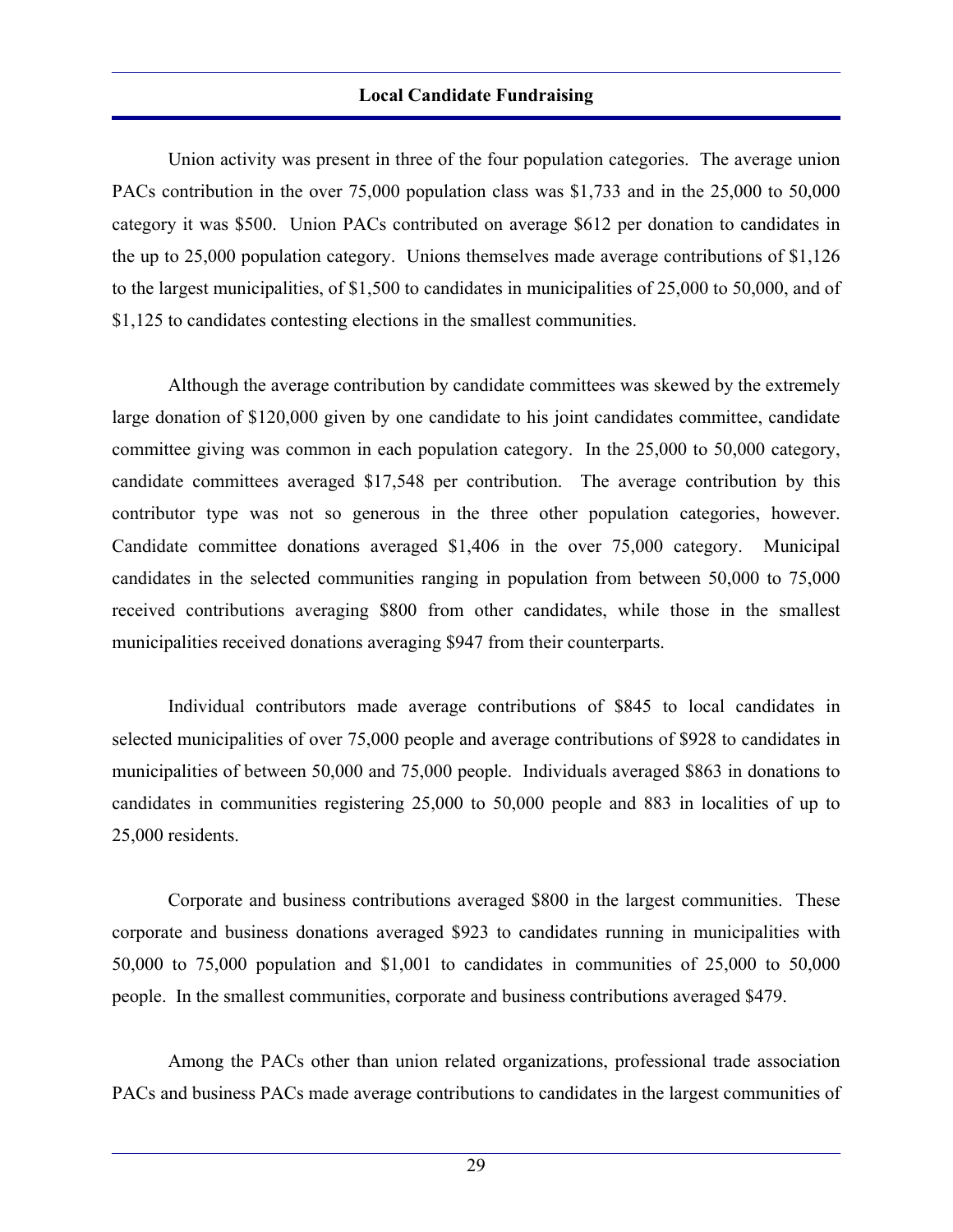Union activity was present in three of the four population categories. The average union PACs contribution in the over 75,000 population class was \$1,733 and in the 25,000 to 50,000 category it was \$500. Union PACs contributed on average \$612 per donation to candidates in the up to 25,000 population category. Unions themselves made average contributions of \$1,126 to the largest municipalities, of \$1,500 to candidates in municipalities of 25,000 to 50,000, and of \$1,125 to candidates contesting elections in the smallest communities.

 Although the average contribution by candidate committees was skewed by the extremely large donation of \$120,000 given by one candidate to his joint candidates committee, candidate committee giving was common in each population category. In the 25,000 to 50,000 category, candidate committees averaged \$17,548 per contribution. The average contribution by this contributor type was not so generous in the three other population categories, however. Candidate committee donations averaged \$1,406 in the over 75,000 category. Municipal candidates in the selected communities ranging in population from between 50,000 to 75,000 received contributions averaging \$800 from other candidates, while those in the smallest municipalities received donations averaging \$947 from their counterparts.

 Individual contributors made average contributions of \$845 to local candidates in selected municipalities of over 75,000 people and average contributions of \$928 to candidates in municipalities of between 50,000 and 75,000 people. Individuals averaged \$863 in donations to candidates in communities registering 25,000 to 50,000 people and 883 in localities of up to 25,000 residents.

 Corporate and business contributions averaged \$800 in the largest communities. These corporate and business donations averaged \$923 to candidates running in municipalities with 50,000 to 75,000 population and \$1,001 to candidates in communities of 25,000 to 50,000 people. In the smallest communities, corporate and business contributions averaged \$479.

 Among the PACs other than union related organizations, professional trade association PACs and business PACs made average contributions to candidates in the largest communities of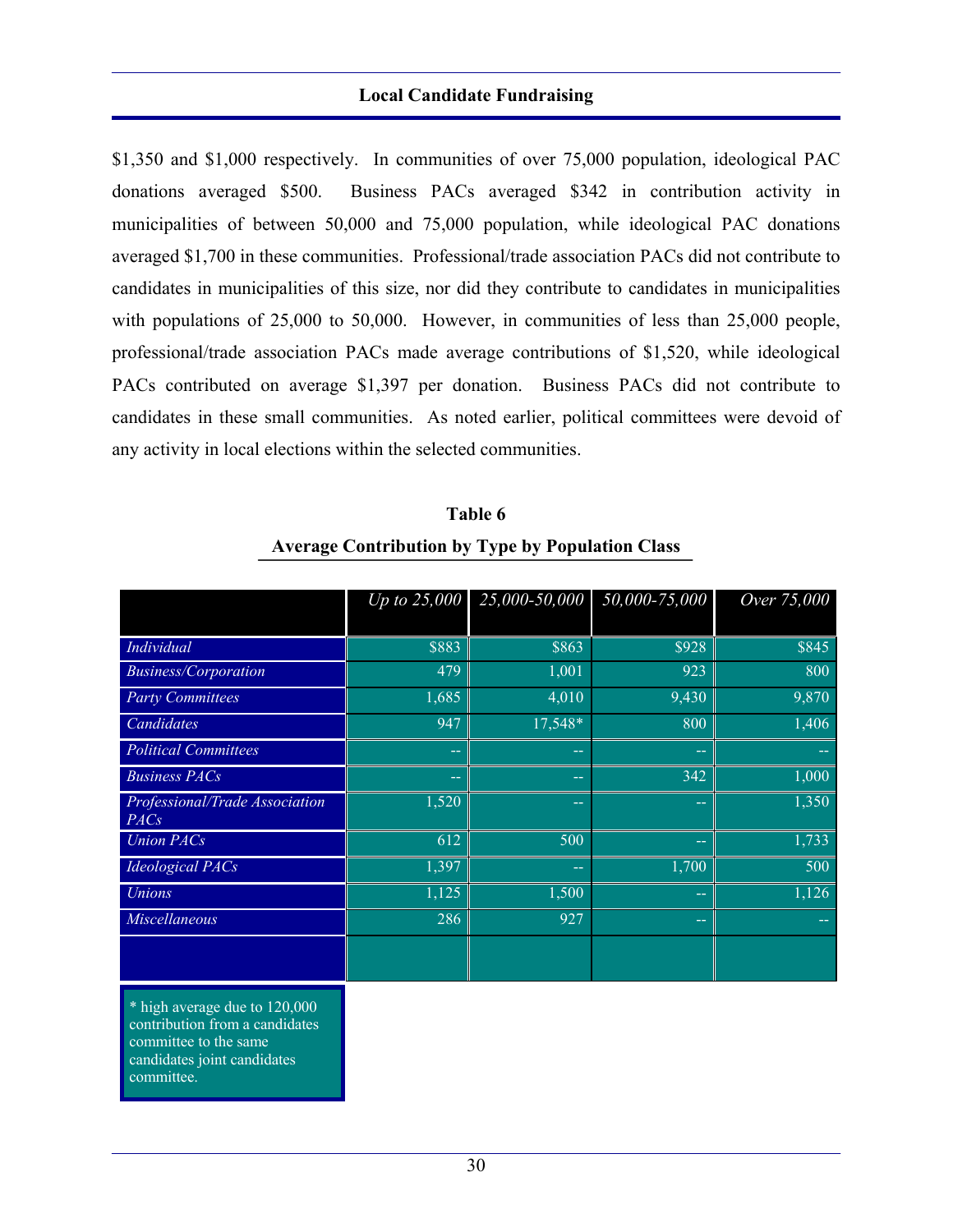\$1,350 and \$1,000 respectively. In communities of over 75,000 population, ideological PAC donations averaged \$500. Business PACs averaged \$342 in contribution activity in municipalities of between 50,000 and 75,000 population, while ideological PAC donations averaged \$1,700 in these communities. Professional/trade association PACs did not contribute to candidates in municipalities of this size, nor did they contribute to candidates in municipalities with populations of 25,000 to 50,000. However, in communities of less than 25,000 people, professional/trade association PACs made average contributions of \$1,520, while ideological PACs contributed on average \$1,397 per donation. Business PACs did not contribute to candidates in these small communities. As noted earlier, political committees were devoid of any activity in local elections within the selected communities.

|                                                                                          | Up to $25,000$ | 25,000-50,000 | 50,000-75,000 | Over 75,000 |
|------------------------------------------------------------------------------------------|----------------|---------------|---------------|-------------|
| Individual                                                                               | \$883          | \$863         | \$928         | \$845       |
| <b>Business/Corporation</b>                                                              | 479            | 1,001         | 923           | 800         |
| <b>Party Committees</b>                                                                  | 1,685          | 4,010         | 9,430         | 9,870       |
| Candidates                                                                               | 947            | 17,548*       | 800           | 1,406       |
| <b>Political Committees</b>                                                              | --             | --            | $\rightarrow$ |             |
| <b>Business PACs</b>                                                                     | --             | $\sim$ $\sim$ | 342           | 1,000       |
| Professional/Trade Association<br>PACs                                                   | 1,520          | --            | --            | 1,350       |
| <b>Union PACs</b>                                                                        | 612            | 500           | $\sim$ $\sim$ | 1,733       |
| <b>Ideological PACs</b>                                                                  | 1,397          | --            | 1,700         | 500         |
| <b>Unions</b>                                                                            | 1,125          | 1,500         | $\rightarrow$ | 1,126       |
| <b>Miscellaneous</b>                                                                     | 286            | 927           | $\rightarrow$ |             |
|                                                                                          |                |               |               |             |
| * high average due to 120,000<br>contribution from a candidates<br>committee to the same |                |               |               |             |

**Table 6 Average Contribution by Type by Population Class** 

candidates joint candidates committee.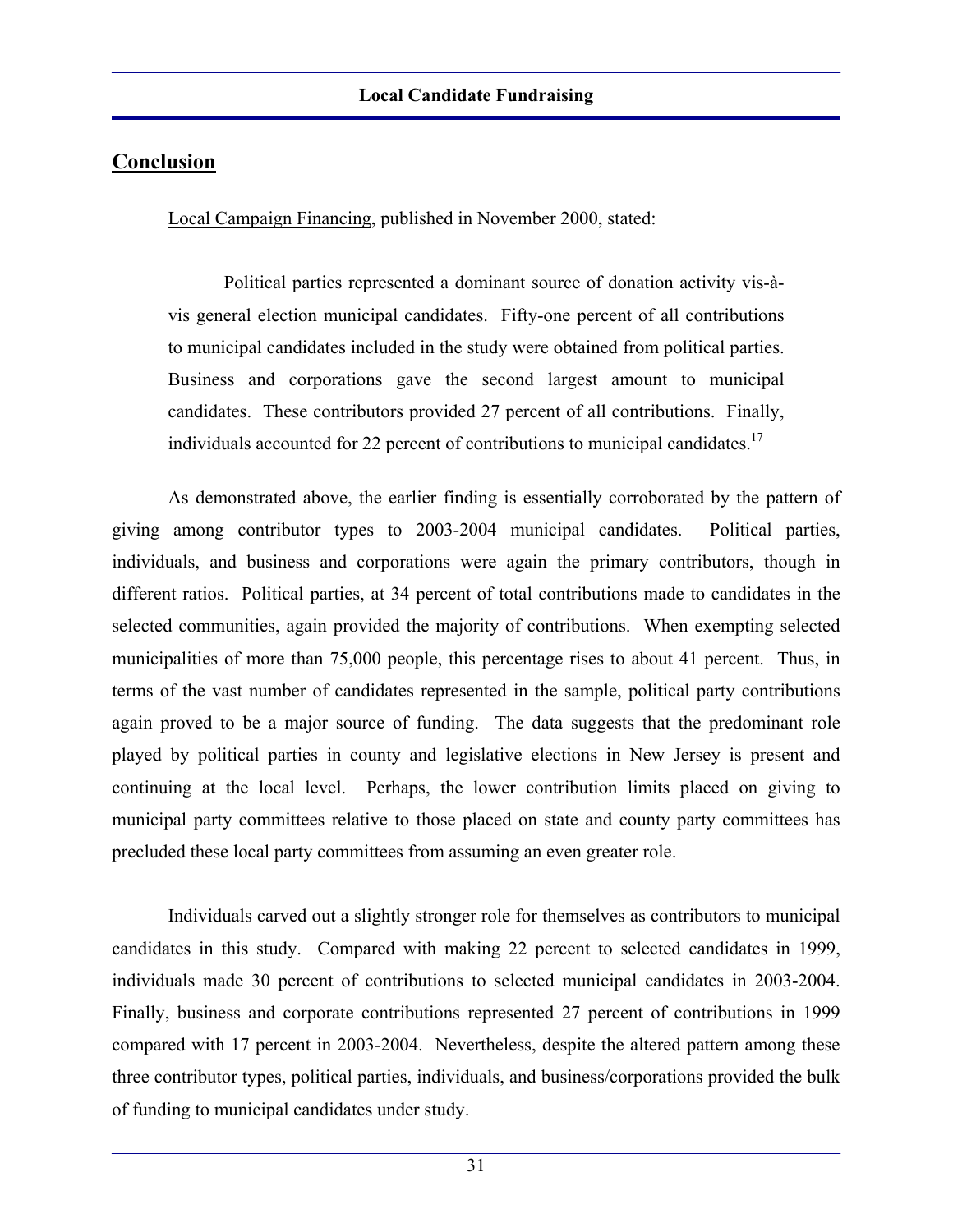Local Campaign Financing, published in November 2000, stated:

 Political parties represented a dominant source of donation activity vis-àvis general election municipal candidates. Fifty-one percent of all contributions to municipal candidates included in the study were obtained from political parties. Business and corporations gave the second largest amount to municipal candidates. These contributors provided 27 percent of all contributions. Finally, individuals accounted for 22 percent of contributions to municipal candidates.<sup>17</sup>

 As demonstrated above, the earlier finding is essentially corroborated by the pattern of giving among contributor types to 2003-2004 municipal candidates. Political parties, individuals, and business and corporations were again the primary contributors, though in different ratios. Political parties, at 34 percent of total contributions made to candidates in the selected communities, again provided the majority of contributions. When exempting selected municipalities of more than 75,000 people, this percentage rises to about 41 percent. Thus, in terms of the vast number of candidates represented in the sample, political party contributions again proved to be a major source of funding. The data suggests that the predominant role played by political parties in county and legislative elections in New Jersey is present and continuing at the local level. Perhaps, the lower contribution limits placed on giving to municipal party committees relative to those placed on state and county party committees has precluded these local party committees from assuming an even greater role.

 Individuals carved out a slightly stronger role for themselves as contributors to municipal candidates in this study. Compared with making 22 percent to selected candidates in 1999, individuals made 30 percent of contributions to selected municipal candidates in 2003-2004. Finally, business and corporate contributions represented 27 percent of contributions in 1999 compared with 17 percent in 2003-2004. Nevertheless, despite the altered pattern among these three contributor types, political parties, individuals, and business/corporations provided the bulk of funding to municipal candidates under study.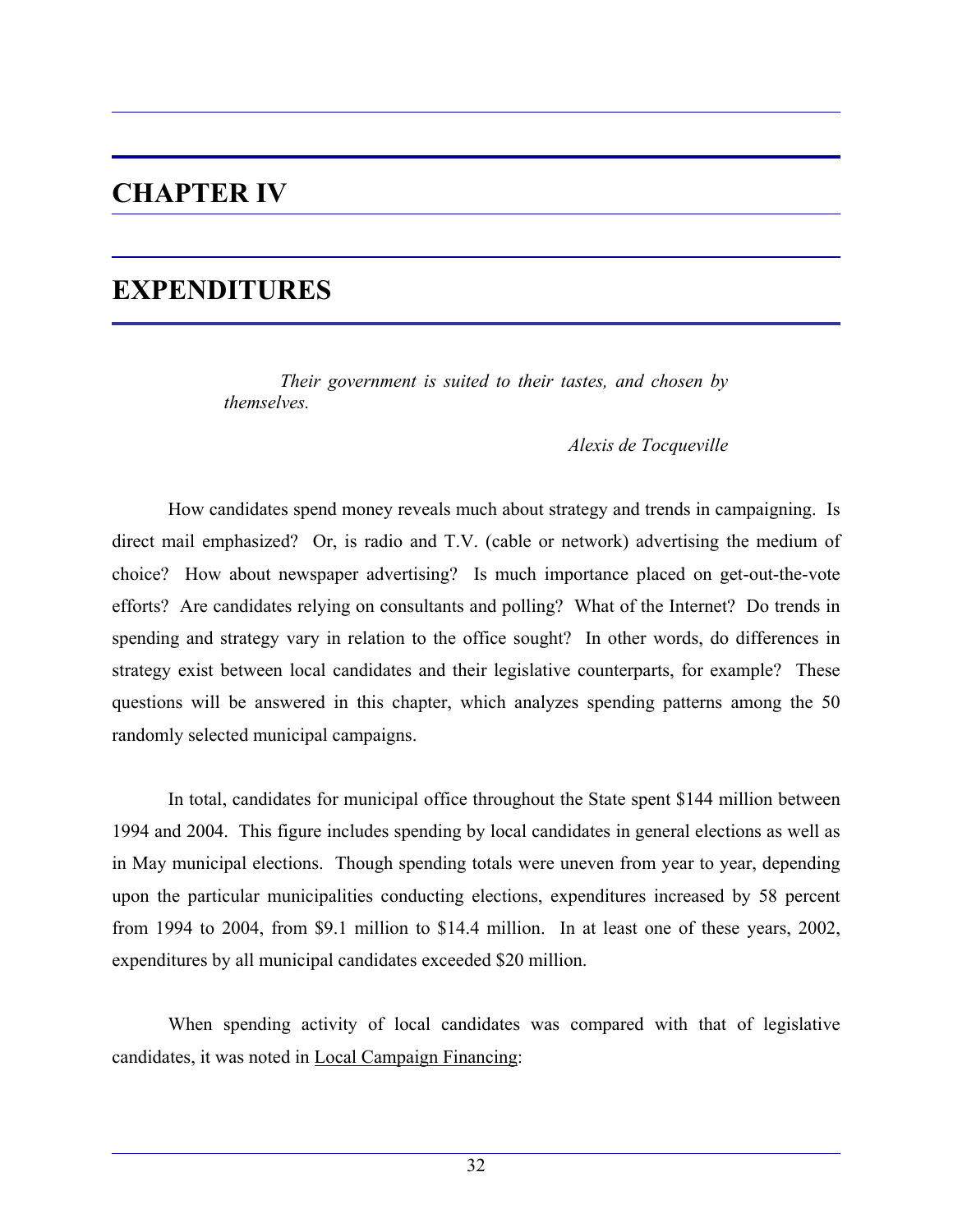## **CHAPTER IV**

## **EXPENDITURES**

 *Their government is suited to their tastes, and chosen by themselves.* 

*Alexis de Tocqueville* 

 How candidates spend money reveals much about strategy and trends in campaigning. Is direct mail emphasized? Or, is radio and T.V. (cable or network) advertising the medium of choice? How about newspaper advertising? Is much importance placed on get-out-the-vote efforts? Are candidates relying on consultants and polling? What of the Internet? Do trends in spending and strategy vary in relation to the office sought? In other words, do differences in strategy exist between local candidates and their legislative counterparts, for example? These questions will be answered in this chapter, which analyzes spending patterns among the 50 randomly selected municipal campaigns.

 In total, candidates for municipal office throughout the State spent \$144 million between 1994 and 2004. This figure includes spending by local candidates in general elections as well as in May municipal elections. Though spending totals were uneven from year to year, depending upon the particular municipalities conducting elections, expenditures increased by 58 percent from 1994 to 2004, from \$9.1 million to \$14.4 million. In at least one of these years, 2002, expenditures by all municipal candidates exceeded \$20 million.

 When spending activity of local candidates was compared with that of legislative candidates, it was noted in Local Campaign Financing: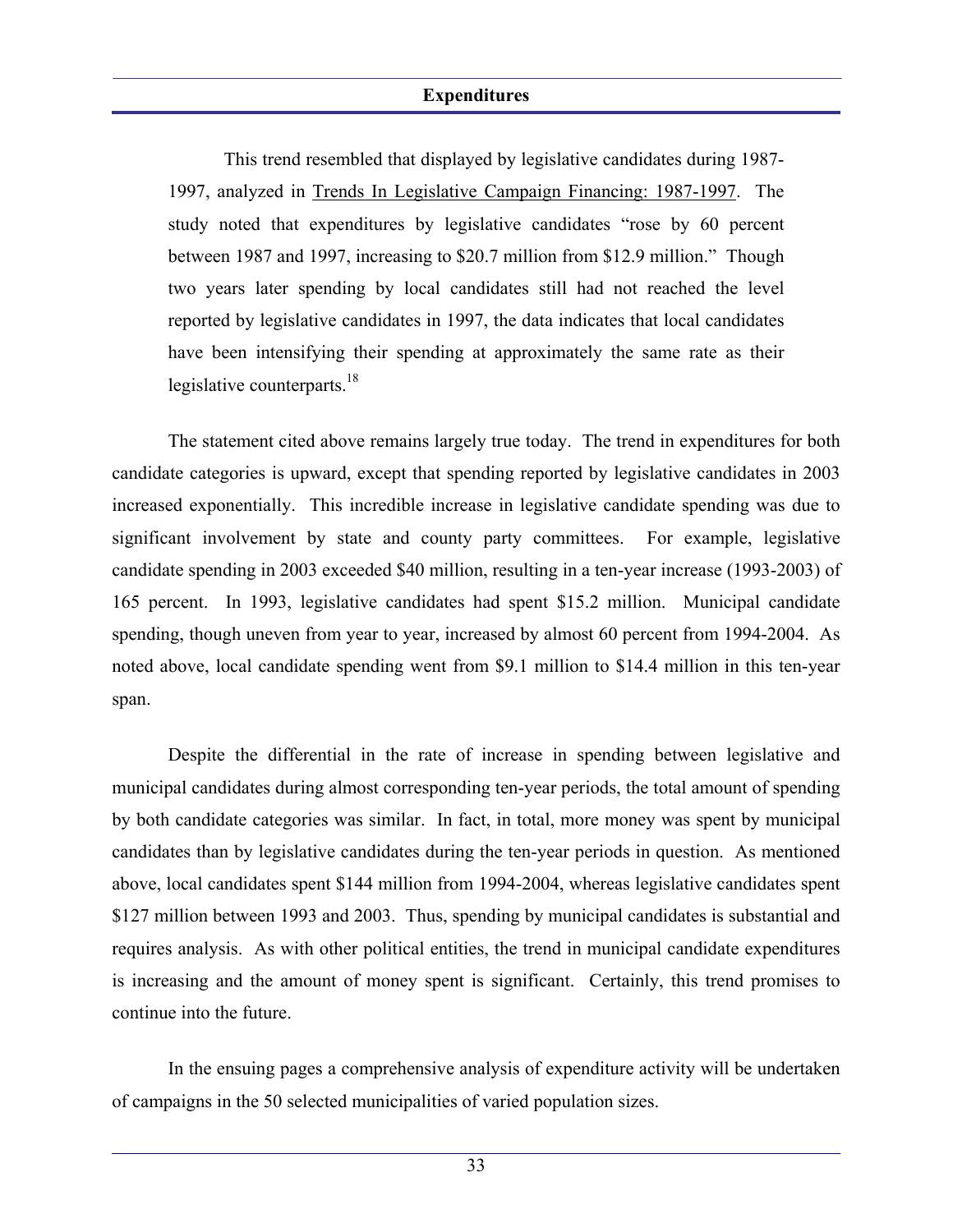This trend resembled that displayed by legislative candidates during 1987- 1997, analyzed in Trends In Legislative Campaign Financing: 1987-1997. The study noted that expenditures by legislative candidates "rose by 60 percent between 1987 and 1997, increasing to \$20.7 million from \$12.9 million." Though two years later spending by local candidates still had not reached the level reported by legislative candidates in 1997, the data indicates that local candidates have been intensifying their spending at approximately the same rate as their legislative counterparts.<sup>18</sup>

 The statement cited above remains largely true today. The trend in expenditures for both candidate categories is upward, except that spending reported by legislative candidates in 2003 increased exponentially. This incredible increase in legislative candidate spending was due to significant involvement by state and county party committees. For example, legislative candidate spending in 2003 exceeded \$40 million, resulting in a ten-year increase (1993-2003) of 165 percent. In 1993, legislative candidates had spent \$15.2 million. Municipal candidate spending, though uneven from year to year, increased by almost 60 percent from 1994-2004. As noted above, local candidate spending went from \$9.1 million to \$14.4 million in this ten-year span.

 Despite the differential in the rate of increase in spending between legislative and municipal candidates during almost corresponding ten-year periods, the total amount of spending by both candidate categories was similar. In fact, in total, more money was spent by municipal candidates than by legislative candidates during the ten-year periods in question. As mentioned above, local candidates spent \$144 million from 1994-2004, whereas legislative candidates spent \$127 million between 1993 and 2003. Thus, spending by municipal candidates is substantial and requires analysis. As with other political entities, the trend in municipal candidate expenditures is increasing and the amount of money spent is significant. Certainly, this trend promises to continue into the future.

 In the ensuing pages a comprehensive analysis of expenditure activity will be undertaken of campaigns in the 50 selected municipalities of varied population sizes.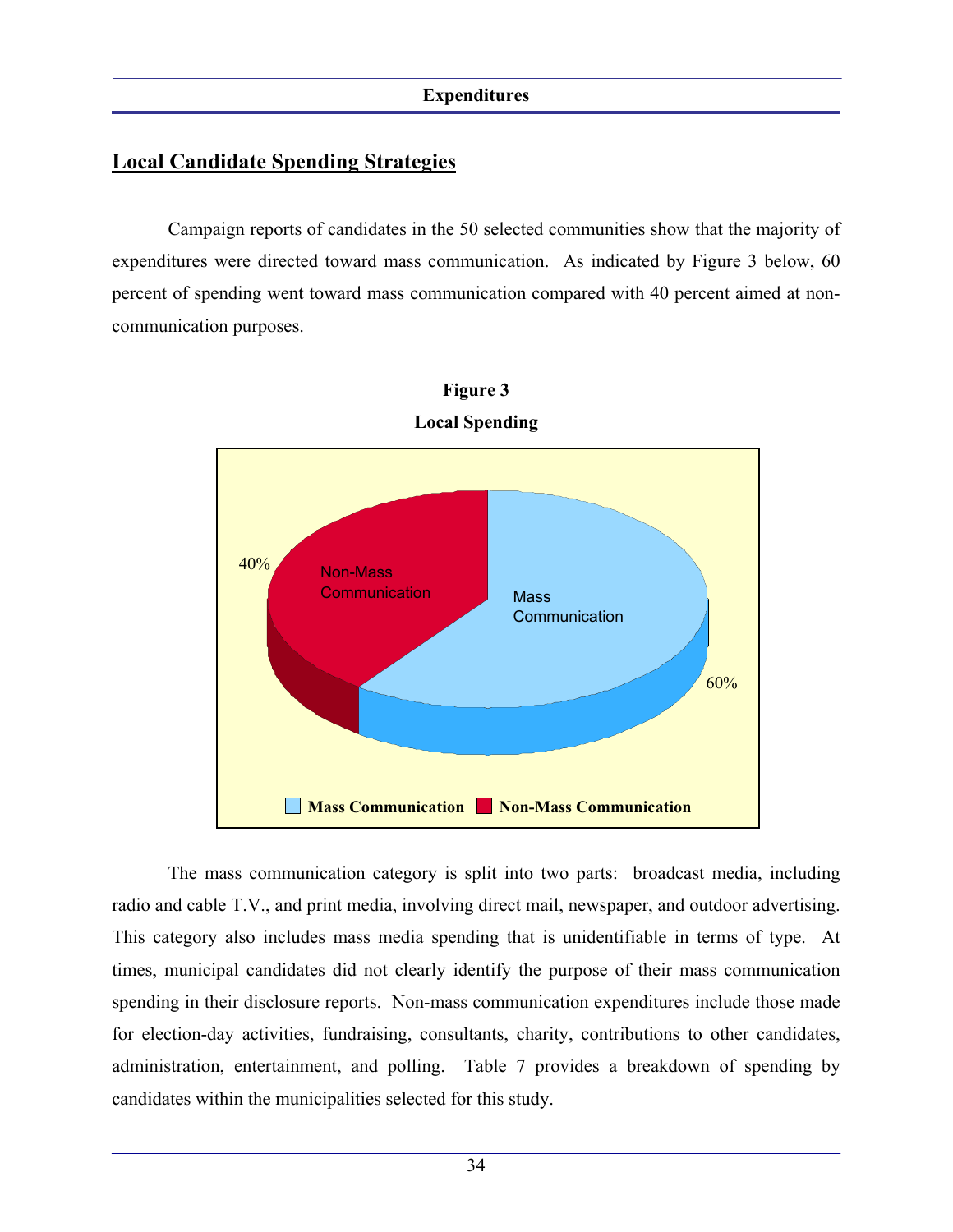## **Local Candidate Spending Strategies**

 Campaign reports of candidates in the 50 selected communities show that the majority of expenditures were directed toward mass communication. As indicated by Figure 3 below, 60 percent of spending went toward mass communication compared with 40 percent aimed at noncommunication purposes.





 The mass communication category is split into two parts: broadcast media, including radio and cable T.V., and print media, involving direct mail, newspaper, and outdoor advertising. This category also includes mass media spending that is unidentifiable in terms of type. At times, municipal candidates did not clearly identify the purpose of their mass communication spending in their disclosure reports. Non-mass communication expenditures include those made for election-day activities, fundraising, consultants, charity, contributions to other candidates, administration, entertainment, and polling. Table 7 provides a breakdown of spending by candidates within the municipalities selected for this study.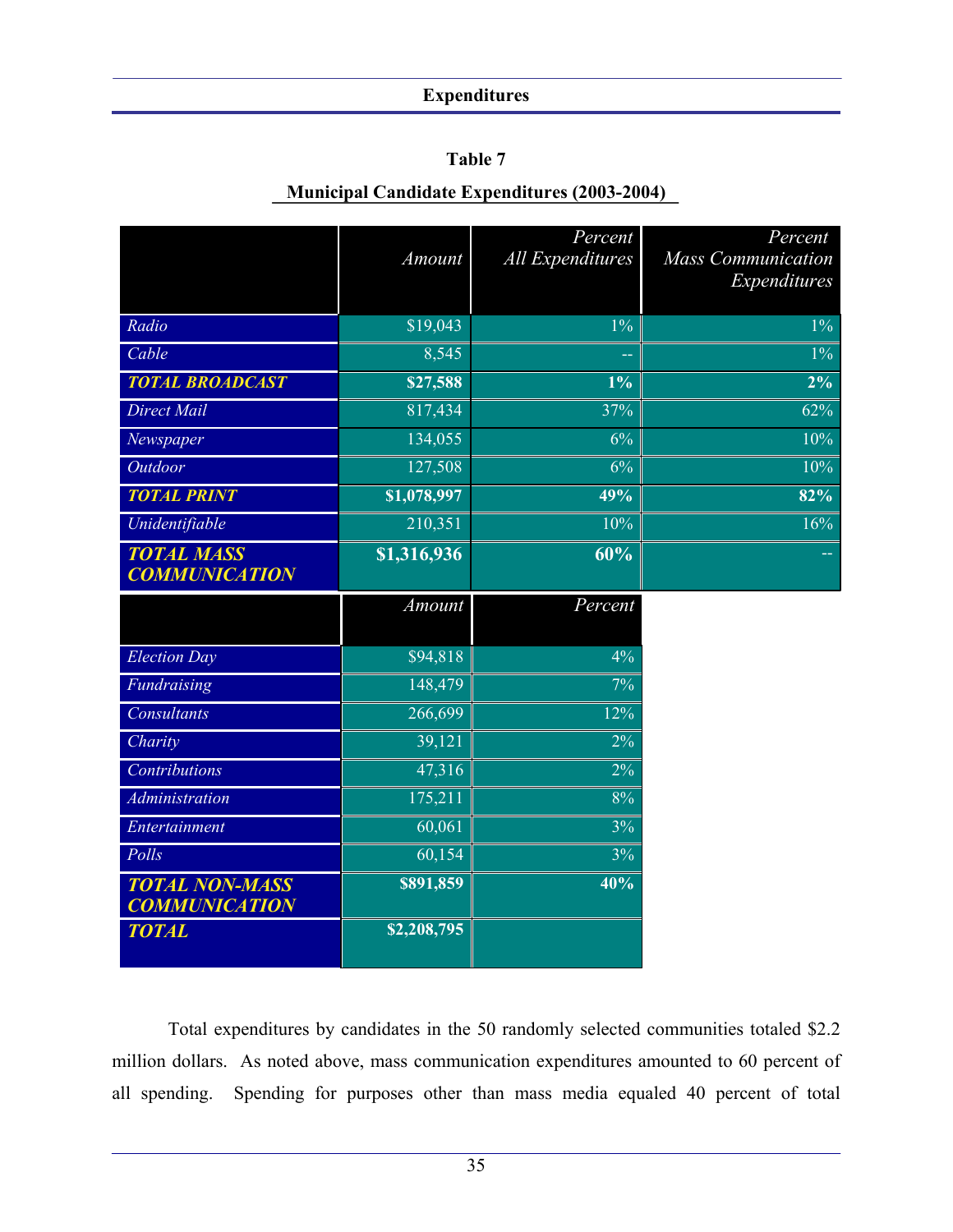### **Table 7**

## **Municipal Candidate Expenditures (2003-2004)**

|                                               | Amount      | Percent<br>All Expenditures | Percent<br><b>Mass Communication</b><br>Expenditures |
|-----------------------------------------------|-------------|-----------------------------|------------------------------------------------------|
| Radio                                         | \$19,043    | $1\%$                       | $1\%$                                                |
| Cable                                         | 8,545       |                             | $1\%$                                                |
| <b>TOTAL BROADCAST</b>                        | \$27,588    | $1\%$                       | $2\%$                                                |
| Direct Mail                                   | 817,434     | 37%                         | 62%                                                  |
| Newspaper                                     | 134,055     | 6%                          | 10%                                                  |
| Outdoor                                       | 127,508     | 6%                          | 10%                                                  |
| <b>TOTAL PRINT</b>                            | \$1,078,997 | 49%                         | 82%                                                  |
| Unidentifiable                                | 210,351     | 10%                         | 16%                                                  |
| <b>TOTAL MASS</b><br><b>COMMUNICATION</b>     | \$1,316,936 | 60%                         |                                                      |
|                                               | Amount      | Percent                     |                                                      |
| <b>Election Day</b>                           | \$94,818    | 4%                          |                                                      |
| Fundraising                                   | 148,479     | 7%                          |                                                      |
| <b>Consultants</b>                            | 266,699     | 12%                         |                                                      |
| Charity                                       | 39,121      | 2%                          |                                                      |
| Contributions                                 | 47,316      | 2%                          |                                                      |
| <b>Administration</b>                         | 175,211     | 8%                          |                                                      |
| Entertainment                                 | 60,061      | 3%                          |                                                      |
| Polls                                         | 60,154      | 3%                          |                                                      |
| <b>TOTAL NON-MASS</b><br><b>COMMUNICATION</b> | \$891,859   | 40%                         |                                                      |
| <b>TOTAL</b>                                  | \$2,208,795 |                             |                                                      |

 Total expenditures by candidates in the 50 randomly selected communities totaled \$2.2 million dollars. As noted above, mass communication expenditures amounted to 60 percent of all spending. Spending for purposes other than mass media equaled 40 percent of total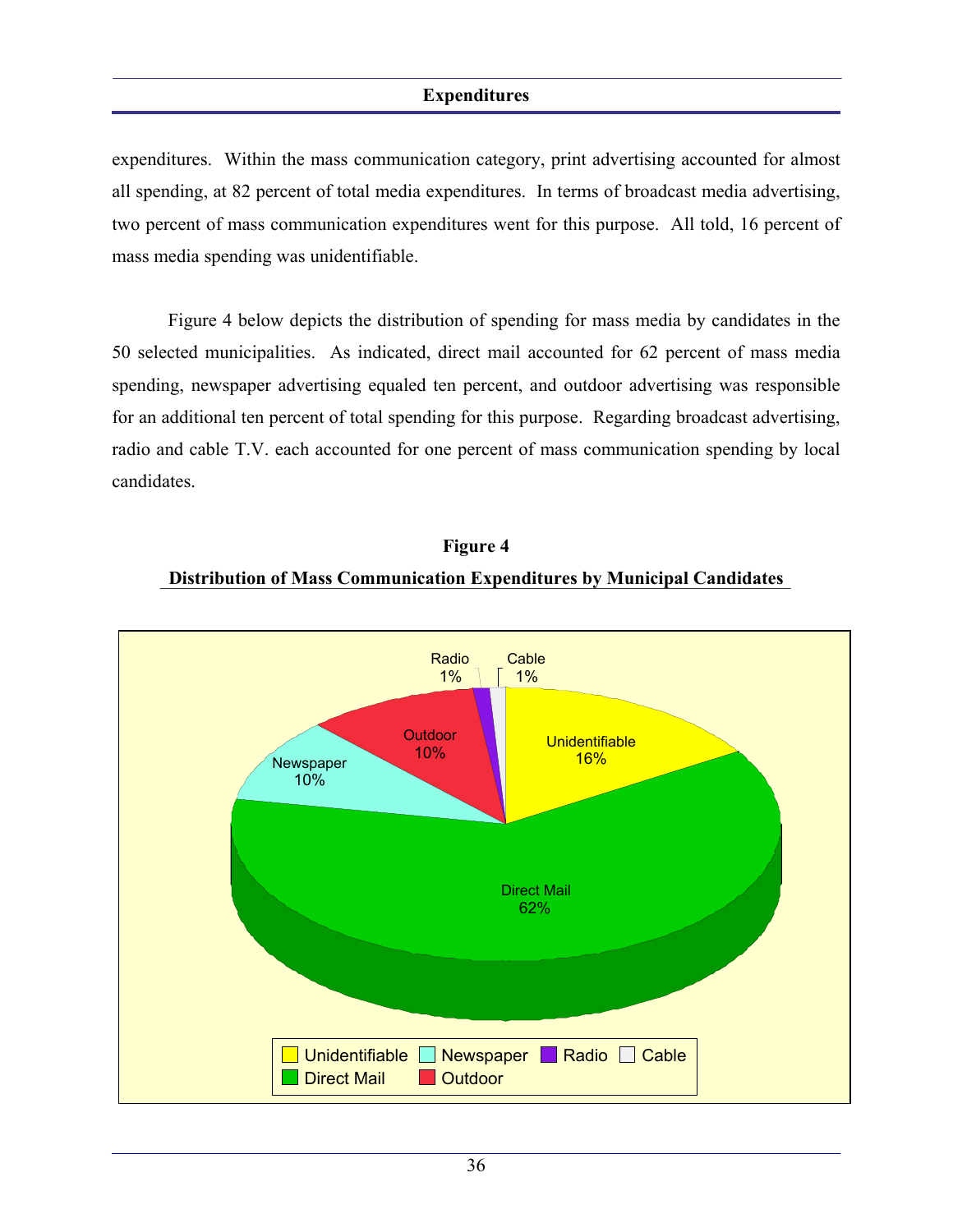expenditures. Within the mass communication category, print advertising accounted for almost all spending, at 82 percent of total media expenditures. In terms of broadcast media advertising, two percent of mass communication expenditures went for this purpose. All told, 16 percent of mass media spending was unidentifiable.

 Figure 4 below depicts the distribution of spending for mass media by candidates in the 50 selected municipalities. As indicated, direct mail accounted for 62 percent of mass media spending, newspaper advertising equaled ten percent, and outdoor advertising was responsible for an additional ten percent of total spending for this purpose. Regarding broadcast advertising, radio and cable T.V. each accounted for one percent of mass communication spending by local candidates.



### **Figure 4**

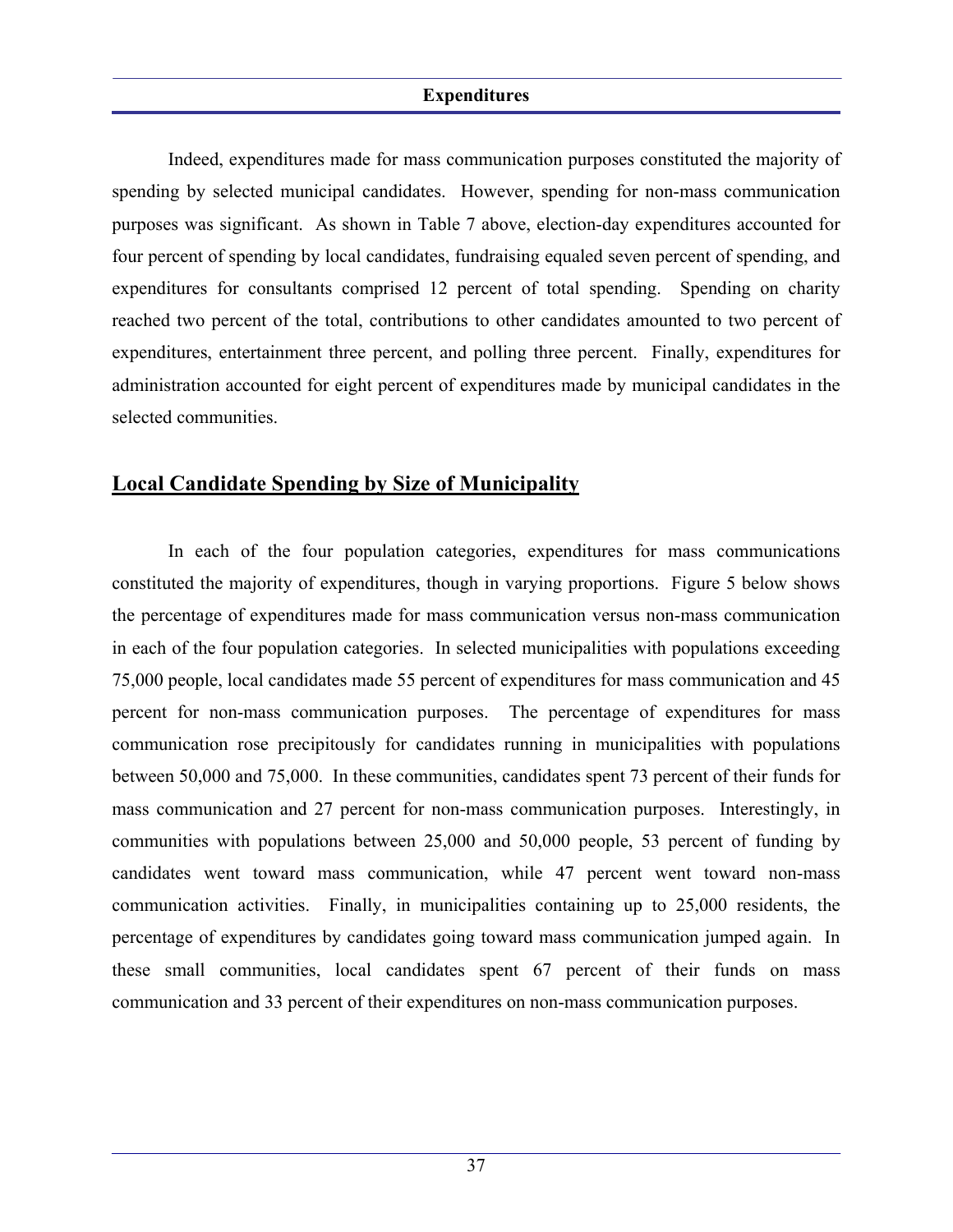Indeed, expenditures made for mass communication purposes constituted the majority of spending by selected municipal candidates. However, spending for non-mass communication purposes was significant. As shown in Table 7 above, election-day expenditures accounted for four percent of spending by local candidates, fundraising equaled seven percent of spending, and expenditures for consultants comprised 12 percent of total spending. Spending on charity reached two percent of the total, contributions to other candidates amounted to two percent of expenditures, entertainment three percent, and polling three percent. Finally, expenditures for administration accounted for eight percent of expenditures made by municipal candidates in the selected communities.

### **Local Candidate Spending by Size of Municipality**

 In each of the four population categories, expenditures for mass communications constituted the majority of expenditures, though in varying proportions. Figure 5 below shows the percentage of expenditures made for mass communication versus non-mass communication in each of the four population categories. In selected municipalities with populations exceeding 75,000 people, local candidates made 55 percent of expenditures for mass communication and 45 percent for non-mass communication purposes. The percentage of expenditures for mass communication rose precipitously for candidates running in municipalities with populations between 50,000 and 75,000. In these communities, candidates spent 73 percent of their funds for mass communication and 27 percent for non-mass communication purposes. Interestingly, in communities with populations between 25,000 and 50,000 people, 53 percent of funding by candidates went toward mass communication, while 47 percent went toward non-mass communication activities. Finally, in municipalities containing up to 25,000 residents, the percentage of expenditures by candidates going toward mass communication jumped again. In these small communities, local candidates spent 67 percent of their funds on mass communication and 33 percent of their expenditures on non-mass communication purposes.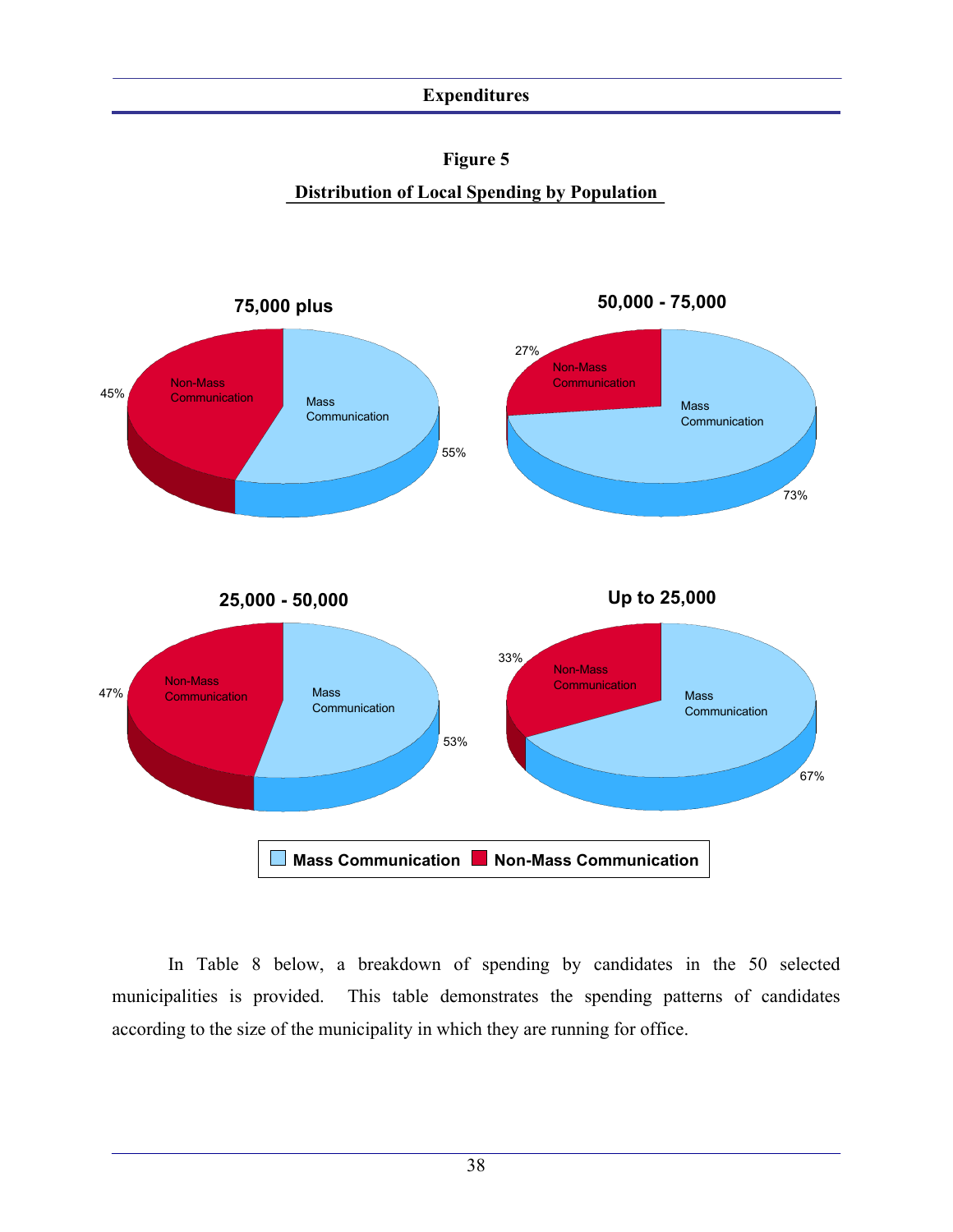

**Distribution of Local Spending by Population** 



 In Table 8 below, a breakdown of spending by candidates in the 50 selected municipalities is provided. This table demonstrates the spending patterns of candidates according to the size of the municipality in which they are running for office.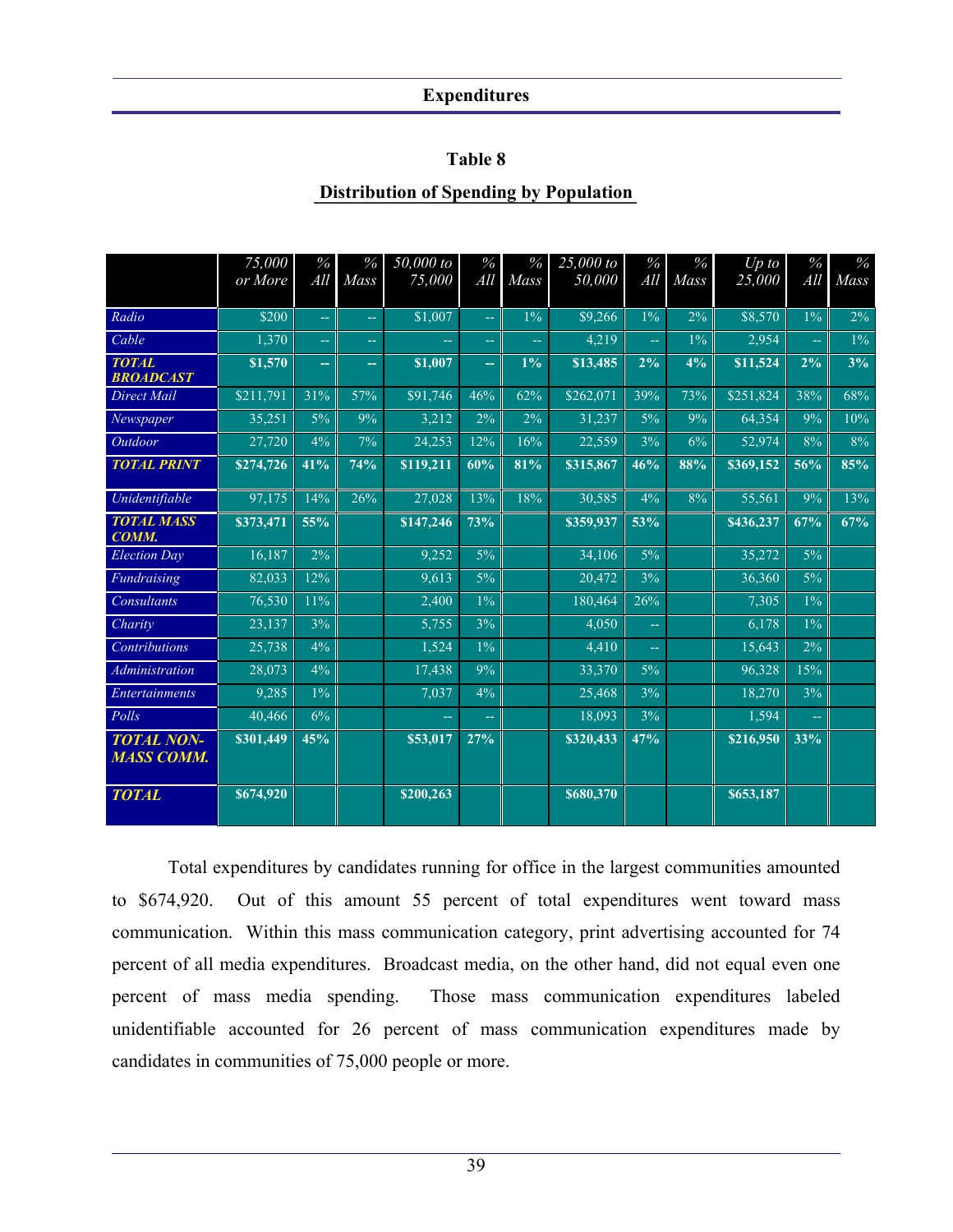### **Table 8**

### **Distribution of Spending by Population**

|                                        | 75,000    | $\%$                    | $\%$   | 50,000 to | $\%$                    | $\%$           | 25,000 to | $\%$      | $\%$  | $Up$ to   | $\%$  | $\%$  |
|----------------------------------------|-----------|-------------------------|--------|-----------|-------------------------|----------------|-----------|-----------|-------|-----------|-------|-------|
|                                        | or More   | All                     | Mass   | 75,000    | All                     | Mass           | 50,000    | All       | Mass  | 25,000    | All   | Mass  |
| Radio                                  | \$200     | $\mathbb{L} \mathbb{L}$ | 44     | \$1,007   | $\mathbb{L} \mathbb{L}$ | $1\%$          | \$9,266   | $1\%$     | 2%    | \$8,570   | $1\%$ | 2%    |
| Cable                                  | 1,370     | $\mathbb{L} \mathbb{L}$ | 44     | 44        | 44                      | $\overline{a}$ | 4,219     | $\perp$ . | $1\%$ | 2,954     | шū    | $1\%$ |
| <b>TOTAL</b>                           | \$1,570   |                         |        | \$1,007   |                         | $1\%$          | \$13,485  | 2%        | 4%    | \$11,524  | 2%    | 3%    |
| <b>BROADCAST</b>                       |           | ш.                      | --     |           | ш.                      |                |           |           |       |           |       |       |
| <b>Direct Mail</b>                     | \$211,791 | 31%                     | 57%    | \$91,746  | 46%                     | 62%            | \$262,071 | 39%       | 73%   | \$251,824 | 38%   | 68%   |
| Newspaper                              | 35,251    | 5%                      | 9%     | 3,212     | 2%                      | 2%             | 31,237    | 5%        | 9%    | 64,354    | 9%    | 10%   |
| Outdoor                                | 27,720    | 4%                      | 7%     | 24,253    | 12%                     | 16%            | 22,559    | 3%        | 6%    | 52,974    | 8%    | 8%    |
| <b>TOTAL PRINT</b>                     | \$274,726 | 41%                     | $74\%$ | \$119,211 | 60%                     | 81%            | \$315,867 | 46%       | 88%   | 8369,152  | 56%   | 85%   |
| Unidentifiable                         | 97,175    | 14%                     | 26%    | 27,028    | 13%                     | 18%            | 30,585    | 4%        | 8%    | 55,561    | 9%    | 13%   |
| <b>TOTAL MASS</b><br>COMM.             | \$373,471 | 55%                     |        | \$147,246 | 73%                     |                | \$359,937 | 53%       |       | \$436,237 | 67%   | 67%   |
| <b>Election Day</b>                    | 16,187    | 2%                      |        | 9,252     | 5%                      |                | 34,106    | $5\%$     |       | 35,272    | $5\%$ |       |
| Fundraising                            | 82,033    | 12%                     |        | 9,613     | 5%                      |                | 20,472    | 3%        |       | 36,360    | 5%    |       |
| Consultants                            | 76,530    | 11%                     |        | 2,400     | $1\%$                   |                | 180.464   | 26%       |       | 7,305     | $1\%$ |       |
| Charity                                | 23,137    | 3%                      |        | 5,755     | 3%                      |                | 4,050     | ωü,       |       | 6,178     | $1\%$ |       |
| <b>Contributions</b>                   | 25,738    | 4%                      |        | 1,524     | $1\%$                   |                | 4,410     | $\equiv$  |       | 15,643    | $2\%$ |       |
| Administration                         | 28,073    | 4%                      |        | 17,438    | 9%                      |                | 33,370    | $5\%$     |       | 96,328    | 15%   |       |
| <b>Entertainments</b>                  | 9,285     | $1\%$                   |        | 7,037     | 4%                      |                | 25,468    | 3%        |       | 18,270    | 3%    |       |
| Polls                                  | 40.466    | 6%                      |        | 44        | шш                      |                | 18.093    | 3%        |       | 1.594     | шū    |       |
| <b>TOTAL NON-</b><br><b>MASS COMM.</b> | \$301,449 | 45%                     |        | \$53,017  | 27%                     |                | \$320,433 | 47%       |       | \$216,950 | 33%   |       |
| <b>TOTAL</b>                           | \$674,920 |                         |        | \$200,263 |                         |                | \$680,370 |           |       | \$653,187 |       |       |

 Total expenditures by candidates running for office in the largest communities amounted to \$674,920. Out of this amount 55 percent of total expenditures went toward mass communication. Within this mass communication category, print advertising accounted for 74 percent of all media expenditures. Broadcast media, on the other hand, did not equal even one percent of mass media spending. Those mass communication expenditures labeled unidentifiable accounted for 26 percent of mass communication expenditures made by candidates in communities of 75,000 people or more.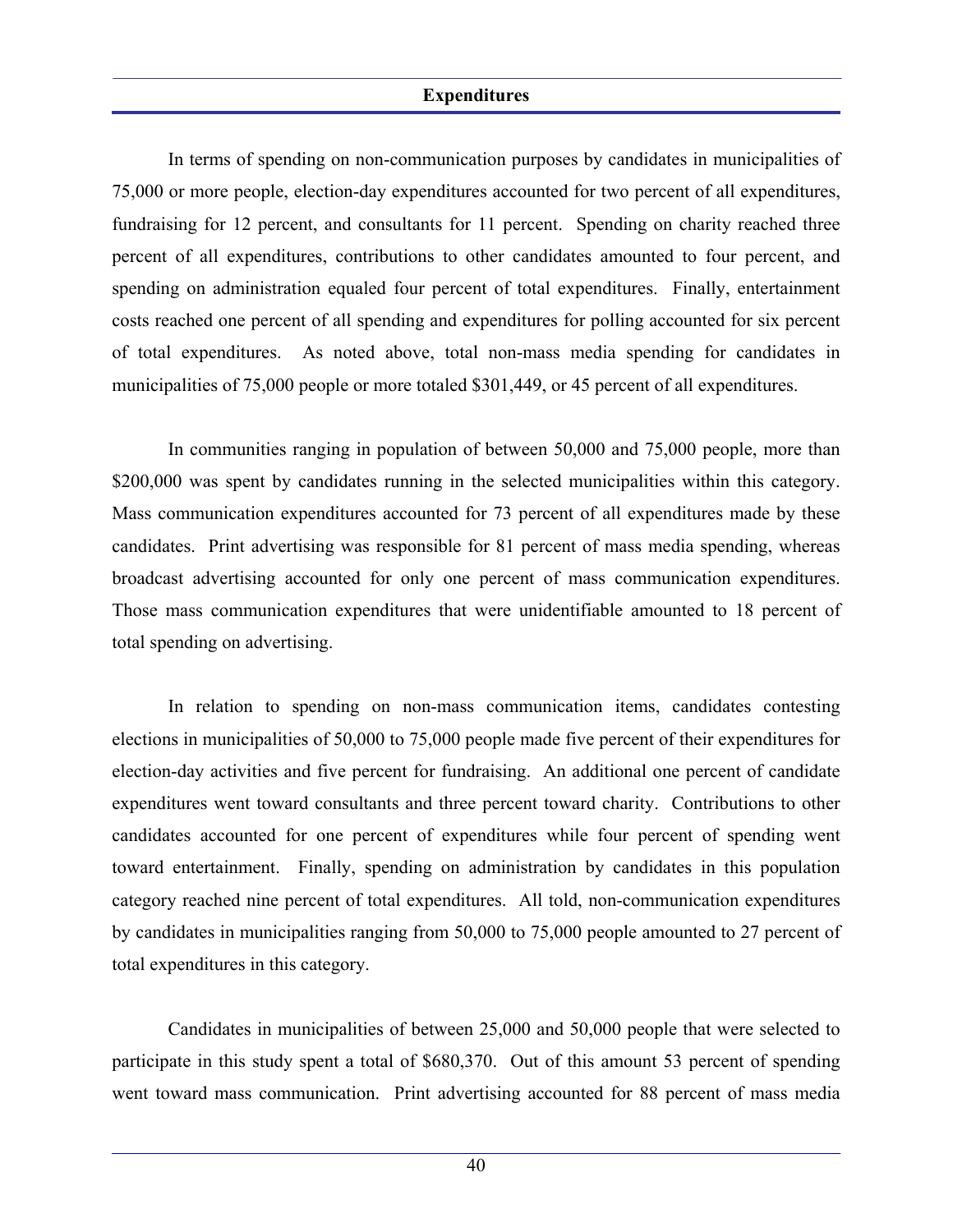In terms of spending on non-communication purposes by candidates in municipalities of 75,000 or more people, election-day expenditures accounted for two percent of all expenditures, fundraising for 12 percent, and consultants for 11 percent. Spending on charity reached three percent of all expenditures, contributions to other candidates amounted to four percent, and spending on administration equaled four percent of total expenditures. Finally, entertainment costs reached one percent of all spending and expenditures for polling accounted for six percent of total expenditures. As noted above, total non-mass media spending for candidates in municipalities of 75,000 people or more totaled \$301,449, or 45 percent of all expenditures.

 In communities ranging in population of between 50,000 and 75,000 people, more than \$200,000 was spent by candidates running in the selected municipalities within this category. Mass communication expenditures accounted for 73 percent of all expenditures made by these candidates. Print advertising was responsible for 81 percent of mass media spending, whereas broadcast advertising accounted for only one percent of mass communication expenditures. Those mass communication expenditures that were unidentifiable amounted to 18 percent of total spending on advertising.

 In relation to spending on non-mass communication items, candidates contesting elections in municipalities of 50,000 to 75,000 people made five percent of their expenditures for election-day activities and five percent for fundraising. An additional one percent of candidate expenditures went toward consultants and three percent toward charity. Contributions to other candidates accounted for one percent of expenditures while four percent of spending went toward entertainment. Finally, spending on administration by candidates in this population category reached nine percent of total expenditures. All told, non-communication expenditures by candidates in municipalities ranging from 50,000 to 75,000 people amounted to 27 percent of total expenditures in this category.

 Candidates in municipalities of between 25,000 and 50,000 people that were selected to participate in this study spent a total of \$680,370. Out of this amount 53 percent of spending went toward mass communication. Print advertising accounted for 88 percent of mass media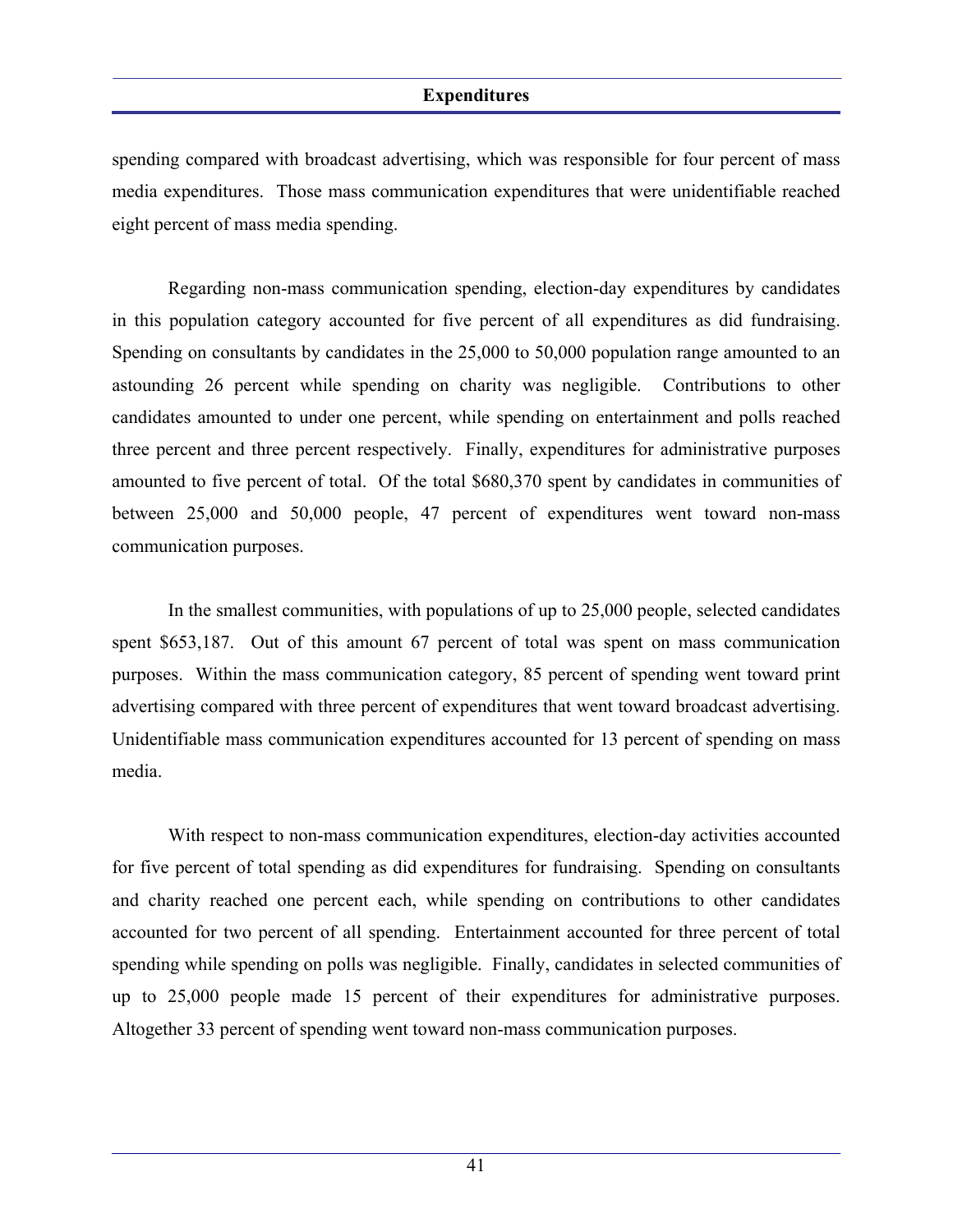spending compared with broadcast advertising, which was responsible for four percent of mass media expenditures. Those mass communication expenditures that were unidentifiable reached eight percent of mass media spending.

 Regarding non-mass communication spending, election-day expenditures by candidates in this population category accounted for five percent of all expenditures as did fundraising. Spending on consultants by candidates in the 25,000 to 50,000 population range amounted to an astounding 26 percent while spending on charity was negligible. Contributions to other candidates amounted to under one percent, while spending on entertainment and polls reached three percent and three percent respectively. Finally, expenditures for administrative purposes amounted to five percent of total. Of the total \$680,370 spent by candidates in communities of between 25,000 and 50,000 people, 47 percent of expenditures went toward non-mass communication purposes.

 In the smallest communities, with populations of up to 25,000 people, selected candidates spent \$653,187. Out of this amount 67 percent of total was spent on mass communication purposes. Within the mass communication category, 85 percent of spending went toward print advertising compared with three percent of expenditures that went toward broadcast advertising. Unidentifiable mass communication expenditures accounted for 13 percent of spending on mass media.

 With respect to non-mass communication expenditures, election-day activities accounted for five percent of total spending as did expenditures for fundraising. Spending on consultants and charity reached one percent each, while spending on contributions to other candidates accounted for two percent of all spending. Entertainment accounted for three percent of total spending while spending on polls was negligible. Finally, candidates in selected communities of up to 25,000 people made 15 percent of their expenditures for administrative purposes. Altogether 33 percent of spending went toward non-mass communication purposes.

41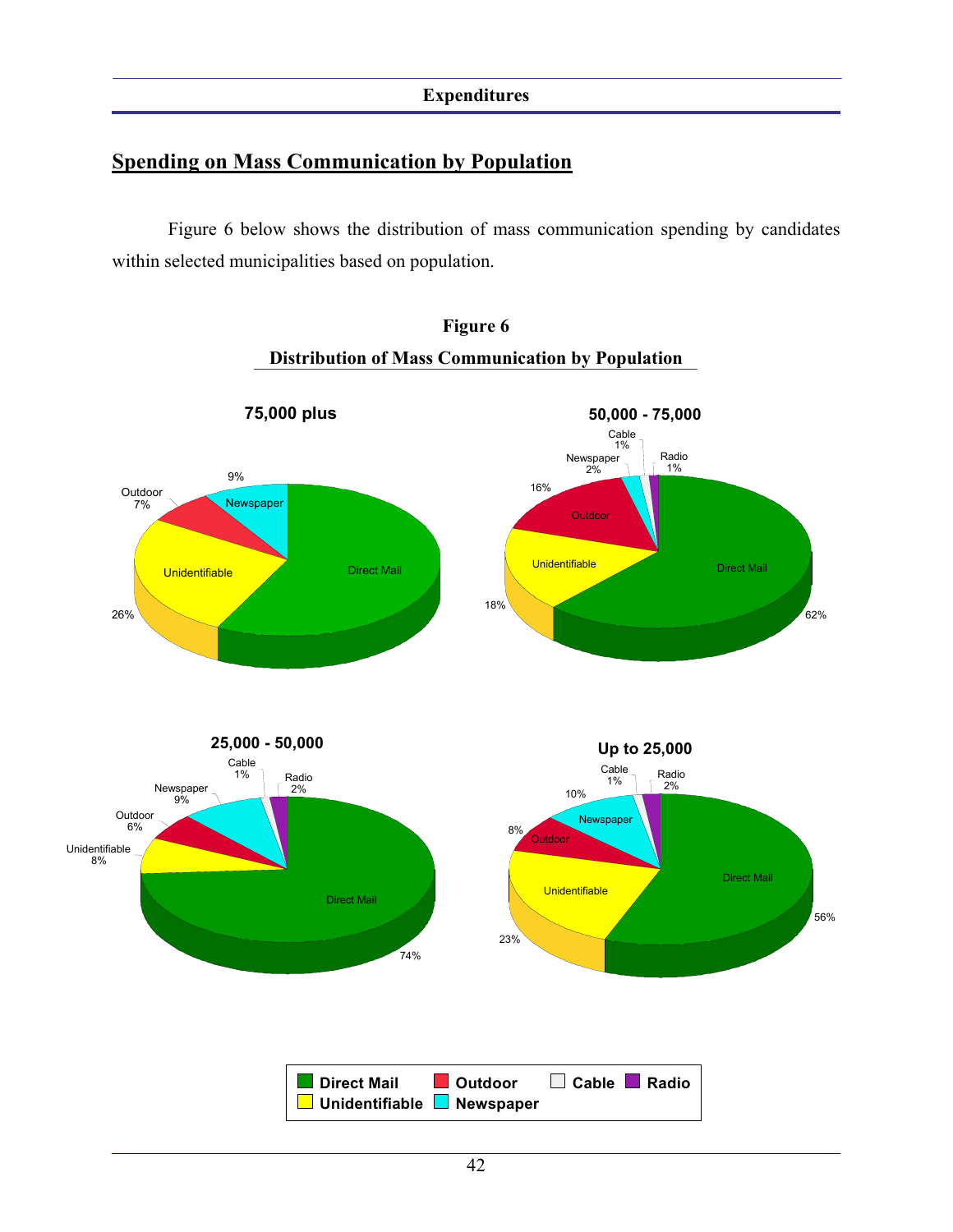### **Spending on Mass Communication by Population**

 Figure 6 below shows the distribution of mass communication spending by candidates within selected municipalities based on population.



## **Figure 6 Distribution of Mass Communication by Population**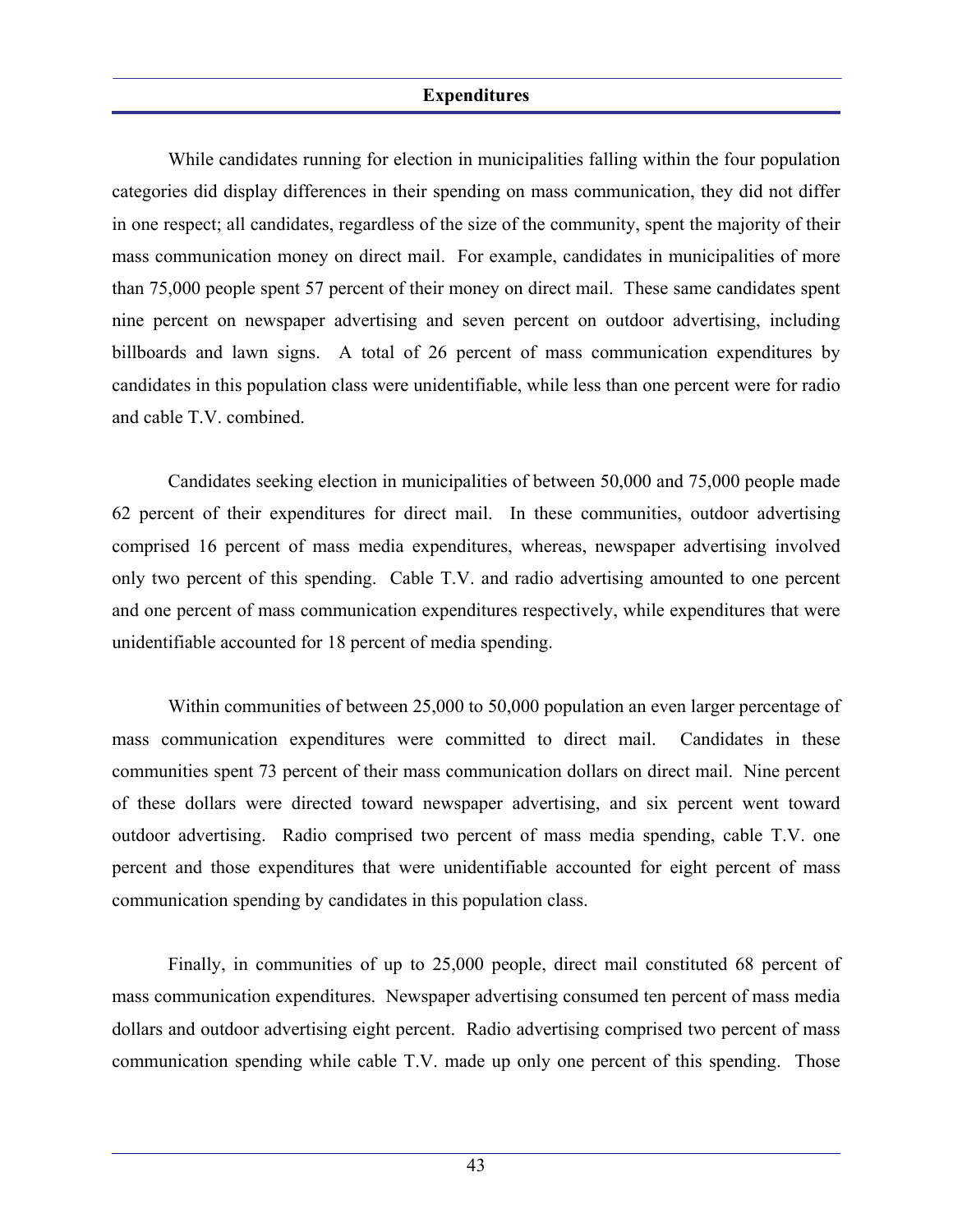While candidates running for election in municipalities falling within the four population categories did display differences in their spending on mass communication, they did not differ in one respect; all candidates, regardless of the size of the community, spent the majority of their mass communication money on direct mail. For example, candidates in municipalities of more than 75,000 people spent 57 percent of their money on direct mail. These same candidates spent nine percent on newspaper advertising and seven percent on outdoor advertising, including billboards and lawn signs. A total of 26 percent of mass communication expenditures by candidates in this population class were unidentifiable, while less than one percent were for radio and cable T.V. combined.

 Candidates seeking election in municipalities of between 50,000 and 75,000 people made 62 percent of their expenditures for direct mail. In these communities, outdoor advertising comprised 16 percent of mass media expenditures, whereas, newspaper advertising involved only two percent of this spending. Cable T.V. and radio advertising amounted to one percent and one percent of mass communication expenditures respectively, while expenditures that were unidentifiable accounted for 18 percent of media spending.

Within communities of between 25,000 to 50,000 population an even larger percentage of mass communication expenditures were committed to direct mail. Candidates in these communities spent 73 percent of their mass communication dollars on direct mail. Nine percent of these dollars were directed toward newspaper advertising, and six percent went toward outdoor advertising. Radio comprised two percent of mass media spending, cable T.V. one percent and those expenditures that were unidentifiable accounted for eight percent of mass communication spending by candidates in this population class.

 Finally, in communities of up to 25,000 people, direct mail constituted 68 percent of mass communication expenditures. Newspaper advertising consumed ten percent of mass media dollars and outdoor advertising eight percent. Radio advertising comprised two percent of mass communication spending while cable T.V. made up only one percent of this spending. Those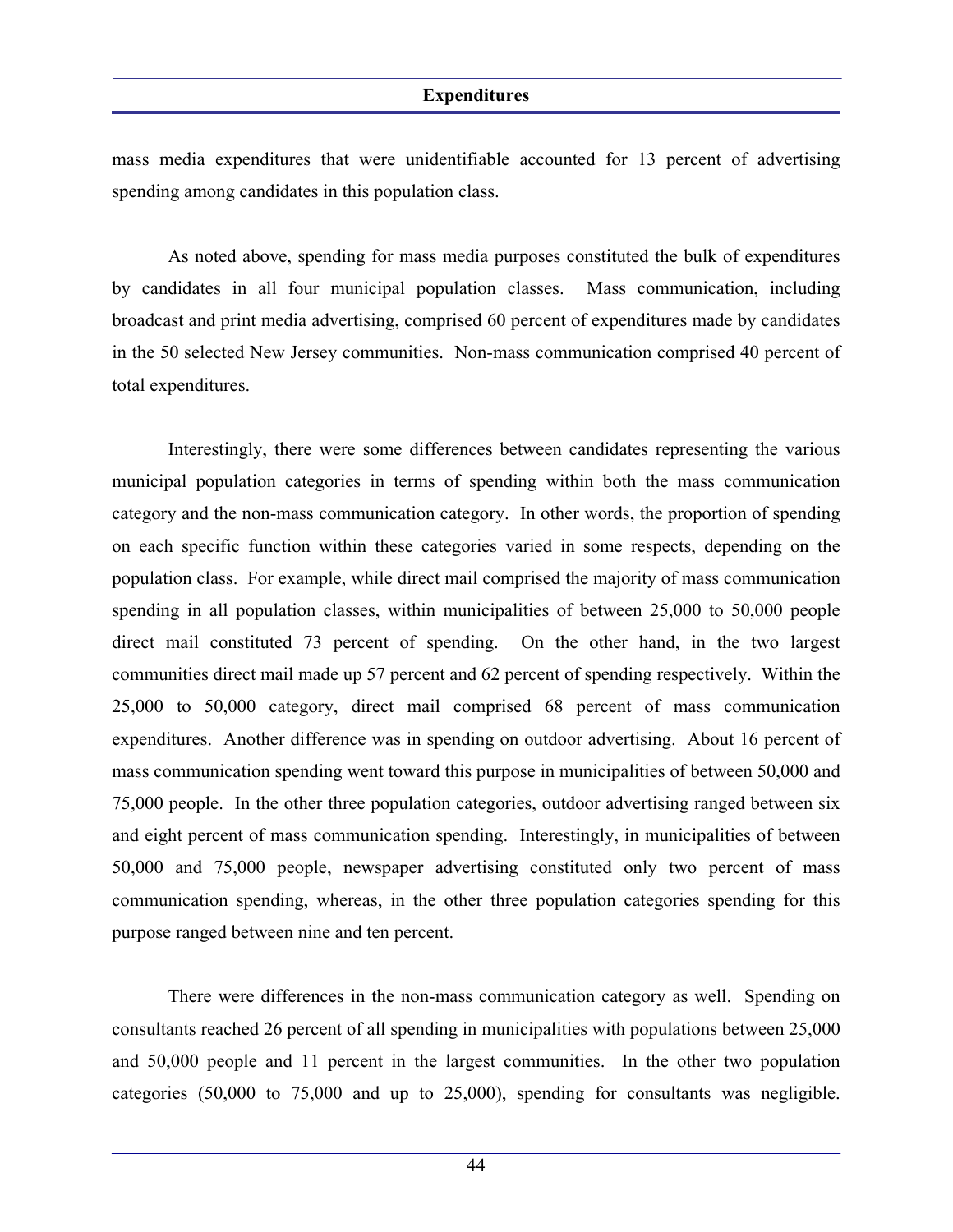mass media expenditures that were unidentifiable accounted for 13 percent of advertising spending among candidates in this population class.

 As noted above, spending for mass media purposes constituted the bulk of expenditures by candidates in all four municipal population classes. Mass communication, including broadcast and print media advertising, comprised 60 percent of expenditures made by candidates in the 50 selected New Jersey communities. Non-mass communication comprised 40 percent of total expenditures.

 Interestingly, there were some differences between candidates representing the various municipal population categories in terms of spending within both the mass communication category and the non-mass communication category. In other words, the proportion of spending on each specific function within these categories varied in some respects, depending on the population class. For example, while direct mail comprised the majority of mass communication spending in all population classes, within municipalities of between 25,000 to 50,000 people direct mail constituted 73 percent of spending. On the other hand, in the two largest communities direct mail made up 57 percent and 62 percent of spending respectively. Within the 25,000 to 50,000 category, direct mail comprised 68 percent of mass communication expenditures. Another difference was in spending on outdoor advertising. About 16 percent of mass communication spending went toward this purpose in municipalities of between 50,000 and 75,000 people. In the other three population categories, outdoor advertising ranged between six and eight percent of mass communication spending. Interestingly, in municipalities of between 50,000 and 75,000 people, newspaper advertising constituted only two percent of mass communication spending, whereas, in the other three population categories spending for this purpose ranged between nine and ten percent.

 There were differences in the non-mass communication category as well. Spending on consultants reached 26 percent of all spending in municipalities with populations between 25,000 and 50,000 people and 11 percent in the largest communities. In the other two population categories (50,000 to 75,000 and up to 25,000), spending for consultants was negligible.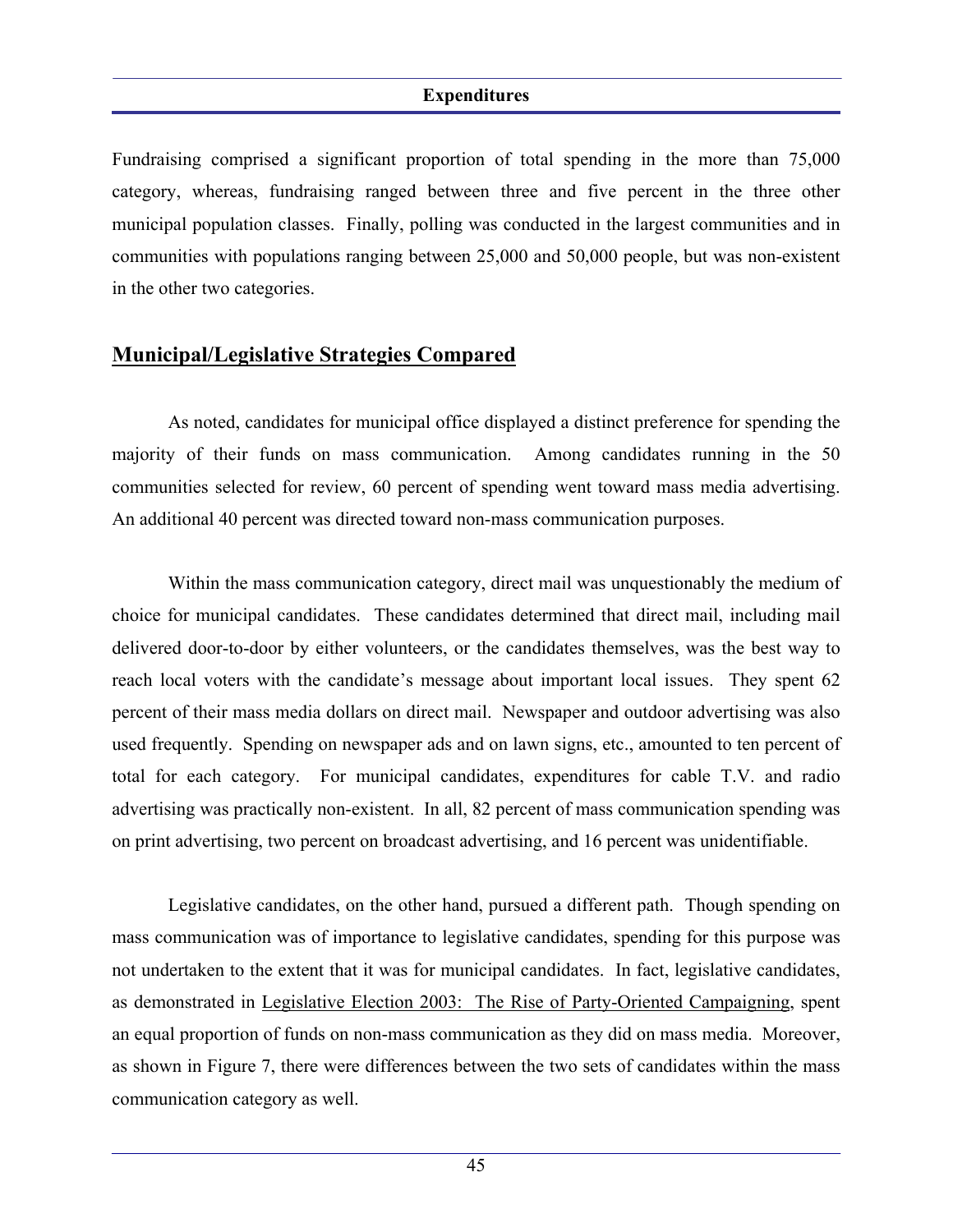Fundraising comprised a significant proportion of total spending in the more than 75,000 category, whereas, fundraising ranged between three and five percent in the three other municipal population classes. Finally, polling was conducted in the largest communities and in communities with populations ranging between 25,000 and 50,000 people, but was non-existent in the other two categories.

### **Municipal/Legislative Strategies Compared**

 As noted, candidates for municipal office displayed a distinct preference for spending the majority of their funds on mass communication. Among candidates running in the 50 communities selected for review, 60 percent of spending went toward mass media advertising. An additional 40 percent was directed toward non-mass communication purposes.

 Within the mass communication category, direct mail was unquestionably the medium of choice for municipal candidates. These candidates determined that direct mail, including mail delivered door-to-door by either volunteers, or the candidates themselves, was the best way to reach local voters with the candidate's message about important local issues. They spent 62 percent of their mass media dollars on direct mail. Newspaper and outdoor advertising was also used frequently. Spending on newspaper ads and on lawn signs, etc., amounted to ten percent of total for each category. For municipal candidates, expenditures for cable T.V. and radio advertising was practically non-existent. In all, 82 percent of mass communication spending was on print advertising, two percent on broadcast advertising, and 16 percent was unidentifiable.

 Legislative candidates, on the other hand, pursued a different path. Though spending on mass communication was of importance to legislative candidates, spending for this purpose was not undertaken to the extent that it was for municipal candidates. In fact, legislative candidates, as demonstrated in Legislative Election 2003: The Rise of Party-Oriented Campaigning, spent an equal proportion of funds on non-mass communication as they did on mass media. Moreover, as shown in Figure 7, there were differences between the two sets of candidates within the mass communication category as well.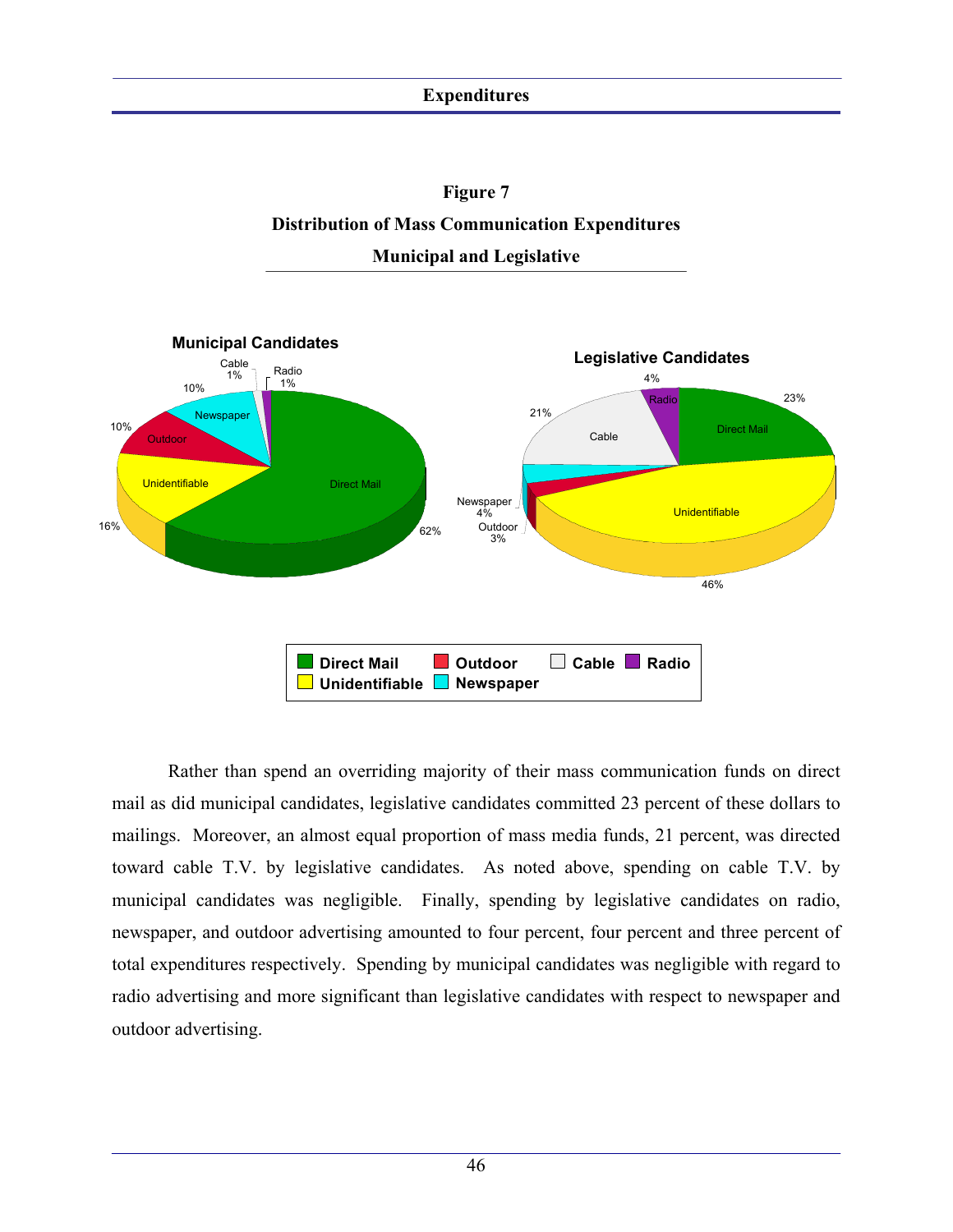



 Rather than spend an overriding majority of their mass communication funds on direct mail as did municipal candidates, legislative candidates committed 23 percent of these dollars to mailings. Moreover, an almost equal proportion of mass media funds, 21 percent, was directed toward cable T.V. by legislative candidates. As noted above, spending on cable T.V. by municipal candidates was negligible. Finally, spending by legislative candidates on radio, newspaper, and outdoor advertising amounted to four percent, four percent and three percent of total expenditures respectively. Spending by municipal candidates was negligible with regard to radio advertising and more significant than legislative candidates with respect to newspaper and outdoor advertising.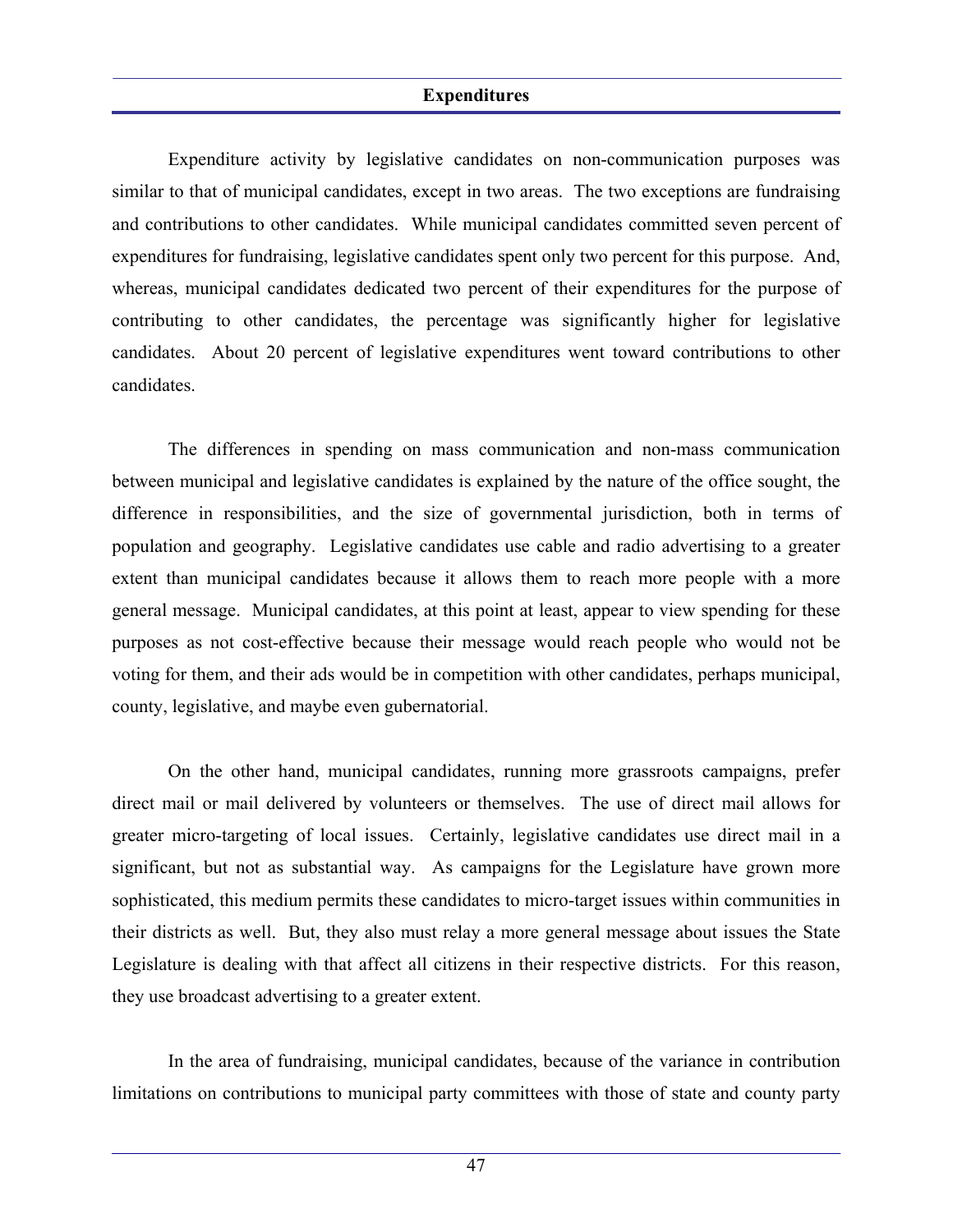Expenditure activity by legislative candidates on non-communication purposes was similar to that of municipal candidates, except in two areas. The two exceptions are fundraising and contributions to other candidates. While municipal candidates committed seven percent of expenditures for fundraising, legislative candidates spent only two percent for this purpose. And, whereas, municipal candidates dedicated two percent of their expenditures for the purpose of contributing to other candidates, the percentage was significantly higher for legislative candidates. About 20 percent of legislative expenditures went toward contributions to other candidates.

 The differences in spending on mass communication and non-mass communication between municipal and legislative candidates is explained by the nature of the office sought, the difference in responsibilities, and the size of governmental jurisdiction, both in terms of population and geography. Legislative candidates use cable and radio advertising to a greater extent than municipal candidates because it allows them to reach more people with a more general message. Municipal candidates, at this point at least, appear to view spending for these purposes as not cost-effective because their message would reach people who would not be voting for them, and their ads would be in competition with other candidates, perhaps municipal, county, legislative, and maybe even gubernatorial.

 On the other hand, municipal candidates, running more grassroots campaigns, prefer direct mail or mail delivered by volunteers or themselves. The use of direct mail allows for greater micro-targeting of local issues. Certainly, legislative candidates use direct mail in a significant, but not as substantial way. As campaigns for the Legislature have grown more sophisticated, this medium permits these candidates to micro-target issues within communities in their districts as well. But, they also must relay a more general message about issues the State Legislature is dealing with that affect all citizens in their respective districts. For this reason, they use broadcast advertising to a greater extent.

 In the area of fundraising, municipal candidates, because of the variance in contribution limitations on contributions to municipal party committees with those of state and county party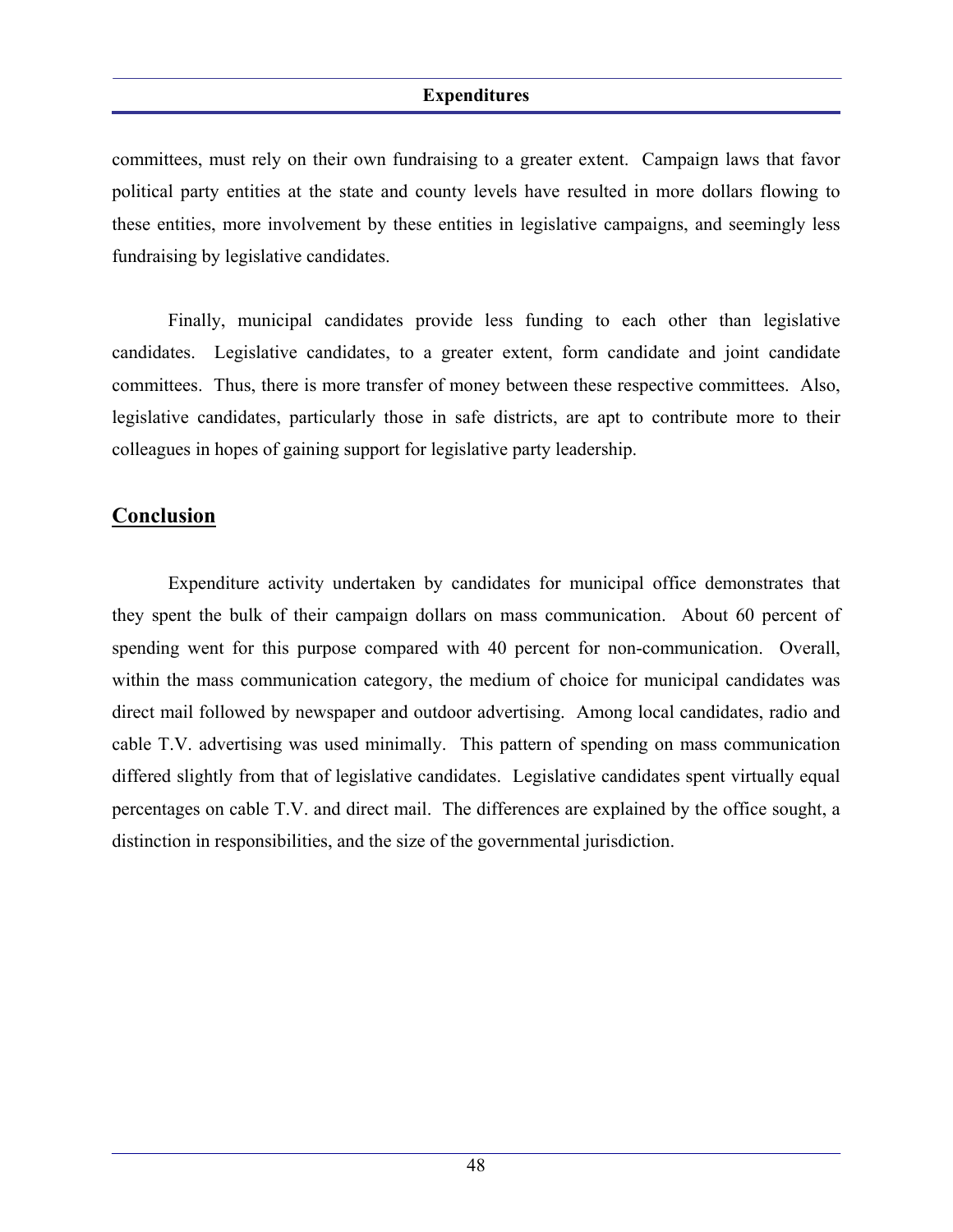committees, must rely on their own fundraising to a greater extent. Campaign laws that favor political party entities at the state and county levels have resulted in more dollars flowing to these entities, more involvement by these entities in legislative campaigns, and seemingly less fundraising by legislative candidates.

 Finally, municipal candidates provide less funding to each other than legislative candidates. Legislative candidates, to a greater extent, form candidate and joint candidate committees. Thus, there is more transfer of money between these respective committees. Also, legislative candidates, particularly those in safe districts, are apt to contribute more to their colleagues in hopes of gaining support for legislative party leadership.

### **Conclusion**

 Expenditure activity undertaken by candidates for municipal office demonstrates that they spent the bulk of their campaign dollars on mass communication. About 60 percent of spending went for this purpose compared with 40 percent for non-communication. Overall, within the mass communication category, the medium of choice for municipal candidates was direct mail followed by newspaper and outdoor advertising. Among local candidates, radio and cable T.V. advertising was used minimally. This pattern of spending on mass communication differed slightly from that of legislative candidates. Legislative candidates spent virtually equal percentages on cable T.V. and direct mail. The differences are explained by the office sought, a distinction in responsibilities, and the size of the governmental jurisdiction.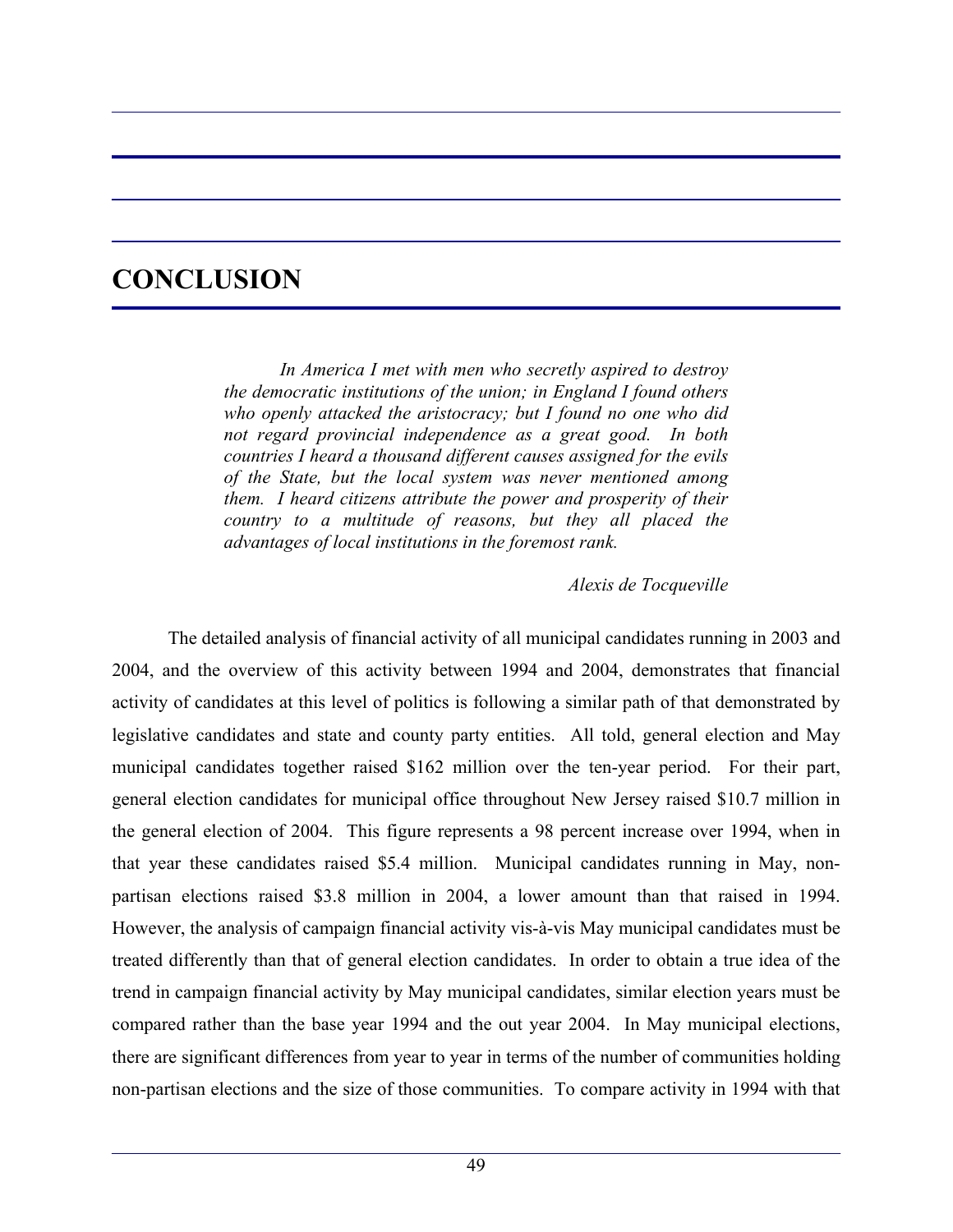# **CONCLUSION**

 *In America I met with men who secretly aspired to destroy the democratic institutions of the union; in England I found others who openly attacked the aristocracy; but I found no one who did not regard provincial independence as a great good. In both countries I heard a thousand different causes assigned for the evils of the State, but the local system was never mentioned among them. I heard citizens attribute the power and prosperity of their country to a multitude of reasons, but they all placed the advantages of local institutions in the foremost rank.* 

### *Alexis de Tocqueville*

 The detailed analysis of financial activity of all municipal candidates running in 2003 and 2004, and the overview of this activity between 1994 and 2004, demonstrates that financial activity of candidates at this level of politics is following a similar path of that demonstrated by legislative candidates and state and county party entities. All told, general election and May municipal candidates together raised \$162 million over the ten-year period. For their part, general election candidates for municipal office throughout New Jersey raised \$10.7 million in the general election of 2004. This figure represents a 98 percent increase over 1994, when in that year these candidates raised \$5.4 million. Municipal candidates running in May, nonpartisan elections raised \$3.8 million in 2004, a lower amount than that raised in 1994. However, the analysis of campaign financial activity vis-à-vis May municipal candidates must be treated differently than that of general election candidates. In order to obtain a true idea of the trend in campaign financial activity by May municipal candidates, similar election years must be compared rather than the base year 1994 and the out year 2004. In May municipal elections, there are significant differences from year to year in terms of the number of communities holding non-partisan elections and the size of those communities. To compare activity in 1994 with that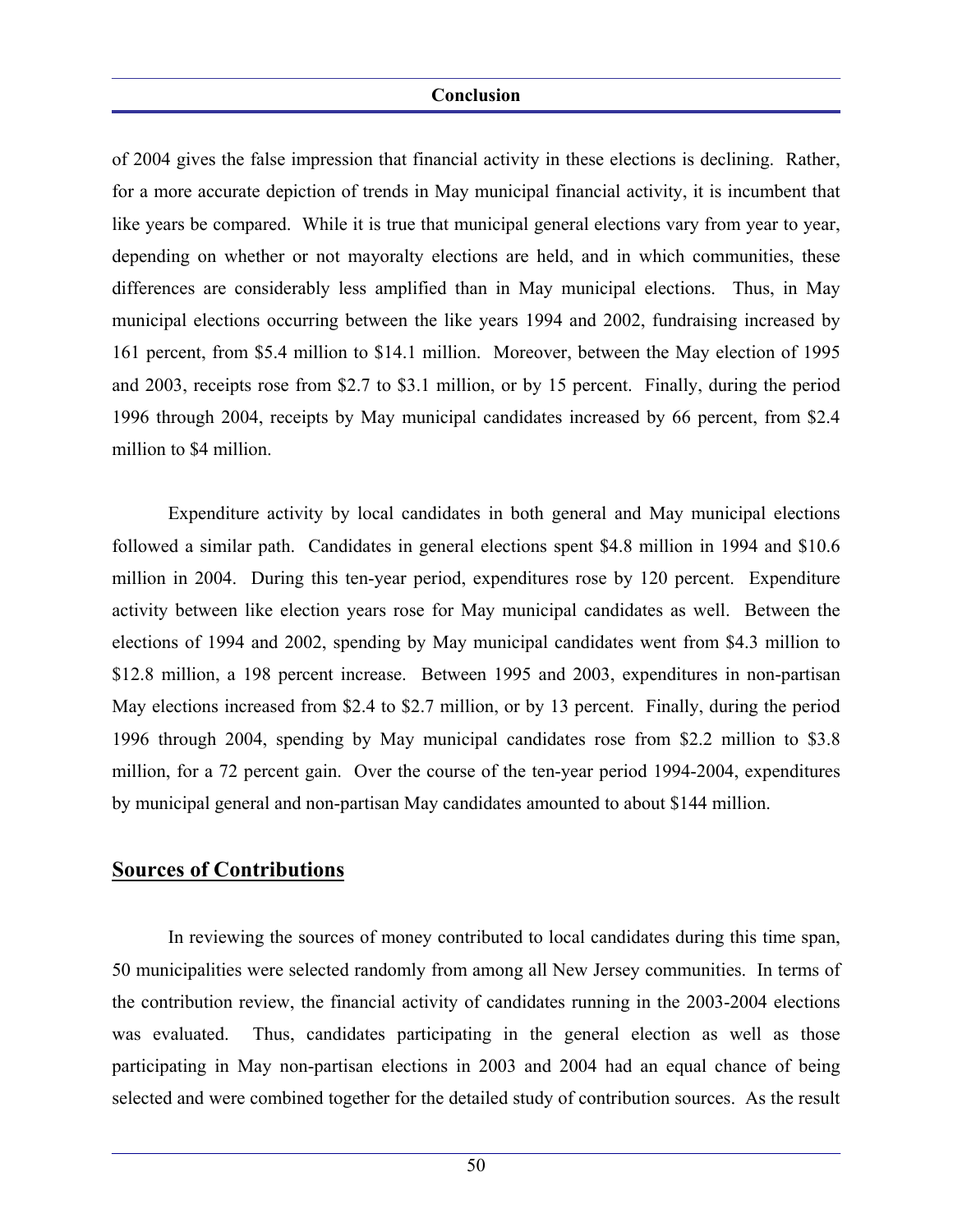of 2004 gives the false impression that financial activity in these elections is declining. Rather, for a more accurate depiction of trends in May municipal financial activity, it is incumbent that like years be compared. While it is true that municipal general elections vary from year to year, depending on whether or not mayoralty elections are held, and in which communities, these differences are considerably less amplified than in May municipal elections. Thus, in May municipal elections occurring between the like years 1994 and 2002, fundraising increased by 161 percent, from \$5.4 million to \$14.1 million. Moreover, between the May election of 1995 and 2003, receipts rose from \$2.7 to \$3.1 million, or by 15 percent. Finally, during the period 1996 through 2004, receipts by May municipal candidates increased by 66 percent, from \$2.4 million to \$4 million.

 Expenditure activity by local candidates in both general and May municipal elections followed a similar path. Candidates in general elections spent \$4.8 million in 1994 and \$10.6 million in 2004. During this ten-year period, expenditures rose by 120 percent. Expenditure activity between like election years rose for May municipal candidates as well. Between the elections of 1994 and 2002, spending by May municipal candidates went from \$4.3 million to \$12.8 million, a 198 percent increase. Between 1995 and 2003, expenditures in non-partisan May elections increased from \$2.4 to \$2.7 million, or by 13 percent. Finally, during the period 1996 through 2004, spending by May municipal candidates rose from \$2.2 million to \$3.8 million, for a 72 percent gain. Over the course of the ten-year period 1994-2004, expenditures by municipal general and non-partisan May candidates amounted to about \$144 million.

## **Sources of Contributions**

 In reviewing the sources of money contributed to local candidates during this time span, 50 municipalities were selected randomly from among all New Jersey communities. In terms of the contribution review, the financial activity of candidates running in the 2003-2004 elections was evaluated. Thus, candidates participating in the general election as well as those participating in May non-partisan elections in 2003 and 2004 had an equal chance of being selected and were combined together for the detailed study of contribution sources. As the result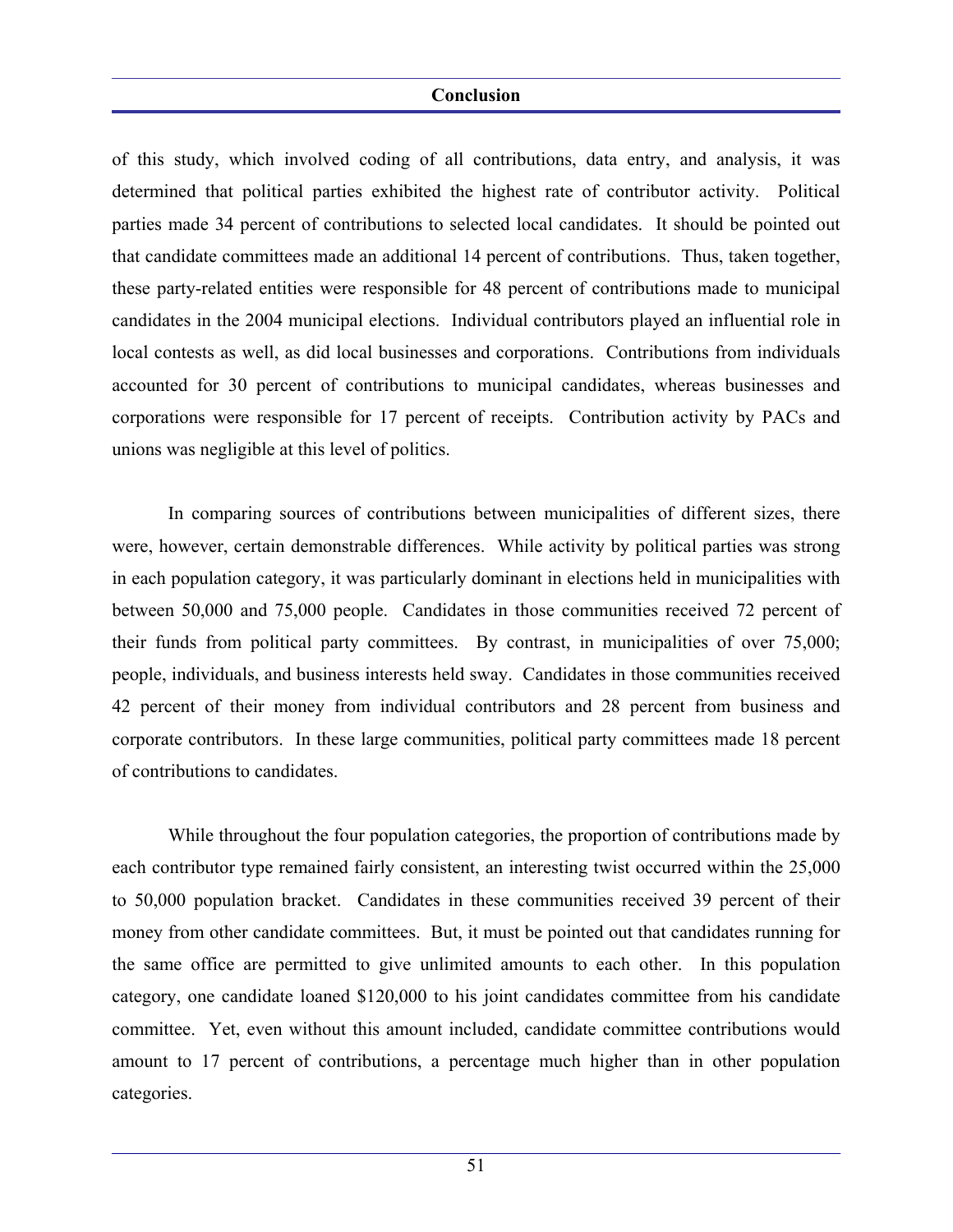of this study, which involved coding of all contributions, data entry, and analysis, it was determined that political parties exhibited the highest rate of contributor activity. Political parties made 34 percent of contributions to selected local candidates. It should be pointed out that candidate committees made an additional 14 percent of contributions. Thus, taken together, these party-related entities were responsible for 48 percent of contributions made to municipal candidates in the 2004 municipal elections. Individual contributors played an influential role in local contests as well, as did local businesses and corporations. Contributions from individuals accounted for 30 percent of contributions to municipal candidates, whereas businesses and corporations were responsible for 17 percent of receipts. Contribution activity by PACs and unions was negligible at this level of politics.

 In comparing sources of contributions between municipalities of different sizes, there were, however, certain demonstrable differences. While activity by political parties was strong in each population category, it was particularly dominant in elections held in municipalities with between 50,000 and 75,000 people. Candidates in those communities received 72 percent of their funds from political party committees. By contrast, in municipalities of over 75,000; people, individuals, and business interests held sway. Candidates in those communities received 42 percent of their money from individual contributors and 28 percent from business and corporate contributors. In these large communities, political party committees made 18 percent of contributions to candidates.

 While throughout the four population categories, the proportion of contributions made by each contributor type remained fairly consistent, an interesting twist occurred within the 25,000 to 50,000 population bracket. Candidates in these communities received 39 percent of their money from other candidate committees. But, it must be pointed out that candidates running for the same office are permitted to give unlimited amounts to each other. In this population category, one candidate loaned \$120,000 to his joint candidates committee from his candidate committee. Yet, even without this amount included, candidate committee contributions would amount to 17 percent of contributions, a percentage much higher than in other population categories.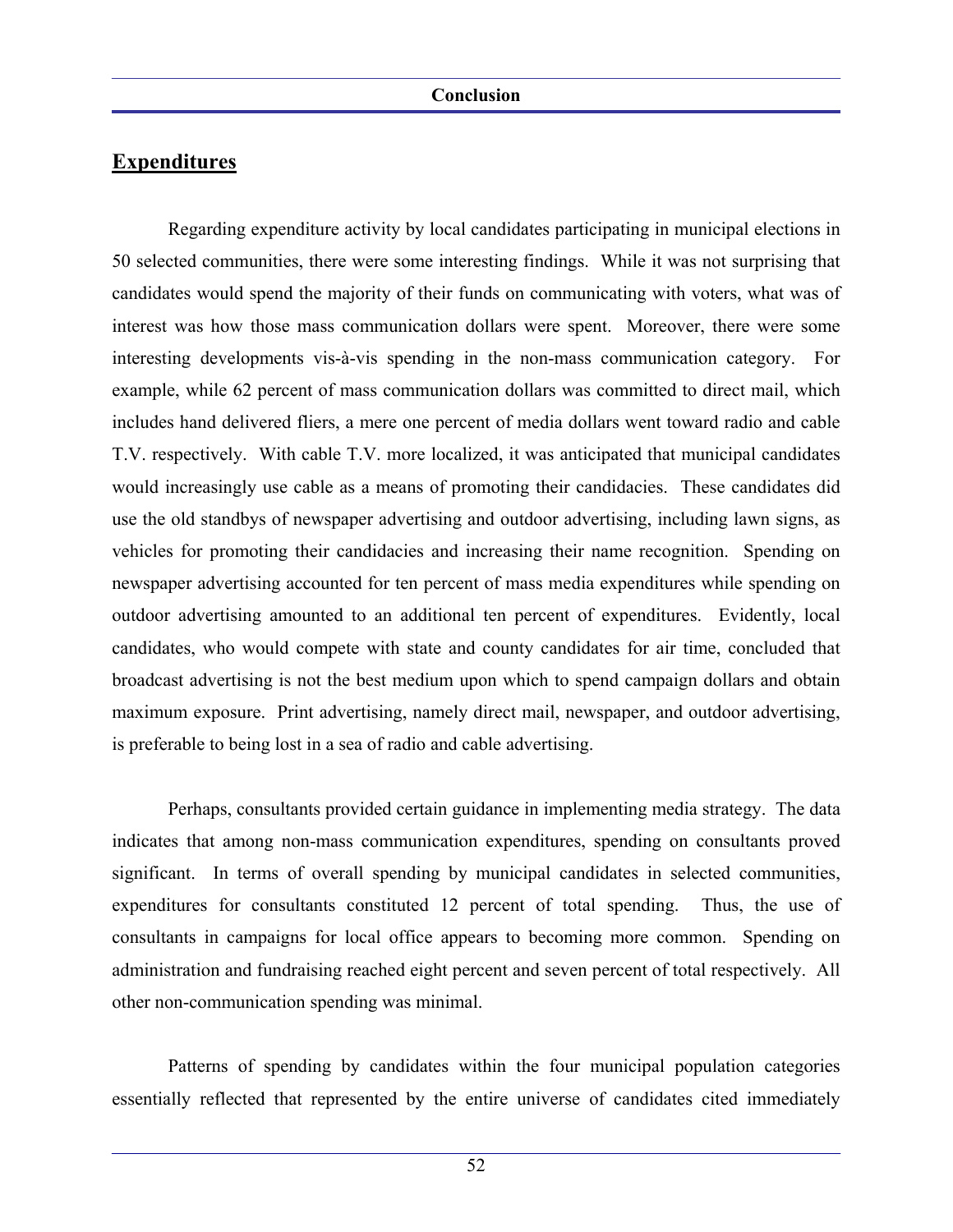Regarding expenditure activity by local candidates participating in municipal elections in 50 selected communities, there were some interesting findings. While it was not surprising that candidates would spend the majority of their funds on communicating with voters, what was of interest was how those mass communication dollars were spent. Moreover, there were some interesting developments vis-à-vis spending in the non-mass communication category. For example, while 62 percent of mass communication dollars was committed to direct mail, which includes hand delivered fliers, a mere one percent of media dollars went toward radio and cable T.V. respectively. With cable T.V. more localized, it was anticipated that municipal candidates would increasingly use cable as a means of promoting their candidacies. These candidates did use the old standbys of newspaper advertising and outdoor advertising, including lawn signs, as vehicles for promoting their candidacies and increasing their name recognition. Spending on newspaper advertising accounted for ten percent of mass media expenditures while spending on outdoor advertising amounted to an additional ten percent of expenditures. Evidently, local candidates, who would compete with state and county candidates for air time, concluded that broadcast advertising is not the best medium upon which to spend campaign dollars and obtain maximum exposure. Print advertising, namely direct mail, newspaper, and outdoor advertising, is preferable to being lost in a sea of radio and cable advertising.

 Perhaps, consultants provided certain guidance in implementing media strategy. The data indicates that among non-mass communication expenditures, spending on consultants proved significant. In terms of overall spending by municipal candidates in selected communities, expenditures for consultants constituted 12 percent of total spending. Thus, the use of consultants in campaigns for local office appears to becoming more common. Spending on administration and fundraising reached eight percent and seven percent of total respectively. All other non-communication spending was minimal.

 Patterns of spending by candidates within the four municipal population categories essentially reflected that represented by the entire universe of candidates cited immediately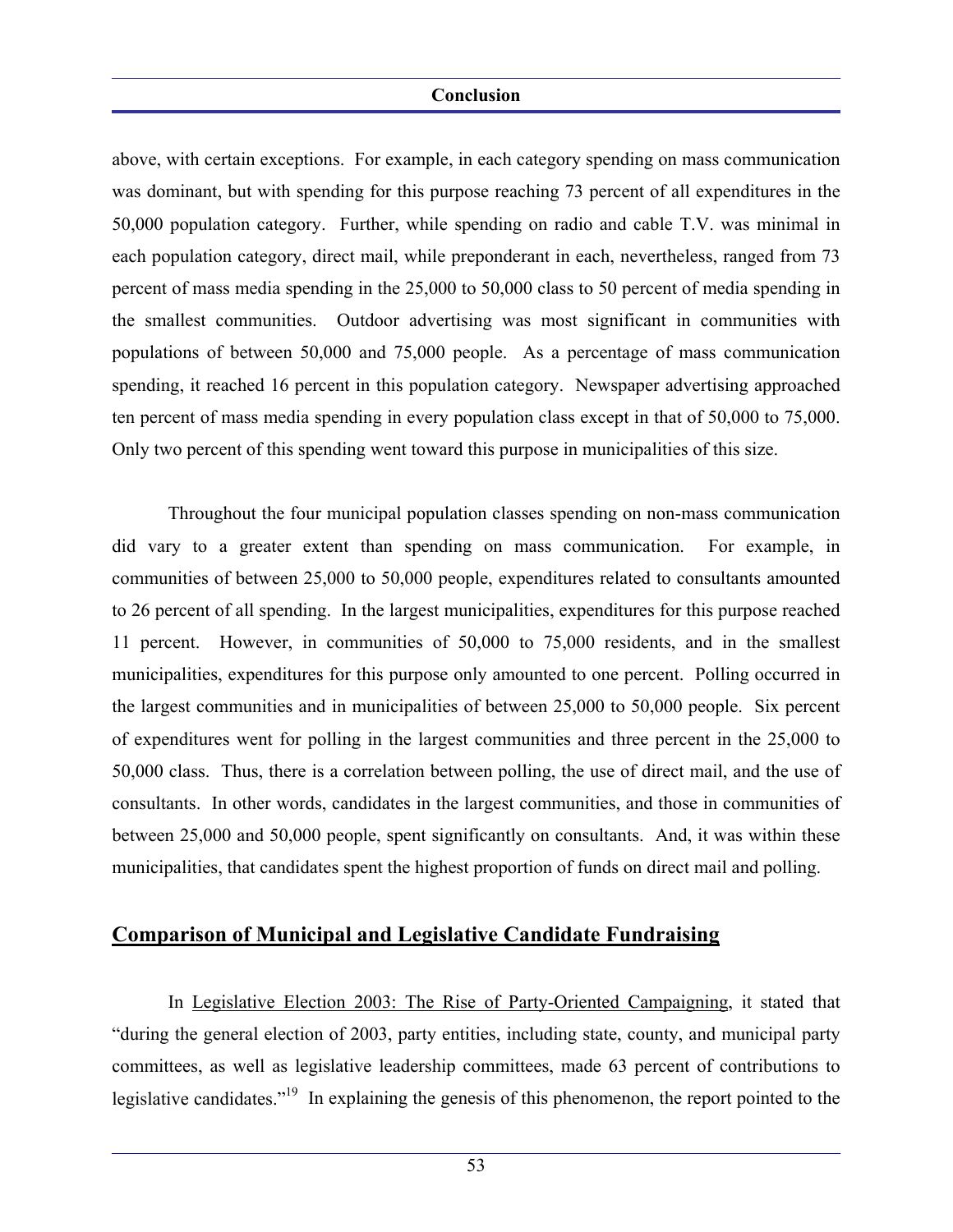above, with certain exceptions. For example, in each category spending on mass communication was dominant, but with spending for this purpose reaching 73 percent of all expenditures in the 50,000 population category. Further, while spending on radio and cable T.V. was minimal in each population category, direct mail, while preponderant in each, nevertheless, ranged from 73 percent of mass media spending in the 25,000 to 50,000 class to 50 percent of media spending in the smallest communities. Outdoor advertising was most significant in communities with populations of between 50,000 and 75,000 people. As a percentage of mass communication spending, it reached 16 percent in this population category. Newspaper advertising approached ten percent of mass media spending in every population class except in that of 50,000 to 75,000. Only two percent of this spending went toward this purpose in municipalities of this size.

 Throughout the four municipal population classes spending on non-mass communication did vary to a greater extent than spending on mass communication. For example, in communities of between 25,000 to 50,000 people, expenditures related to consultants amounted to 26 percent of all spending. In the largest municipalities, expenditures for this purpose reached 11 percent. However, in communities of 50,000 to 75,000 residents, and in the smallest municipalities, expenditures for this purpose only amounted to one percent. Polling occurred in the largest communities and in municipalities of between 25,000 to 50,000 people. Six percent of expenditures went for polling in the largest communities and three percent in the 25,000 to 50,000 class. Thus, there is a correlation between polling, the use of direct mail, and the use of consultants. In other words, candidates in the largest communities, and those in communities of between 25,000 and 50,000 people, spent significantly on consultants. And, it was within these municipalities, that candidates spent the highest proportion of funds on direct mail and polling.

## **Comparison of Municipal and Legislative Candidate Fundraising**

 In Legislative Election 2003: The Rise of Party-Oriented Campaigning, it stated that "during the general election of 2003, party entities, including state, county, and municipal party committees, as well as legislative leadership committees, made 63 percent of contributions to legislative candidates."<sup>19</sup> In explaining the genesis of this phenomenon, the report pointed to the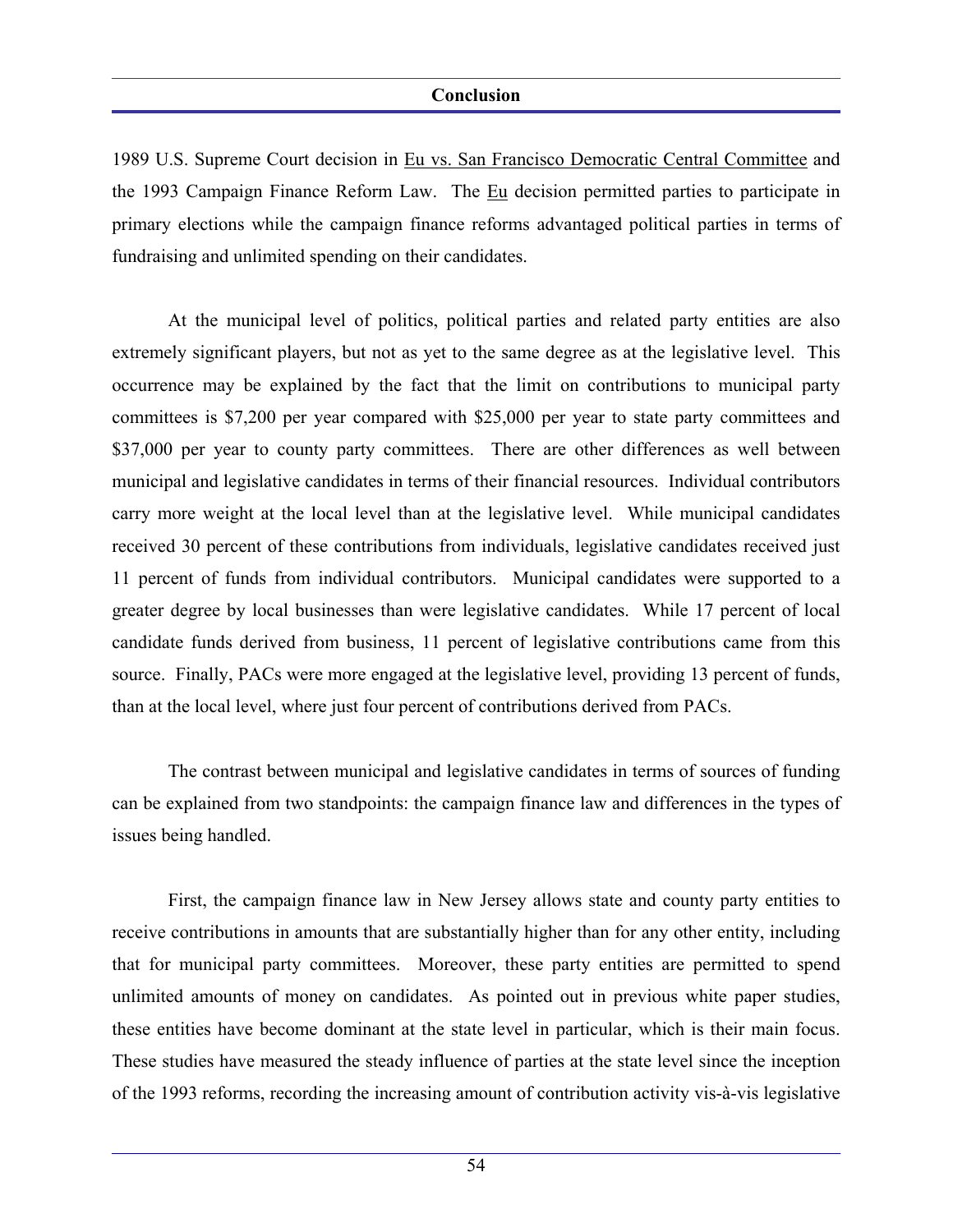1989 U.S. Supreme Court decision in Eu vs. San Francisco Democratic Central Committee and the 1993 Campaign Finance Reform Law. The Eu decision permitted parties to participate in primary elections while the campaign finance reforms advantaged political parties in terms of fundraising and unlimited spending on their candidates.

 At the municipal level of politics, political parties and related party entities are also extremely significant players, but not as yet to the same degree as at the legislative level. This occurrence may be explained by the fact that the limit on contributions to municipal party committees is \$7,200 per year compared with \$25,000 per year to state party committees and \$37,000 per year to county party committees. There are other differences as well between municipal and legislative candidates in terms of their financial resources. Individual contributors carry more weight at the local level than at the legislative level. While municipal candidates received 30 percent of these contributions from individuals, legislative candidates received just 11 percent of funds from individual contributors. Municipal candidates were supported to a greater degree by local businesses than were legislative candidates. While 17 percent of local candidate funds derived from business, 11 percent of legislative contributions came from this source. Finally, PACs were more engaged at the legislative level, providing 13 percent of funds, than at the local level, where just four percent of contributions derived from PACs.

 The contrast between municipal and legislative candidates in terms of sources of funding can be explained from two standpoints: the campaign finance law and differences in the types of issues being handled.

 First, the campaign finance law in New Jersey allows state and county party entities to receive contributions in amounts that are substantially higher than for any other entity, including that for municipal party committees. Moreover, these party entities are permitted to spend unlimited amounts of money on candidates. As pointed out in previous white paper studies, these entities have become dominant at the state level in particular, which is their main focus. These studies have measured the steady influence of parties at the state level since the inception of the 1993 reforms, recording the increasing amount of contribution activity vis-à-vis legislative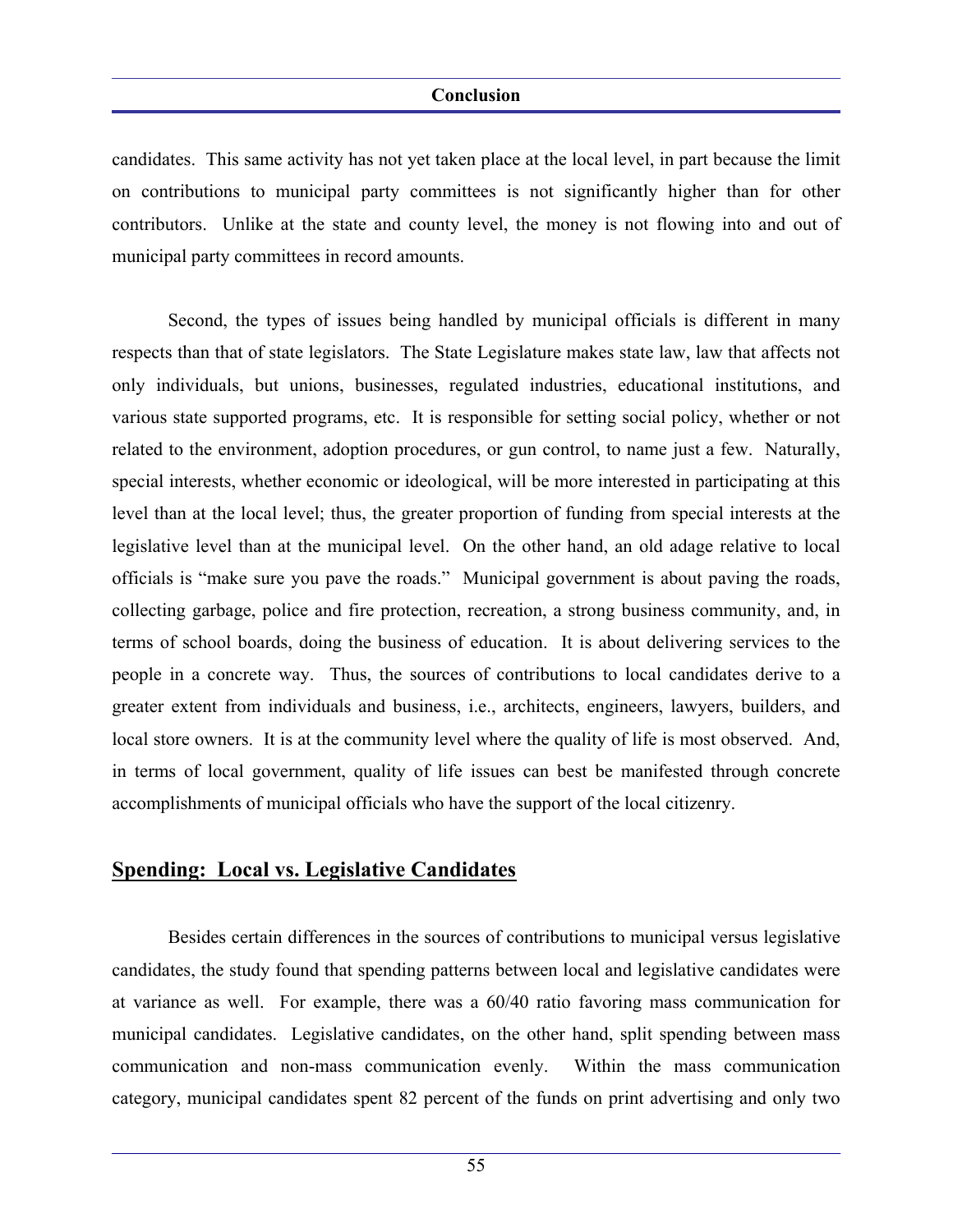candidates. This same activity has not yet taken place at the local level, in part because the limit on contributions to municipal party committees is not significantly higher than for other contributors. Unlike at the state and county level, the money is not flowing into and out of municipal party committees in record amounts.

 Second, the types of issues being handled by municipal officials is different in many respects than that of state legislators. The State Legislature makes state law, law that affects not only individuals, but unions, businesses, regulated industries, educational institutions, and various state supported programs, etc. It is responsible for setting social policy, whether or not related to the environment, adoption procedures, or gun control, to name just a few. Naturally, special interests, whether economic or ideological, will be more interested in participating at this level than at the local level; thus, the greater proportion of funding from special interests at the legislative level than at the municipal level. On the other hand, an old adage relative to local officials is "make sure you pave the roads." Municipal government is about paving the roads, collecting garbage, police and fire protection, recreation, a strong business community, and, in terms of school boards, doing the business of education. It is about delivering services to the people in a concrete way. Thus, the sources of contributions to local candidates derive to a greater extent from individuals and business, i.e., architects, engineers, lawyers, builders, and local store owners. It is at the community level where the quality of life is most observed. And, in terms of local government, quality of life issues can best be manifested through concrete accomplishments of municipal officials who have the support of the local citizenry.

## **Spending: Local vs. Legislative Candidates**

 Besides certain differences in the sources of contributions to municipal versus legislative candidates, the study found that spending patterns between local and legislative candidates were at variance as well. For example, there was a 60/40 ratio favoring mass communication for municipal candidates. Legislative candidates, on the other hand, split spending between mass communication and non-mass communication evenly. Within the mass communication category, municipal candidates spent 82 percent of the funds on print advertising and only two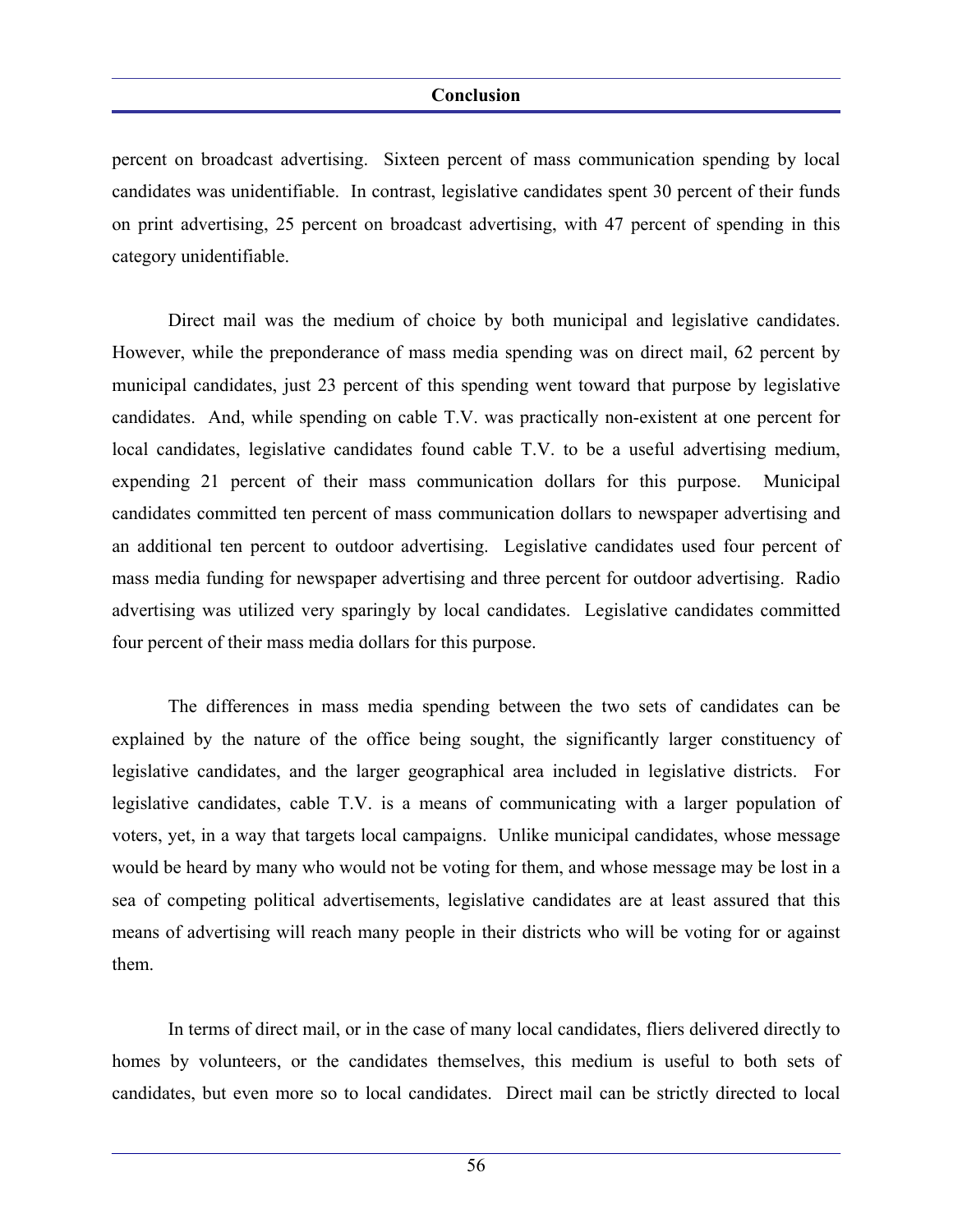percent on broadcast advertising. Sixteen percent of mass communication spending by local candidates was unidentifiable. In contrast, legislative candidates spent 30 percent of their funds on print advertising, 25 percent on broadcast advertising, with 47 percent of spending in this category unidentifiable.

 Direct mail was the medium of choice by both municipal and legislative candidates. However, while the preponderance of mass media spending was on direct mail, 62 percent by municipal candidates, just 23 percent of this spending went toward that purpose by legislative candidates. And, while spending on cable T.V. was practically non-existent at one percent for local candidates, legislative candidates found cable T.V. to be a useful advertising medium, expending 21 percent of their mass communication dollars for this purpose. Municipal candidates committed ten percent of mass communication dollars to newspaper advertising and an additional ten percent to outdoor advertising. Legislative candidates used four percent of mass media funding for newspaper advertising and three percent for outdoor advertising. Radio advertising was utilized very sparingly by local candidates. Legislative candidates committed four percent of their mass media dollars for this purpose.

 The differences in mass media spending between the two sets of candidates can be explained by the nature of the office being sought, the significantly larger constituency of legislative candidates, and the larger geographical area included in legislative districts. For legislative candidates, cable T.V. is a means of communicating with a larger population of voters, yet, in a way that targets local campaigns. Unlike municipal candidates, whose message would be heard by many who would not be voting for them, and whose message may be lost in a sea of competing political advertisements, legislative candidates are at least assured that this means of advertising will reach many people in their districts who will be voting for or against them.

 In terms of direct mail, or in the case of many local candidates, fliers delivered directly to homes by volunteers, or the candidates themselves, this medium is useful to both sets of candidates, but even more so to local candidates. Direct mail can be strictly directed to local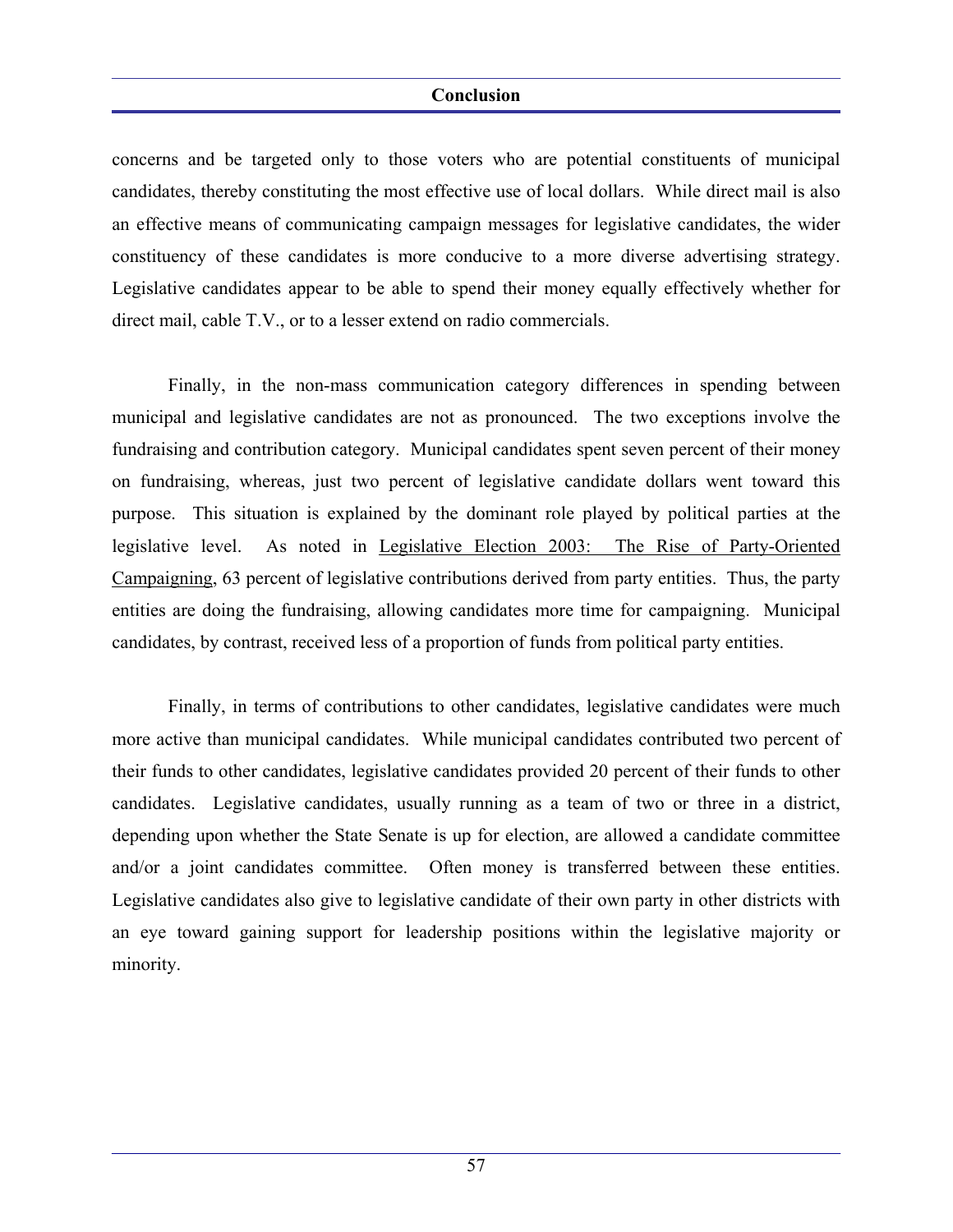concerns and be targeted only to those voters who are potential constituents of municipal candidates, thereby constituting the most effective use of local dollars. While direct mail is also an effective means of communicating campaign messages for legislative candidates, the wider constituency of these candidates is more conducive to a more diverse advertising strategy. Legislative candidates appear to be able to spend their money equally effectively whether for direct mail, cable T.V., or to a lesser extend on radio commercials.

 Finally, in the non-mass communication category differences in spending between municipal and legislative candidates are not as pronounced. The two exceptions involve the fundraising and contribution category. Municipal candidates spent seven percent of their money on fundraising, whereas, just two percent of legislative candidate dollars went toward this purpose. This situation is explained by the dominant role played by political parties at the legislative level. As noted in Legislative Election 2003: The Rise of Party-Oriented Campaigning, 63 percent of legislative contributions derived from party entities. Thus, the party entities are doing the fundraising, allowing candidates more time for campaigning. Municipal candidates, by contrast, received less of a proportion of funds from political party entities.

 Finally, in terms of contributions to other candidates, legislative candidates were much more active than municipal candidates. While municipal candidates contributed two percent of their funds to other candidates, legislative candidates provided 20 percent of their funds to other candidates. Legislative candidates, usually running as a team of two or three in a district, depending upon whether the State Senate is up for election, are allowed a candidate committee and/or a joint candidates committee. Often money is transferred between these entities. Legislative candidates also give to legislative candidate of their own party in other districts with an eye toward gaining support for leadership positions within the legislative majority or minority.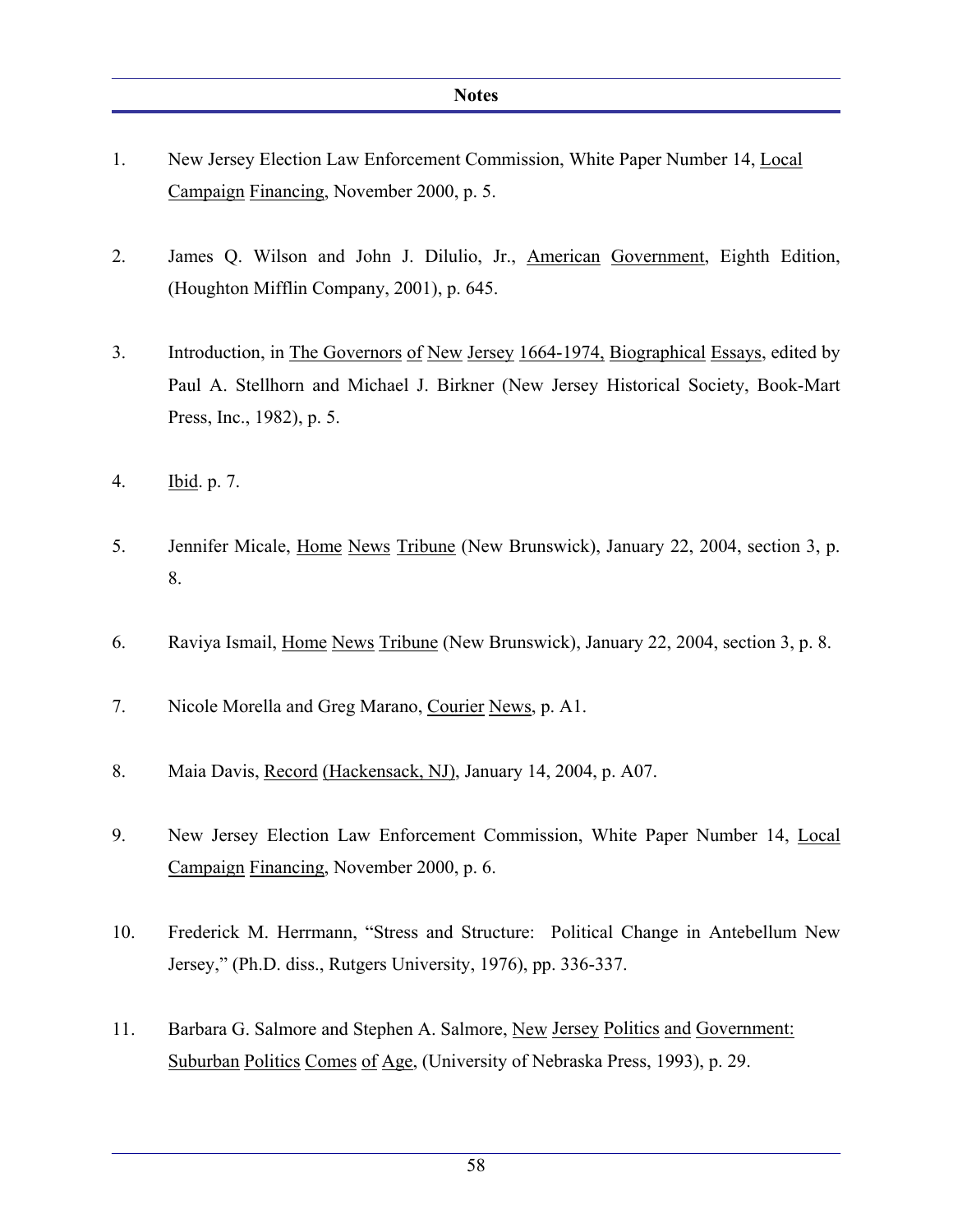- 1. New Jersey Election Law Enforcement Commission, White Paper Number 14, Local Campaign Financing, November 2000, p. 5.
- 2. James Q. Wilson and John J. Dilulio, Jr., American Government, Eighth Edition, (Houghton Mifflin Company, 2001), p. 645.
- 3. Introduction, in The Governors of New Jersey 1664-1974, Biographical Essays, edited by Paul A. Stellhorn and Michael J. Birkner (New Jersey Historical Society, Book-Mart Press, Inc., 1982), p. 5.
- 4. Ibid. p. 7.
- 5. Jennifer Micale, Home News Tribune (New Brunswick), January 22, 2004, section 3, p. 8.
- 6. Raviya Ismail, Home News Tribune (New Brunswick), January 22, 2004, section 3, p. 8.
- 7. Nicole Morella and Greg Marano, Courier News, p. A1.
- 8. Maia Davis, Record (Hackensack, NJ), January 14, 2004, p. A07.
- 9. New Jersey Election Law Enforcement Commission, White Paper Number 14, Local Campaign Financing, November 2000, p. 6.
- 10. Frederick M. Herrmann, "Stress and Structure: Political Change in Antebellum New Jersey," (Ph.D. diss., Rutgers University, 1976), pp. 336-337.
- 11. Barbara G. Salmore and Stephen A. Salmore, New Jersey Politics and Government: Suburban Politics Comes of Age, (University of Nebraska Press, 1993), p. 29.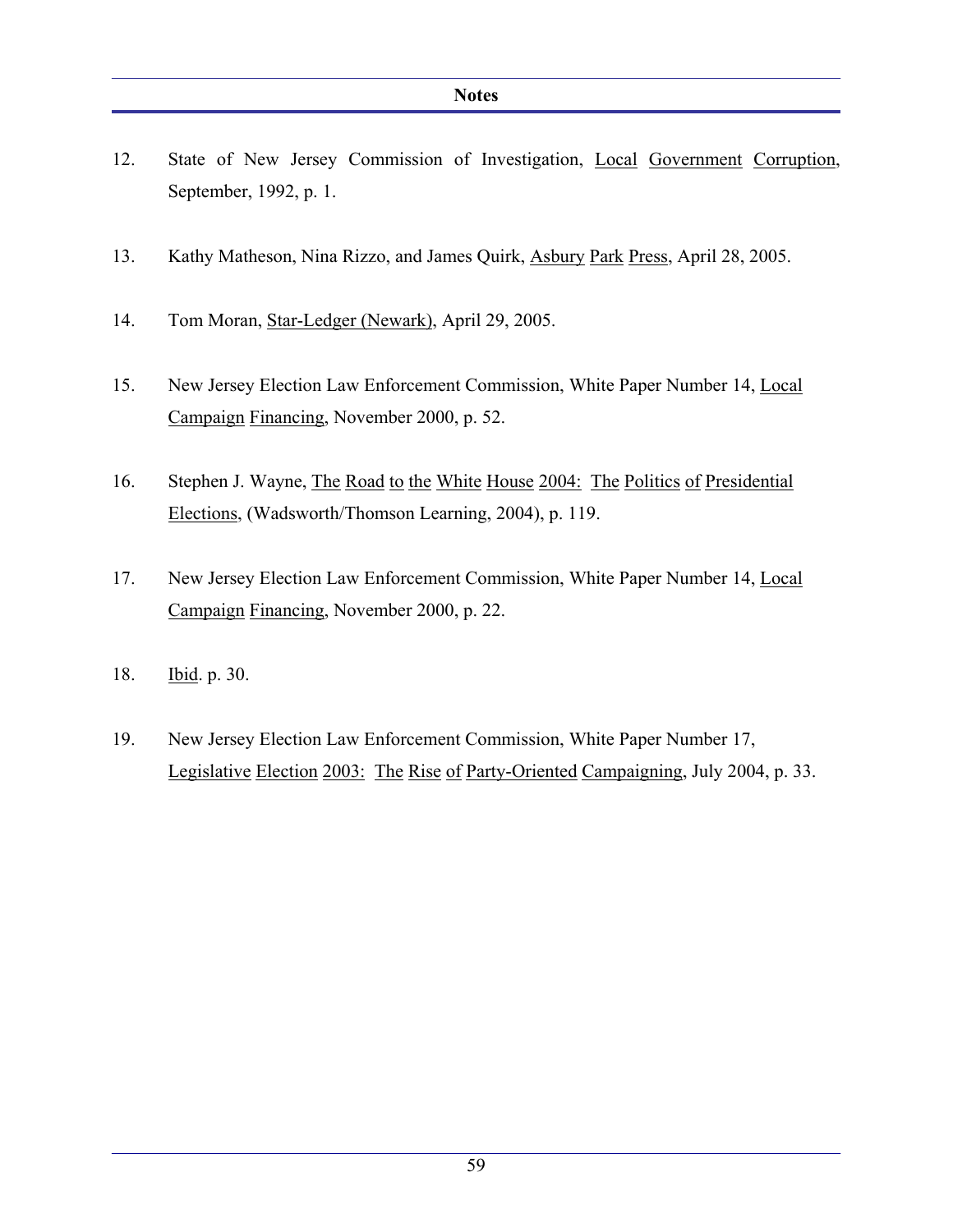- 12. State of New Jersey Commission of Investigation, Local Government Corruption, September, 1992, p. 1.
- 13. Kathy Matheson, Nina Rizzo, and James Quirk, Asbury Park Press, April 28, 2005.
- 14. Tom Moran, Star-Ledger (Newark), April 29, 2005.
- 15. New Jersey Election Law Enforcement Commission, White Paper Number 14, Local Campaign Financing, November 2000, p. 52.
- 16. Stephen J. Wayne, The Road to the White House 2004: The Politics of Presidential Elections, (Wadsworth/Thomson Learning, 2004), p. 119.
- 17. New Jersey Election Law Enforcement Commission, White Paper Number 14, Local Campaign Financing, November 2000, p. 22.
- 18. Ibid. p. 30.
- 19. New Jersey Election Law Enforcement Commission, White Paper Number 17, Legislative Election 2003: The Rise of Party-Oriented Campaigning, July 2004, p. 33.